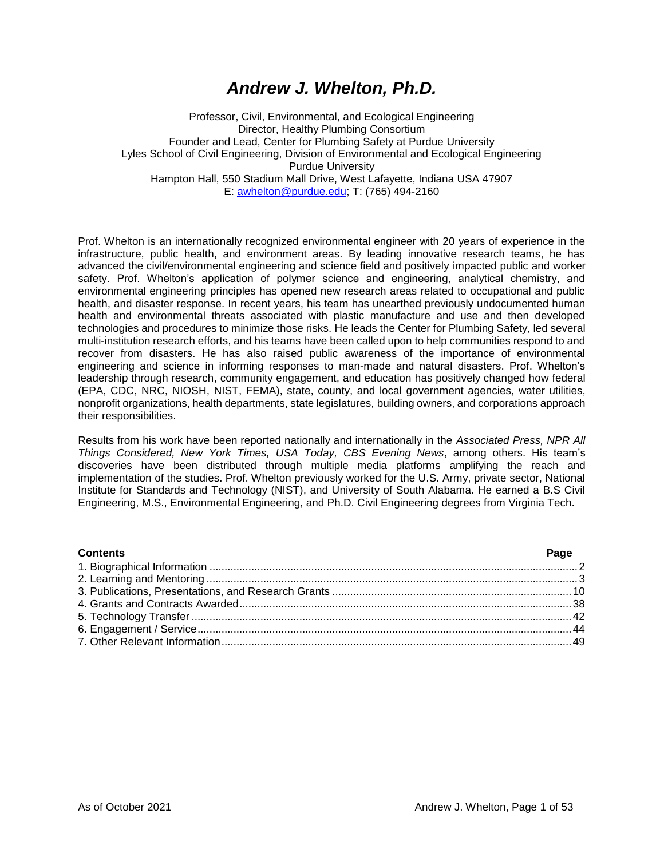# *Andrew J. Whelton, Ph.D.*

Professor, Civil, Environmental, and Ecological Engineering Director, Healthy Plumbing Consortium Founder and Lead, Center for Plumbing Safety at Purdue University Lyles School of Civil Engineering, Division of Environmental and Ecological Engineering Purdue University Hampton Hall, 550 Stadium Mall Drive, West Lafayette, Indiana USA 47907 E: [awhelton@purdue.edu;](mailto:awhelton@purdue.edu) T: (765) 494-2160

Prof. Whelton is an internationally recognized environmental engineer with 20 years of experience in the infrastructure, public health, and environment areas. By leading innovative research teams, he has advanced the civil/environmental engineering and science field and positively impacted public and worker safety. Prof. Whelton's application of polymer science and engineering, analytical chemistry, and environmental engineering principles has opened new research areas related to occupational and public health, and disaster response. In recent years, his team has unearthed previously undocumented human health and environmental threats associated with plastic manufacture and use and then developed technologies and procedures to minimize those risks. He leads the Center for Plumbing Safety, led several multi-institution research efforts, and his teams have been called upon to help communities respond to and recover from disasters. He has also raised public awareness of the importance of environmental engineering and science in informing responses to man-made and natural disasters. Prof. Whelton's leadership through research, community engagement, and education has positively changed how federal (EPA, CDC, NRC, NIOSH, NIST, FEMA), state, county, and local government agencies, water utilities, nonprofit organizations, health departments, state legislatures, building owners, and corporations approach their responsibilities.

Results from his work have been reported nationally and internationally in the *Associated Press, NPR All Things Considered, New York Times, USA Today, CBS Evening News*, among others. His team's discoveries have been distributed through multiple media platforms amplifying the reach and implementation of the studies. Prof. Whelton previously worked for the U.S. Army, private sector, National Institute for Standards and Technology (NIST), and University of South Alabama. He earned a B.S Civil Engineering, M.S., Environmental Engineering, and Ph.D. Civil Engineering degrees from Virginia Tech.

| <b>Contents</b> | Page |
|-----------------|------|
|-----------------|------|

<span id="page-0-0"></span>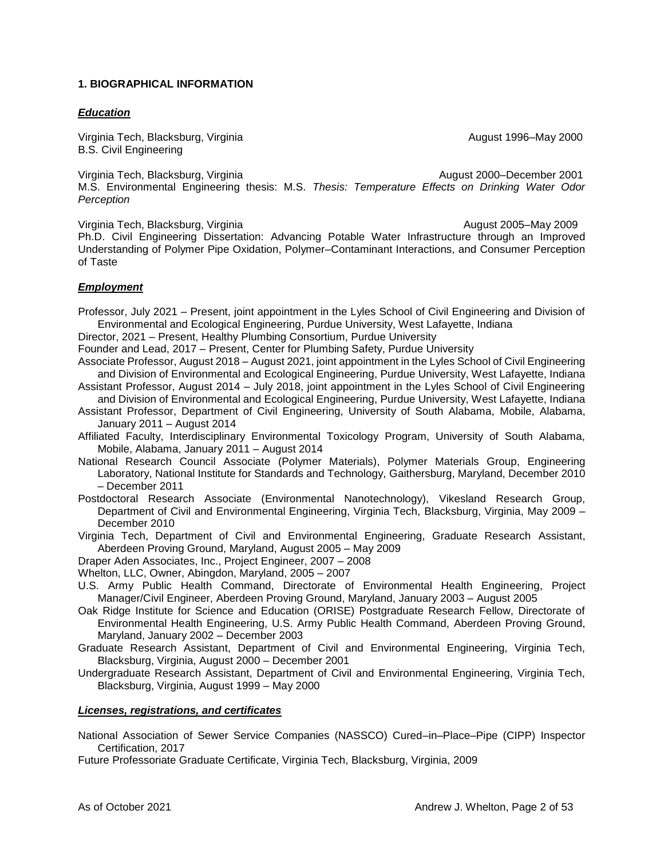# **1. BIOGRAPHICAL INFORMATION**

#### *Education*

Virginia Tech, Blacksburg, Virginia August 1996–May 2000 B.S. Civil Engineering

Virginia Tech, Blacksburg, Virginia August 2000–December 2001 M.S. Environmental Engineering thesis: M.S. *Thesis: Temperature Effects on Drinking Water Odor Perception*

Virginia Tech, Blacksburg, Virginia August 2005–May 2009 Ph.D. Civil Engineering Dissertation: Advancing Potable Water Infrastructure through an Improved Understanding of Polymer Pipe Oxidation, Polymer–Contaminant Interactions, and Consumer Perception of Taste

#### *Employment*

Professor, July 2021 – Present, joint appointment in the Lyles School of Civil Engineering and Division of Environmental and Ecological Engineering, Purdue University, West Lafayette, Indiana

Director, 2021 – Present, Healthy Plumbing Consortium, Purdue University

Founder and Lead, 2017 – Present, Center for Plumbing Safety, Purdue University

Associate Professor, August 2018 – August 2021, joint appointment in the Lyles School of Civil Engineering and Division of Environmental and Ecological Engineering, Purdue University, West Lafayette, Indiana

Assistant Professor, August 2014 – July 2018, joint appointment in the Lyles School of Civil Engineering and Division of Environmental and Ecological Engineering, Purdue University, West Lafayette, Indiana

Assistant Professor, Department of Civil Engineering, University of South Alabama, Mobile, Alabama, January 2011 – August 2014

Affiliated Faculty, Interdisciplinary Environmental Toxicology Program, University of South Alabama, Mobile, Alabama, January 2011 – August 2014

National Research Council Associate (Polymer Materials), Polymer Materials Group, Engineering Laboratory, National Institute for Standards and Technology, Gaithersburg, Maryland, December 2010 – December 2011

Postdoctoral Research Associate (Environmental Nanotechnology), Vikesland Research Group, Department of Civil and Environmental Engineering, Virginia Tech, Blacksburg, Virginia, May 2009 – December 2010

Virginia Tech, Department of Civil and Environmental Engineering, Graduate Research Assistant, Aberdeen Proving Ground, Maryland, August 2005 – May 2009

Draper Aden Associates, Inc., Project Engineer, 2007 – 2008

Whelton, LLC, Owner, Abingdon, Maryland, 2005 – 2007

- U.S. Army Public Health Command, Directorate of Environmental Health Engineering, Project Manager/Civil Engineer, Aberdeen Proving Ground, Maryland, January 2003 – August 2005
- Oak Ridge Institute for Science and Education (ORISE) Postgraduate Research Fellow, Directorate of Environmental Health Engineering, U.S. Army Public Health Command, Aberdeen Proving Ground, Maryland, January 2002 – December 2003

Graduate Research Assistant, Department of Civil and Environmental Engineering, Virginia Tech, Blacksburg, Virginia, August 2000 – December 2001

Undergraduate Research Assistant, Department of Civil and Environmental Engineering, Virginia Tech, Blacksburg, Virginia, August 1999 – May 2000

#### *Licenses, registrations, and certificates*

National Association of Sewer Service Companies (NASSCO) Cured–in–Place–Pipe (CIPP) Inspector Certification, 2017

Future Professoriate Graduate Certificate, Virginia Tech, Blacksburg, Virginia, 2009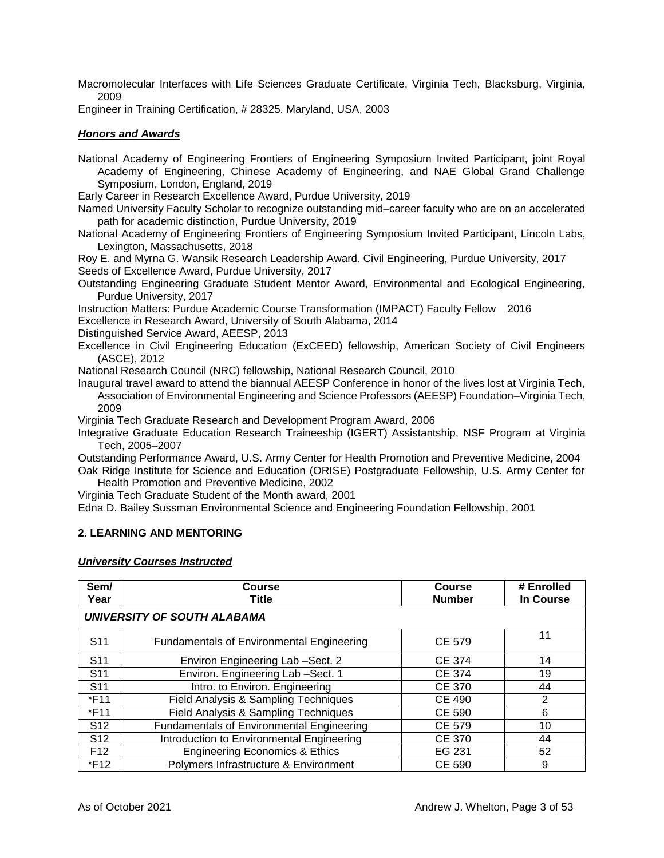Macromolecular Interfaces with Life Sciences Graduate Certificate, Virginia Tech, Blacksburg, Virginia, 2009

Engineer in Training Certification, # 28325. Maryland, USA, 2003

# *Honors and Awards*

National Academy of Engineering Frontiers of Engineering Symposium Invited Participant, joint Royal Academy of Engineering, Chinese Academy of Engineering, and NAE Global Grand Challenge Symposium, London, England, 2019

Early Career in Research Excellence Award, Purdue University, 2019

Named University Faculty Scholar to recognize outstanding mid–career faculty who are on an accelerated path for academic distinction, Purdue University, 2019

National Academy of Engineering Frontiers of Engineering Symposium Invited Participant, Lincoln Labs, Lexington, Massachusetts, 2018

Roy E. and Myrna G. Wansik Research Leadership Award. Civil Engineering, Purdue University, 2017 Seeds of Excellence Award, Purdue University, 2017

Outstanding Engineering Graduate Student Mentor Award, Environmental and Ecological Engineering, Purdue University, 2017

Instruction Matters: Purdue Academic Course Transformation (IMPACT) Faculty Fellow 2016

Excellence in Research Award, University of South Alabama, 2014

Distinguished Service Award, AEESP, 2013

Excellence in Civil Engineering Education (ExCEED) fellowship, American Society of Civil Engineers (ASCE), 2012

National Research Council (NRC) fellowship, National Research Council, 2010

Inaugural travel award to attend the biannual AEESP Conference in honor of the lives lost at Virginia Tech, Association of Environmental Engineering and Science Professors (AEESP) Foundation–Virginia Tech,

2009 Virginia Tech Graduate Research and Development Program Award, 2006

Integrative Graduate Education Research Traineeship (IGERT) Assistantship, NSF Program at Virginia Tech, 2005–2007

Outstanding Performance Award, U.S. Army Center for Health Promotion and Preventive Medicine, 2004 Oak Ridge Institute for Science and Education (ORISE) Postgraduate Fellowship, U.S. Army Center for Health Promotion and Preventive Medicine, 2002

Virginia Tech Graduate Student of the Month award, 2001

<span id="page-2-0"></span>Edna D. Bailey Sussman Environmental Science and Engineering Foundation Fellowship, 2001

# **2. LEARNING AND MENTORING**

#### *University Courses Instructed*

| Sem/<br>Year                       | Course<br>Title                                  | Course<br><b>Number</b> | # Enrolled<br>In Course |
|------------------------------------|--------------------------------------------------|-------------------------|-------------------------|
| <b>UNIVERSITY OF SOUTH ALABAMA</b> |                                                  |                         |                         |
| S <sub>11</sub>                    | <b>Fundamentals of Environmental Engineering</b> | <b>CE 579</b>           | 11                      |
| S <sub>11</sub>                    | Environ Engineering Lab -Sect. 2                 | <b>CE 374</b>           | 14                      |
| S <sub>11</sub>                    | Environ. Engineering Lab -Sect. 1                | <b>CE 374</b>           | 19                      |
| S <sub>11</sub>                    | Intro. to Environ. Engineering                   | <b>CE 370</b>           | 44                      |
| *F11                               | Field Analysis & Sampling Techniques             | <b>CE 490</b>           | 2                       |
| *F11                               | Field Analysis & Sampling Techniques             | <b>CE 590</b>           | 6                       |
| S <sub>12</sub>                    | <b>Fundamentals of Environmental Engineering</b> | <b>CE 579</b>           | 10                      |
| S <sub>12</sub>                    | Introduction to Environmental Engineering        | <b>CE 370</b>           | 44                      |
| F <sub>12</sub>                    | <b>Engineering Economics &amp; Ethics</b>        | EG 231                  | 52                      |
| *F12                               | Polymers Infrastructure & Environment            | <b>CE 590</b>           | 9                       |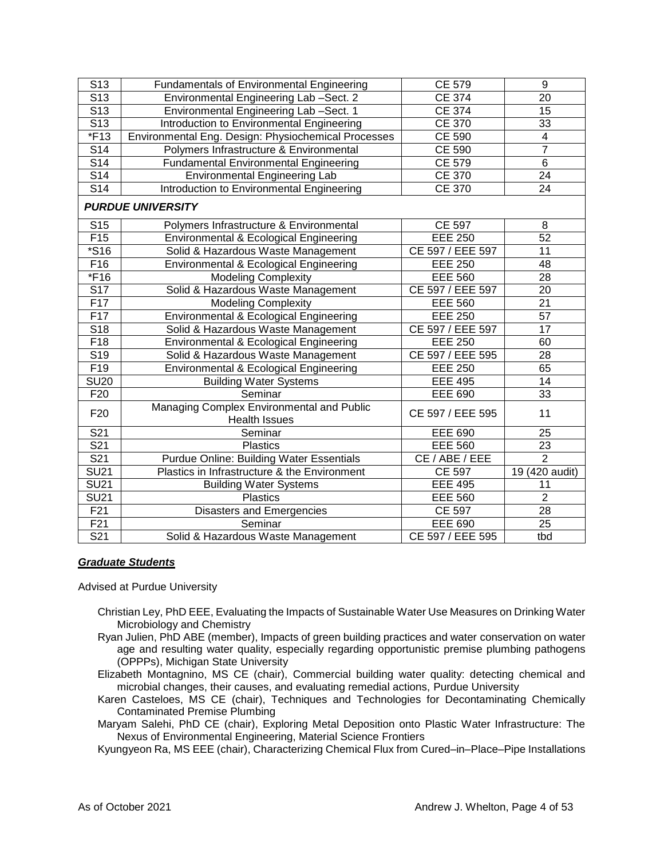| S <sub>13</sub>  | <b>Fundamentals of Environmental Engineering</b>                  | <b>CE 579</b>    | 9               |
|------------------|-------------------------------------------------------------------|------------------|-----------------|
| S <sub>13</sub>  | Environmental Engineering Lab -Sect. 2                            | <b>CE 374</b>    | 20              |
| S <sub>13</sub>  | Environmental Engineering Lab -Sect. 1                            | <b>CE 374</b>    | 15              |
| $\overline{S13}$ | Introduction to Environmental Engineering                         | <b>CE 370</b>    | 33              |
| $*F13$           | Environmental Eng. Design: Physiochemical Processes               | <b>CE 590</b>    | $\overline{4}$  |
| $\overline{S14}$ | Polymers Infrastructure & Environmental                           | <b>CE 590</b>    | $\overline{7}$  |
| $\overline{S14}$ | <b>Fundamental Environmental Engineering</b>                      | <b>CE 579</b>    | $\overline{6}$  |
| S14              | <b>Environmental Engineering Lab</b>                              | <b>CE 370</b>    | 24              |
| $\overline{S14}$ | Introduction to Environmental Engineering                         | <b>CE 370</b>    | 24              |
|                  | <b>PURDUE UNIVERSITY</b>                                          |                  |                 |
| S <sub>15</sub>  | Polymers Infrastructure & Environmental                           | <b>CE 597</b>    | 8               |
| $\overline{F15}$ | Environmental & Ecological Engineering                            | <b>EEE 250</b>   | $\overline{52}$ |
| <i>*</i> S16     | Solid & Hazardous Waste Management                                | CE 597 / EEE 597 | 11              |
| F16              | Environmental & Ecological Engineering                            | <b>EEE 250</b>   | 48              |
| *F16             | <b>Modeling Complexity</b>                                        | <b>EEE 560</b>   | 28              |
| S17              | Solid & Hazardous Waste Management                                | CE 597 / EEE 597 | 20              |
| F17              | <b>Modeling Complexity</b>                                        | <b>EEE 560</b>   | $\overline{21}$ |
| F17              | Environmental & Ecological Engineering                            | <b>EEE 250</b>   | 57              |
| S18              | Solid & Hazardous Waste Management                                | CE 597 / EEE 597 | 17              |
| F18              | Environmental & Ecological Engineering                            | <b>EEE 250</b>   | 60              |
| S <sub>19</sub>  | Solid & Hazardous Waste Management                                | CE 597 / EEE 595 | 28              |
| F19              | Environmental & Ecological Engineering                            | <b>EEE 250</b>   | 65              |
| <b>SU20</b>      | <b>Building Water Systems</b>                                     | <b>EEE 495</b>   | 14              |
| F20              | Seminar                                                           | <b>EEE 690</b>   | 33              |
| F <sub>20</sub>  | Managing Complex Environmental and Public<br><b>Health Issues</b> | CE 597 / EEE 595 | 11              |
| S <sub>21</sub>  | Seminar                                                           | <b>EEE 690</b>   | 25              |
| $\overline{S21}$ | Plastics                                                          | <b>EEE 560</b>   | 23              |
| $\overline{S21}$ | <b>Purdue Online: Building Water Essentials</b>                   | CE / ABE / EEE   | $\overline{2}$  |
| <b>SU21</b>      | Plastics in Infrastructure & the Environment                      | CE 597           | 19 (420 audit)  |
| <b>SU21</b>      | <b>Building Water Systems</b>                                     | <b>EEE 495</b>   | 11              |
| <b>SU21</b>      | <b>Plastics</b>                                                   | <b>EEE 560</b>   | $\overline{2}$  |
| F <sub>21</sub>  | Disasters and Emergencies                                         | CE 597           | 28              |
| F <sub>21</sub>  | Seminar                                                           | <b>EEE 690</b>   | 25              |
| $\overline{S21}$ | Solid & Hazardous Waste Management                                | CE 597 / EEE 595 | tbd             |

# *Graduate Students*

Advised at Purdue University

- Christian Ley, PhD EEE, Evaluating the Impacts of Sustainable Water Use Measures on Drinking Water Microbiology and Chemistry
- Ryan Julien, PhD ABE (member), Impacts of green building practices and water conservation on water age and resulting water quality, especially regarding opportunistic premise plumbing pathogens (OPPPs), Michigan State University
- Elizabeth Montagnino, MS CE (chair), Commercial building water quality: detecting chemical and microbial changes, their causes, and evaluating remedial actions, Purdue University
- Karen Casteloes, MS CE (chair), Techniques and Technologies for Decontaminating Chemically Contaminated Premise Plumbing

Maryam Salehi, PhD CE (chair), Exploring Metal Deposition onto Plastic Water Infrastructure: The Nexus of Environmental Engineering, Material Science Frontiers

Kyungyeon Ra, MS EEE (chair), Characterizing Chemical Flux from Cured–in–Place–Pipe Installations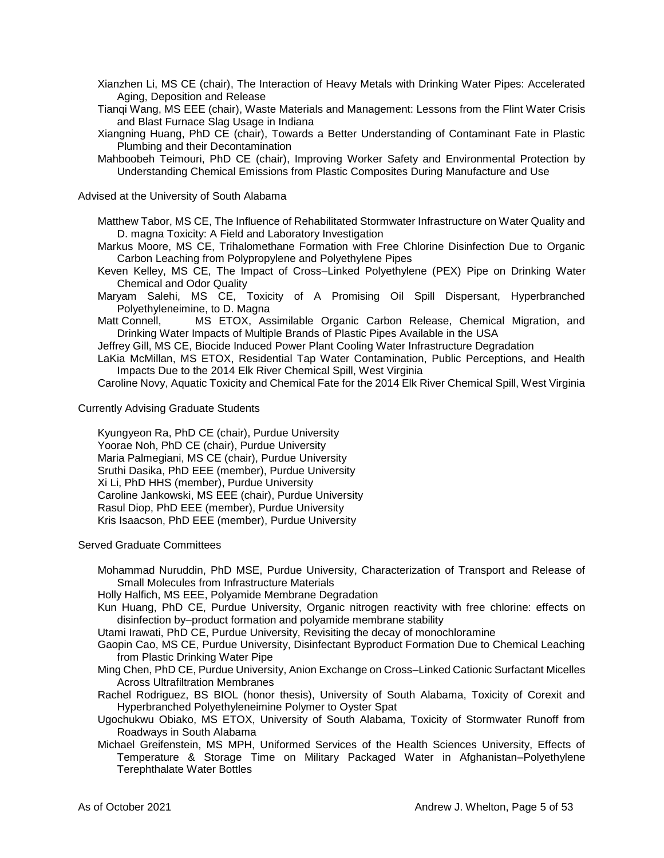Xianzhen Li, MS CE (chair), The Interaction of Heavy Metals with Drinking Water Pipes: Accelerated Aging, Deposition and Release

Tianqi Wang, MS EEE (chair), Waste Materials and Management: Lessons from the Flint Water Crisis and Blast Furnace Slag Usage in Indiana

Xiangning Huang, PhD CE (chair), Towards a Better Understanding of Contaminant Fate in Plastic Plumbing and their Decontamination

Mahboobeh Teimouri, PhD CE (chair), Improving Worker Safety and Environmental Protection by Understanding Chemical Emissions from Plastic Composites During Manufacture and Use

Advised at the University of South Alabama

Matthew Tabor, MS CE, The Influence of Rehabilitated Stormwater Infrastructure on Water Quality and D. magna Toxicity: A Field and Laboratory Investigation

Markus Moore, MS CE, Trihalomethane Formation with Free Chlorine Disinfection Due to Organic Carbon Leaching from Polypropylene and Polyethylene Pipes

Keven Kelley, MS CE, The Impact of Cross–Linked Polyethylene (PEX) Pipe on Drinking Water Chemical and Odor Quality

Maryam Salehi, MS CE, Toxicity of A Promising Oil Spill Dispersant, Hyperbranched Polyethyleneimine, to D. Magna

Matt Connell, MS ETOX, Assimilable Organic Carbon Release, Chemical Migration, and Drinking Water Impacts of Multiple Brands of Plastic Pipes Available in the USA

Jeffrey Gill, MS CE, Biocide Induced Power Plant Cooling Water Infrastructure Degradation

LaKia McMillan, MS ETOX, Residential Tap Water Contamination, Public Perceptions, and Health Impacts Due to the 2014 Elk River Chemical Spill, West Virginia

Caroline Novy, Aquatic Toxicity and Chemical Fate for the 2014 Elk River Chemical Spill, West Virginia

Currently Advising Graduate Students

Kyungyeon Ra, PhD CE (chair), Purdue University Yoorae Noh, PhD CE (chair), Purdue University Maria Palmegiani, MS CE (chair), Purdue University Sruthi Dasika, PhD EEE (member), Purdue University Xi Li, PhD HHS (member), Purdue University Caroline Jankowski, MS EEE (chair), Purdue University Rasul Diop, PhD EEE (member), Purdue University Kris Isaacson, PhD EEE (member), Purdue University

Served Graduate Committees

Mohammad Nuruddin, PhD MSE, Purdue University, Characterization of Transport and Release of Small Molecules from Infrastructure Materials

Holly Halfich, MS EEE, Polyamide Membrane Degradation

Kun Huang, PhD CE, Purdue University, Organic nitrogen reactivity with free chlorine: effects on disinfection by–product formation and polyamide membrane stability

Utami Irawati, PhD CE, Purdue University, Revisiting the decay of monochloramine

Gaopin Cao, MS CE, Purdue University, Disinfectant Byproduct Formation Due to Chemical Leaching from Plastic Drinking Water Pipe

- Ming Chen, PhD CE, Purdue University, Anion Exchange on Cross–Linked Cationic Surfactant Micelles Across Ultrafiltration Membranes
- Rachel Rodriguez, BS BIOL (honor thesis), University of South Alabama, Toxicity of Corexit and Hyperbranched Polyethyleneimine Polymer to Oyster Spat
- Ugochukwu Obiako, MS ETOX, University of South Alabama, Toxicity of Stormwater Runoff from Roadways in South Alabama
- Michael Greifenstein, MS MPH, Uniformed Services of the Health Sciences University, Effects of Temperature & Storage Time on Military Packaged Water in Afghanistan–Polyethylene Terephthalate Water Bottles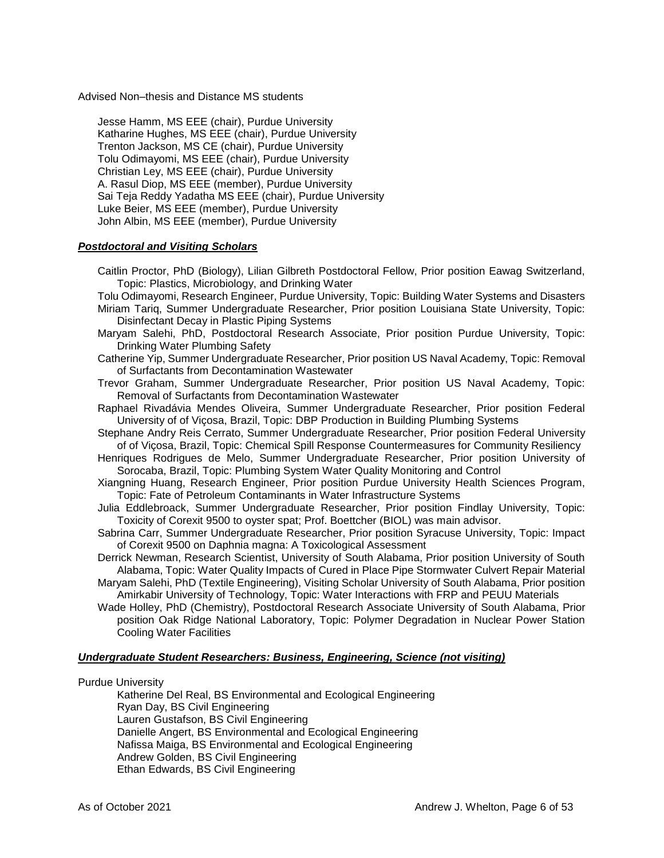Advised Non–thesis and Distance MS students

Jesse Hamm, MS EEE (chair), Purdue University Katharine Hughes, MS EEE (chair), Purdue University Trenton Jackson, MS CE (chair), Purdue University Tolu Odimayomi, MS EEE (chair), Purdue University Christian Ley, MS EEE (chair), Purdue University A. Rasul Diop, MS EEE (member), Purdue University Sai Teja Reddy Yadatha MS EEE (chair), Purdue University Luke Beier, MS EEE (member), Purdue University John Albin, MS EEE (member), Purdue University

#### *Postdoctoral and Visiting Scholars*

Caitlin Proctor, PhD (Biology), Lilian Gilbreth Postdoctoral Fellow, Prior position Eawag Switzerland, Topic: Plastics, Microbiology, and Drinking Water

Tolu Odimayomi, Research Engineer, Purdue University, Topic: Building Water Systems and Disasters Miriam Tariq, Summer Undergraduate Researcher, Prior position Louisiana State University, Topic: Disinfectant Decay in Plastic Piping Systems

Maryam Salehi, PhD, Postdoctoral Research Associate, Prior position Purdue University, Topic: Drinking Water Plumbing Safety

Catherine Yip, Summer Undergraduate Researcher, Prior position US Naval Academy, Topic: Removal of Surfactants from Decontamination Wastewater

Trevor Graham, Summer Undergraduate Researcher, Prior position US Naval Academy, Topic: Removal of Surfactants from Decontamination Wastewater

- Raphael Rivadávia Mendes Oliveira, Summer Undergraduate Researcher, Prior position Federal University of of Viçosa, Brazil, Topic: DBP Production in Building Plumbing Systems
- Stephane Andry Reis Cerrato, Summer Undergraduate Researcher, Prior position Federal University of of Viçosa, Brazil, Topic: Chemical Spill Response Countermeasures for Community Resiliency
- Henriques Rodrigues de Melo, Summer Undergraduate Researcher, Prior position University of Sorocaba, Brazil, Topic: Plumbing System Water Quality Monitoring and Control
- Xiangning Huang, Research Engineer, Prior position Purdue University Health Sciences Program, Topic: Fate of Petroleum Contaminants in Water Infrastructure Systems

Julia Eddlebroack, Summer Undergraduate Researcher, Prior position Findlay University, Topic: Toxicity of Corexit 9500 to oyster spat; Prof. Boettcher (BIOL) was main advisor.

Sabrina Carr, Summer Undergraduate Researcher, Prior position Syracuse University, Topic: Impact of Corexit 9500 on Daphnia magna: A Toxicological Assessment

Derrick Newman, Research Scientist, University of South Alabama, Prior position University of South Alabama, Topic: Water Quality Impacts of Cured in Place Pipe Stormwater Culvert Repair Material

Maryam Salehi, PhD (Textile Engineering), Visiting Scholar University of South Alabama, Prior position Amirkabir University of Technology, Topic: Water Interactions with FRP and PEUU Materials

Wade Holley, PhD (Chemistry), Postdoctoral Research Associate University of South Alabama, Prior position Oak Ridge National Laboratory, Topic: Polymer Degradation in Nuclear Power Station Cooling Water Facilities

#### *Undergraduate Student Researchers: Business, Engineering, Science (not visiting)*

#### Purdue University

Katherine Del Real, BS Environmental and Ecological Engineering Ryan Day, BS Civil Engineering Lauren Gustafson, BS Civil Engineering Danielle Angert, BS Environmental and Ecological Engineering Nafissa Maiga, BS Environmental and Ecological Engineering Andrew Golden, BS Civil Engineering Ethan Edwards, BS Civil Engineering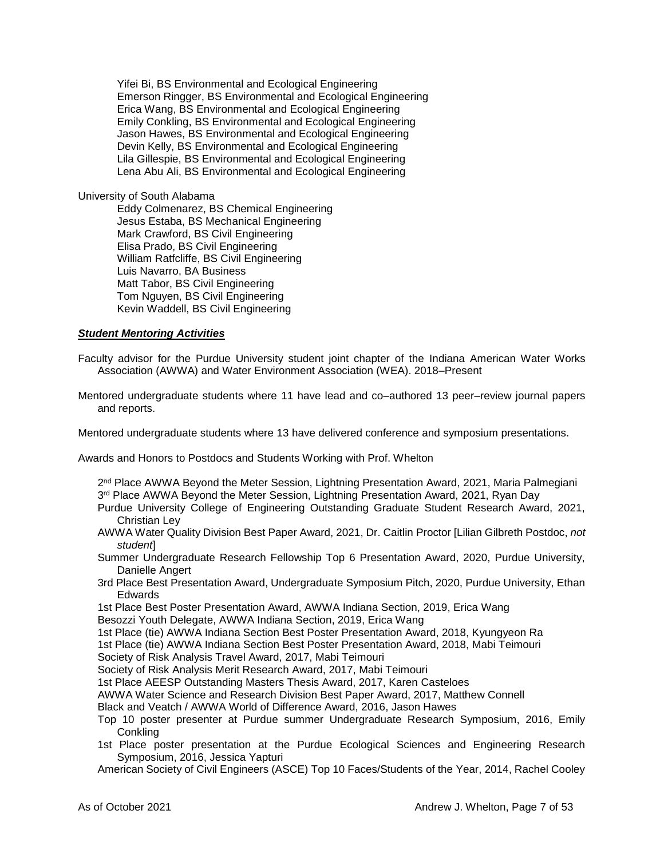Yifei Bi, BS Environmental and Ecological Engineering Emerson Ringger, BS Environmental and Ecological Engineering Erica Wang, BS Environmental and Ecological Engineering Emily Conkling, BS Environmental and Ecological Engineering Jason Hawes, BS Environmental and Ecological Engineering Devin Kelly, BS Environmental and Ecological Engineering Lila Gillespie, BS Environmental and Ecological Engineering Lena Abu Ali, BS Environmental and Ecological Engineering

#### University of South Alabama

Eddy Colmenarez, BS Chemical Engineering Jesus Estaba, BS Mechanical Engineering Mark Crawford, BS Civil Engineering Elisa Prado, BS Civil Engineering William Ratfcliffe, BS Civil Engineering Luis Navarro, BA Business Matt Tabor, BS Civil Engineering Tom Nguyen, BS Civil Engineering Kevin Waddell, BS Civil Engineering

#### *Student Mentoring Activities*

- Faculty advisor for the Purdue University student joint chapter of the Indiana American Water Works Association (AWWA) and Water Environment Association (WEA). 2018–Present
- Mentored undergraduate students where 11 have lead and co–authored 13 peer–review journal papers and reports.

Mentored undergraduate students where 13 have delivered conference and symposium presentations.

Awards and Honors to Postdocs and Students Working with Prof. Whelton

2<sup>nd</sup> Place AWWA Beyond the Meter Session, Lightning Presentation Award, 2021, Maria Palmegiani 3<sup>rd</sup> Place AWWA Beyond the Meter Session, Lightning Presentation Award, 2021, Ryan Day

- Purdue University College of Engineering Outstanding Graduate Student Research Award, 2021, Christian Ley
- AWWA Water Quality Division Best Paper Award, 2021, Dr. Caitlin Proctor [Lilian Gilbreth Postdoc, *not student*]
- Summer Undergraduate Research Fellowship Top 6 Presentation Award, 2020, Purdue University, Danielle Angert
- 3rd Place Best Presentation Award, Undergraduate Symposium Pitch, 2020, Purdue University, Ethan **Edwards**

1st Place Best Poster Presentation Award, AWWA Indiana Section, 2019, Erica Wang

Besozzi Youth Delegate, AWWA Indiana Section, 2019, Erica Wang

1st Place (tie) AWWA Indiana Section Best Poster Presentation Award, 2018, Kyungyeon Ra

1st Place (tie) AWWA Indiana Section Best Poster Presentation Award, 2018, Mabi Teimouri

Society of Risk Analysis Travel Award, 2017, Mabi Teimouri

Society of Risk Analysis Merit Research Award, 2017, Mabi Teimouri

1st Place AEESP Outstanding Masters Thesis Award, 2017, Karen Casteloes

AWWA Water Science and Research Division Best Paper Award, 2017, Matthew Connell

Black and Veatch / AWWA World of Difference Award, 2016, Jason Hawes

- Top 10 poster presenter at Purdue summer Undergraduate Research Symposium, 2016, Emily **Conkling**
- 1st Place poster presentation at the Purdue Ecological Sciences and Engineering Research Symposium, 2016, Jessica Yapturi

American Society of Civil Engineers (ASCE) Top 10 Faces/Students of the Year, 2014, Rachel Cooley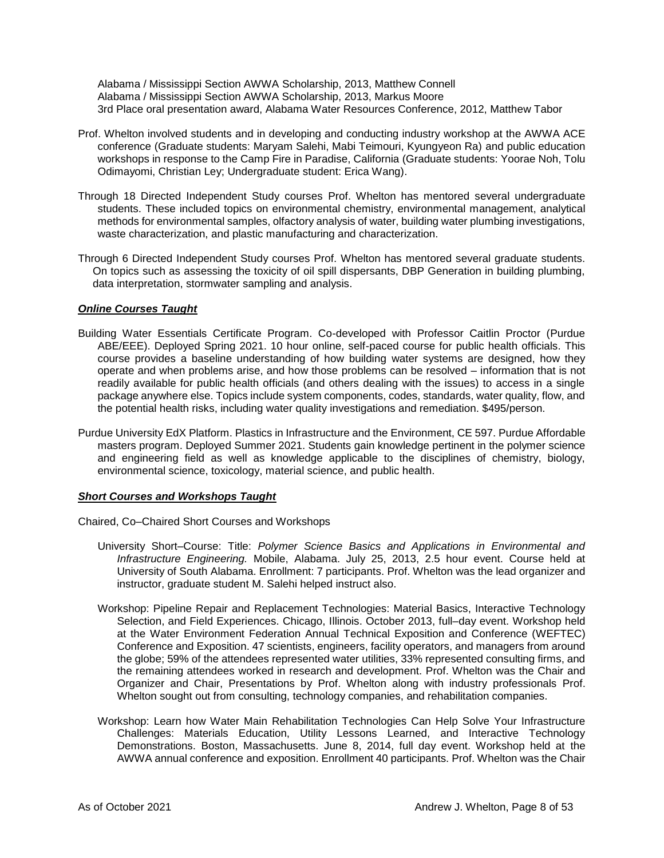Alabama / Mississippi Section AWWA Scholarship, 2013, Matthew Connell Alabama / Mississippi Section AWWA Scholarship, 2013, Markus Moore 3rd Place oral presentation award, Alabama Water Resources Conference, 2012, Matthew Tabor

- Prof. Whelton involved students and in developing and conducting industry workshop at the AWWA ACE conference (Graduate students: Maryam Salehi, Mabi Teimouri, Kyungyeon Ra) and public education workshops in response to the Camp Fire in Paradise, California (Graduate students: Yoorae Noh, Tolu Odimayomi, Christian Ley; Undergraduate student: Erica Wang).
- Through 18 Directed Independent Study courses Prof. Whelton has mentored several undergraduate students. These included topics on environmental chemistry, environmental management, analytical methods for environmental samples, olfactory analysis of water, building water plumbing investigations, waste characterization, and plastic manufacturing and characterization.
- Through 6 Directed Independent Study courses Prof. Whelton has mentored several graduate students. On topics such as assessing the toxicity of oil spill dispersants, DBP Generation in building plumbing, data interpretation, stormwater sampling and analysis.

# *Online Courses Taught*

- Building Water Essentials Certificate Program. Co-developed with Professor Caitlin Proctor (Purdue ABE/EEE). Deployed Spring 2021. 10 hour online, self-paced course for public health officials. This course provides a baseline understanding of how building water systems are designed, how they operate and when problems arise, and how those problems can be resolved – information that is not readily available for public health officials (and others dealing with the issues) to access in a single package anywhere else. Topics include system components, codes, standards, water quality, flow, and the potential health risks, including water quality investigations and remediation. \$495/person.
- Purdue University EdX Platform. Plastics in Infrastructure and the Environment, CE 597. Purdue Affordable masters program. Deployed Summer 2021. Students gain knowledge pertinent in the polymer science and engineering field as well as knowledge applicable to the disciplines of chemistry, biology, environmental science, toxicology, material science, and public health.

#### *Short Courses and Workshops Taught*

Chaired, Co–Chaired Short Courses and Workshops

- University Short–Course: Title: *Polymer Science Basics and Applications in Environmental and Infrastructure Engineering.* Mobile, Alabama. July 25, 2013, 2.5 hour event. Course held at University of South Alabama. Enrollment: 7 participants. Prof. Whelton was the lead organizer and instructor, graduate student M. Salehi helped instruct also.
- Workshop: Pipeline Repair and Replacement Technologies: Material Basics, Interactive Technology Selection, and Field Experiences. Chicago, Illinois. October 2013, full–day event. Workshop held at the Water Environment Federation Annual Technical Exposition and Conference (WEFTEC) Conference and Exposition. 47 scientists, engineers, facility operators, and managers from around the globe; 59% of the attendees represented water utilities, 33% represented consulting firms, and the remaining attendees worked in research and development. Prof. Whelton was the Chair and Organizer and Chair, Presentations by Prof. Whelton along with industry professionals Prof. Whelton sought out from consulting, technology companies, and rehabilitation companies.
- Workshop: Learn how Water Main Rehabilitation Technologies Can Help Solve Your Infrastructure Challenges: Materials Education, Utility Lessons Learned, and Interactive Technology Demonstrations. Boston, Massachusetts. June 8, 2014, full day event. Workshop held at the AWWA annual conference and exposition. Enrollment 40 participants. Prof. Whelton was the Chair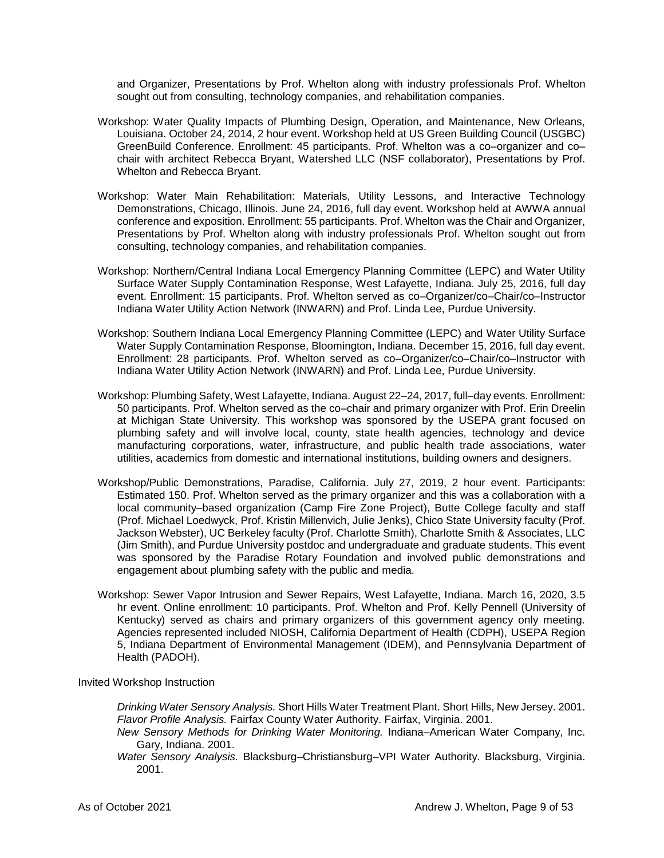and Organizer, Presentations by Prof. Whelton along with industry professionals Prof. Whelton sought out from consulting, technology companies, and rehabilitation companies.

- Workshop: Water Quality Impacts of Plumbing Design, Operation, and Maintenance, New Orleans, Louisiana. October 24, 2014, 2 hour event. Workshop held at US Green Building Council (USGBC) GreenBuild Conference. Enrollment: 45 participants. Prof. Whelton was a co–organizer and co– chair with architect Rebecca Bryant, Watershed LLC (NSF collaborator), Presentations by Prof. Whelton and Rebecca Bryant.
- Workshop: Water Main Rehabilitation: Materials, Utility Lessons, and Interactive Technology Demonstrations, Chicago, Illinois. June 24, 2016, full day event. Workshop held at AWWA annual conference and exposition. Enrollment: 55 participants. Prof. Whelton was the Chair and Organizer, Presentations by Prof. Whelton along with industry professionals Prof. Whelton sought out from consulting, technology companies, and rehabilitation companies.
- Workshop: Northern/Central Indiana Local Emergency Planning Committee (LEPC) and Water Utility Surface Water Supply Contamination Response, West Lafayette, Indiana. July 25, 2016, full day event. Enrollment: 15 participants. Prof. Whelton served as co–Organizer/co–Chair/co–Instructor Indiana Water Utility Action Network (INWARN) and Prof. Linda Lee, Purdue University.
- Workshop: Southern Indiana Local Emergency Planning Committee (LEPC) and Water Utility Surface Water Supply Contamination Response, Bloomington, Indiana. December 15, 2016, full day event. Enrollment: 28 participants. Prof. Whelton served as co–Organizer/co–Chair/co–Instructor with Indiana Water Utility Action Network (INWARN) and Prof. Linda Lee, Purdue University.
- Workshop: Plumbing Safety, West Lafayette, Indiana. August 22–24, 2017, full–day events. Enrollment: 50 participants. Prof. Whelton served as the co–chair and primary organizer with Prof. Erin Dreelin at Michigan State University. This workshop was sponsored by the USEPA grant focused on plumbing safety and will involve local, county, state health agencies, technology and device manufacturing corporations, water, infrastructure, and public health trade associations, water utilities, academics from domestic and international institutions, building owners and designers.
- Workshop/Public Demonstrations, Paradise, California. July 27, 2019, 2 hour event. Participants: Estimated 150. Prof. Whelton served as the primary organizer and this was a collaboration with a local community–based organization (Camp Fire Zone Project), Butte College faculty and staff (Prof. Michael Loedwyck, Prof. Kristin Millenvich, Julie Jenks), Chico State University faculty (Prof. Jackson Webster), UC Berkeley faculty (Prof. Charlotte Smith), Charlotte Smith & Associates, LLC (Jim Smith), and Purdue University postdoc and undergraduate and graduate students. This event was sponsored by the Paradise Rotary Foundation and involved public demonstrations and engagement about plumbing safety with the public and media.
- Workshop: Sewer Vapor Intrusion and Sewer Repairs, West Lafayette, Indiana. March 16, 2020, 3.5 hr event. Online enrollment: 10 participants. Prof. Whelton and Prof. Kelly Pennell (University of Kentucky) served as chairs and primary organizers of this government agency only meeting. Agencies represented included NIOSH, California Department of Health (CDPH), USEPA Region 5, Indiana Department of Environmental Management (IDEM), and Pennsylvania Department of Health (PADOH).

Invited Workshop Instruction

*Drinking Water Sensory Analysis.* Short Hills Water Treatment Plant. Short Hills, New Jersey. 2001. *Flavor Profile Analysis.* Fairfax County Water Authority. Fairfax, Virginia. 2001.

- *New Sensory Methods for Drinking Water Monitoring.* Indiana–American Water Company, Inc. Gary, Indiana. 2001.
- *Water Sensory Analysis.* Blacksburg–Christiansburg–VPI Water Authority. Blacksburg, Virginia. 2001.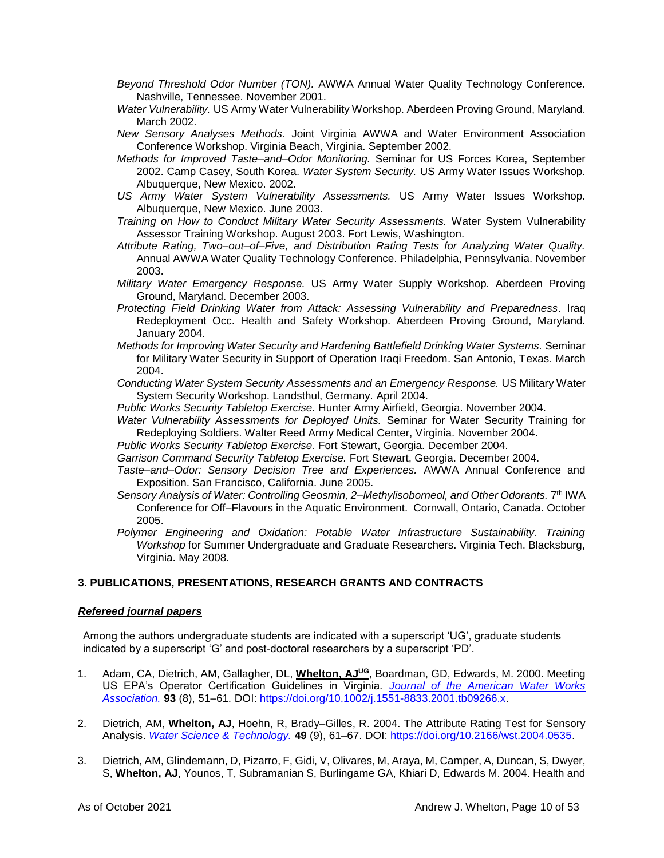- *Beyond Threshold Odor Number (TON).* AWWA Annual Water Quality Technology Conference. Nashville, Tennessee. November 2001.
- *Water Vulnerability.* US Army Water Vulnerability Workshop. Aberdeen Proving Ground, Maryland. March 2002.
- *New Sensory Analyses Methods.* Joint Virginia AWWA and Water Environment Association Conference Workshop. Virginia Beach, Virginia. September 2002.
- *Methods for Improved Taste–and–Odor Monitoring.* Seminar for US Forces Korea, September 2002. Camp Casey, South Korea. *Water System Security.* US Army Water Issues Workshop. Albuquerque, New Mexico. 2002.
- *US Army Water System Vulnerability Assessments.* US Army Water Issues Workshop. Albuquerque, New Mexico. June 2003.
- *Training on How to Conduct Military Water Security Assessments.* Water System Vulnerability Assessor Training Workshop. August 2003. Fort Lewis, Washington.
- *Attribute Rating, Two–out–of–Five, and Distribution Rating Tests for Analyzing Water Quality.*  Annual AWWA Water Quality Technology Conference. Philadelphia, Pennsylvania. November 2003.
- *Military Water Emergency Response.* US Army Water Supply Workshop*.* Aberdeen Proving Ground, Maryland. December 2003.
- *Protecting Field Drinking Water from Attack: Assessing Vulnerability and Preparedness*. Iraq Redeployment Occ. Health and Safety Workshop. Aberdeen Proving Ground, Maryland. January 2004.
- *Methods for Improving Water Security and Hardening Battlefield Drinking Water Systems.* Seminar for Military Water Security in Support of Operation Iraqi Freedom. San Antonio, Texas. March 2004.
- *Conducting Water System Security Assessments and an Emergency Response.* US Military Water System Security Workshop. Landsthul, Germany. April 2004.
- *Public Works Security Tabletop Exercise.* Hunter Army Airfield, Georgia. November 2004.
- *Water Vulnerability Assessments for Deployed Units.* Seminar for Water Security Training for Redeploying Soldiers. Walter Reed Army Medical Center, Virginia. November 2004.
- *Public Works Security Tabletop Exercise.* Fort Stewart, Georgia. December 2004.
- *Garrison Command Security Tabletop Exercise.* Fort Stewart, Georgia. December 2004.
- *Taste–and–Odor: Sensory Decision Tree and Experiences.* AWWA Annual Conference and Exposition. San Francisco, California. June 2005.
- Sensory Analysis of Water: Controlling Geosmin, 2–Methylisoborneol, and Other Odorants. 7<sup>th</sup> IWA Conference for Off–Flavours in the Aquatic Environment. Cornwall, Ontario, Canada. October 2005.
- *Polymer Engineering and Oxidation: Potable Water Infrastructure Sustainability. Training Workshop* for Summer Undergraduate and Graduate Researchers. Virginia Tech. Blacksburg, Virginia. May 2008.

#### <span id="page-9-0"></span>**3. PUBLICATIONS, PRESENTATIONS, RESEARCH GRANTS AND CONTRACTS**

#### *Refereed journal papers*

Among the authors undergraduate students are indicated with a superscript 'UG', graduate students indicated by a superscript 'G' and post-doctoral researchers by a superscript 'PD'.

- 1. Adam, CA, Dietrich, AM, Gallagher, DL, **Whelton, AJUG**, Boardman, GD, Edwards, M. 2000. Meeting US EPA's Operator Certification Guidelines in Virginia*. [Journal of the American Water Works](http://www.awwa.org/publications/JournalCurrent.cfm)  [Association.](http://www.awwa.org/publications/JournalCurrent.cfm)* **93** (8), 51–61. DOI: [https://doi.org/10.1002/j.1551-8833.2001.tb09266.x.](https://doi.org/10.1002/j.1551-8833.2001.tb09266.x)
- 2. Dietrich, AM, **Whelton, AJ**, Hoehn, R, Brady–Gilles, R. 2004. The Attribute Rating Test for Sensory Analysis. *[Water Science & Technology.](http://www.iwaponline.com/wst/04909/wst049090061.htm)* **49** (9), 61–67. DOI: [https://doi.org/10.2166/wst.2004.0535.](https://doi.org/10.2166/wst.2004.0535)
- 3. Dietrich, AM, Glindemann, D, Pizarro, F, Gidi, V, Olivares, M, Araya, M, Camper, A, Duncan, S, Dwyer, S, **Whelton, AJ**, Younos, T, Subramanian S, Burlingame GA, Khiari D, Edwards M. 2004. Health and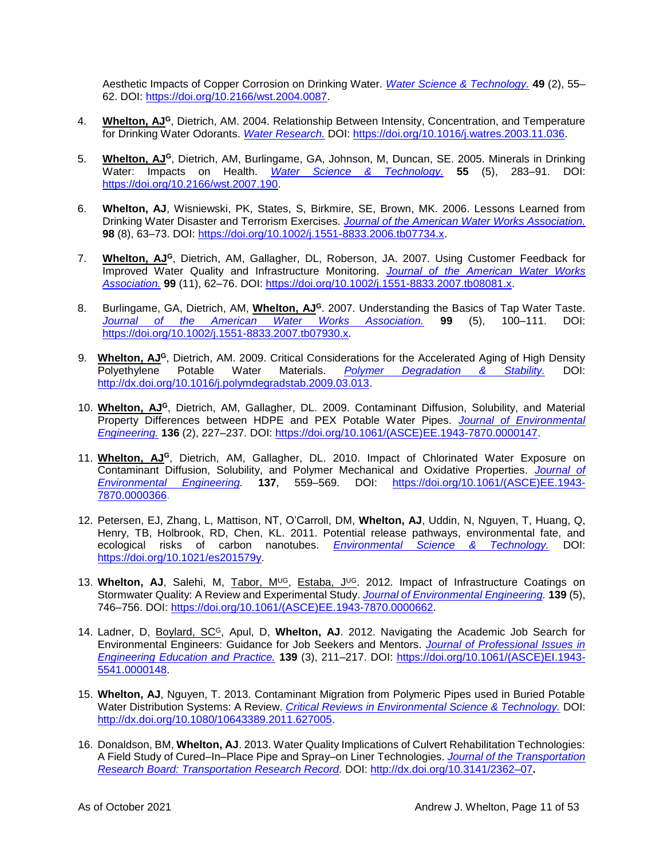Aesthetic Impacts of Copper Corrosion on Drinking Water. *[Water Science & Technology.](http://www.iwaponline.com/wst/04902/wst049020055.htm)* **49** (2), 55– 62. DOI: [https://doi.org/10.2166/wst.2004.0087.](https://doi.org/10.2166/wst.2004.0087)

- 4. **Whelton, AJ<sup>G</sup>**, Dietrich, AM. 2004. Relationship Between Intensity, Concentration, and Temperature for Drinking Water Odorants. *[Water Research.](doi:10.1016/j.watres.2003.11.036)* DOI: [https://doi.org/10.1016/j.watres.2003.11.036.](https://doi.org/10.1016/j.watres.2003.11.036)
- 5. **Whelton, AJ<sup>G</sup>**, Dietrich, AM, Burlingame, GA, Johnson, M, Duncan, SE. 2005. Minerals in Drinking Water: Impacts on Health. *[Water Science & Technology.](http://www.ncbi.nlm.nih.gov/pubmed/17489421)* **55** (5), 283–91. DOI: [https://doi.org/10.2166/wst.2007.190.](https://doi.org/10.2166/wst.2007.190)
- 6. **Whelton, AJ**, Wisniewski, PK, States, S, Birkmire, SE, Brown, MK. 2006. Lessons Learned from Drinking Water Disaster and Terrorism Exercises. *[Journal of the American Water Works Association.](http://www.awwa.org/publications/JournalCurrent.cfm)* **98** (8), 63–73. DOI: [https://doi.org/10.1002/j.1551-8833.2006.tb07734.x.](https://doi.org/10.1002/j.1551-8833.2006.tb07734.x)
- 7. **Whelton, AJ<sup>G</sup>**, Dietrich, AM, Gallagher, DL, Roberson, JA. 2007. Using Customer Feedback for Improved Water Quality and Infrastructure Monitoring. *[Journal of the American Water Works](http://www.awwa.org/publications/AWWAJournalArticle.cfm?itemnumber=31806)  [Association.](http://www.awwa.org/publications/AWWAJournalArticle.cfm?itemnumber=31806)* **99** (11), 62–76. DOI: [https://doi.org/10.1002/j.1551-8833.2007.tb08081.x.](https://doi.org/10.1002/j.1551-8833.2007.tb08081.x)
- 8. Burlingame, GA, Dietrich, AM, **Whelton, AJ<sup>G</sup>**. 2007. Understanding the Basics of Tap Water Taste. *[Journal of the American Water Works Association.](http://www.awwa.org/publications/AWWAJournalArticle.cfm?itemnumber=5145)* **99** (5), 100–111. DOI: [https://doi.org/10.1002/j.1551-8833.2007.tb07930.x.](https://doi.org/10.1002/j.1551-8833.2007.tb07930.x)
- 9. **Whelton, AJ<sup>G</sup>**, Dietrich, AM. 2009. Critical Considerations for the Accelerated Aging of High Density<br>Polyethylene Potable Water Materials. *Polymer Degradation & Stability*. DOI: Potable Water Materials. *[Polymer Degradation & Stability.](doi:10.1016/j.polymdegradstab.2009.03.013)* DOI: [http://dx.doi.org/10.1016/j.polymdegradstab.2009.03.013.](http://dx.doi.org/10.1016/j.polymdegradstab.2009.03.013)
- 10. **Whelton, AJ<sup>G</sup>**, Dietrich, AM, Gallagher, DL. 2009. Contaminant Diffusion, Solubility, and Material Property Differences between HDPE and PEX Potable Water Pipes. *[Journal of Environmental](http://dx.doi.org/10.1061/(ASCE)EE.1943-7870.0000147)  [Engineering.](http://dx.doi.org/10.1061/(ASCE)EE.1943-7870.0000147)* **136** (2), 227–237. DOI: [https://doi.org/10.1061/\(ASCE\)EE.1943-7870.0000147.](https://doi.org/10.1061/(ASCE)EE.1943-7870.0000147)
- 11. **Whelton, AJ<sup>G</sup>**, Dietrich, AM, Gallagher, DL. 2010. Impact of Chlorinated Water Exposure on Contaminant Diffusion, Solubility, and Polymer Mechanical and Oxidative Properties. *[Journal of](http://scitation.aip.org/eeo/)  [Environmental Engineering.](http://scitation.aip.org/eeo/)* **137**, 559–569. DOI: [https://doi.org/10.1061/\(ASCE\)EE.1943-](https://doi.org/10.1061/(ASCE)EE.1943-7870.0000366) [7870.0000366.](https://doi.org/10.1061/(ASCE)EE.1943-7870.0000366)
- 12. Petersen, EJ, Zhang, L, Mattison, NT, O'Carroll, DM, **Whelton, AJ**, Uddin, N, Nguyen, T, Huang, Q, Henry, TB, Holbrook, RD, Chen, KL. 2011. Potential release pathways, environmental fate, and ecological risks of carbon nanotubes. *[Environmental Science & Technology.](http://pubs.acs.org/journal/esthag)* DOI: [https://doi.org/10.1021/es201579y.](https://doi.org/10.1021/es201579y)
- 13. Whelton, AJ, Salehi, M, Tabor, M<sup>uG</sup>, Estaba, J<sup>uG</sup>. 2012. Impact of Infrastructure Coatings on Stormwater Quality: A Review and Experimental Study. *[Journal of Environmental Engineering.](http://scitation.aip.org/eeo/)* **139** (5), 746–756. DOI: [https://doi.org/10.1061/\(ASCE\)EE.1943-7870.0000662.](https://doi.org/10.1061/(ASCE)EE.1943-7870.0000662)
- 14. Ladner, D, Boylard, SC<sup>G</sup>, Apul, D, **Whelton, AJ**. 2012. Navigating the Academic Job Search for Environmental Engineers: Guidance for Job Seekers and Mentors. *[Journal of Professional Issues in](http://ascelibrary.org/journal/jpepe3)  [Engineering Education and Practice.](http://ascelibrary.org/journal/jpepe3)* **139** (3), 211–217. DOI: [https://doi.org/10.1061/\(ASCE\)EI.1943-](https://doi.org/10.1061/(ASCE)EI.1943-5541.0000148) [5541.0000148.](https://doi.org/10.1061/(ASCE)EI.1943-5541.0000148)
- 15. **Whelton, AJ**, Nguyen, T. 2013. Contaminant Migration from Polymeric Pipes used in Buried Potable Water Distribution Systems: A Review. *[Critical Reviews in Environmental Science & Technology.](http://www.tandf.co.uk/journals/titles/10643389.asp)* DOI: [http://dx.doi.org/10.1080/10643389.2011.627005.](http://dx.doi.org/10.1080/10643389.2011.627005)
- 16. Donaldson, BM, **Whelton, AJ**. 2013. Water Quality Implications of Culvert Rehabilitation Technologies: A Field Study of Cured–In–Place Pipe and Spray–on Liner Technologies. *Journal of the [Transportation](http://trb.metapress.com/home/main.mpx)  [Research Board:](http://trb.metapress.com/home/main.mpx) Transportation Research Record.* DOI: [http://dx.doi.org/10.3141/2362–07](http://dx.doi.org/10.3141/2362-07)**.**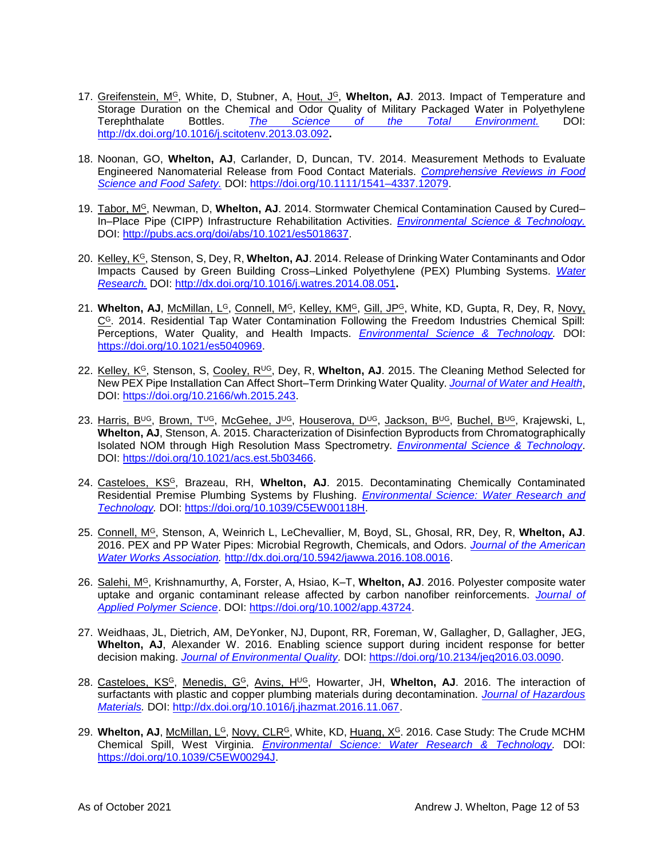- 17. Greifenstein, M<sup>G</sup>, White, D, Stubner, A, Hout, J<sup>G</sup>, Whelton, AJ. 2013. Impact of Temperature and Storage Duration on the Chemical and Odor Quality of Military Packaged Water in Polyethylene Terephthalate Bottles. *[The Science of the Total Environment.](http://www.journals.elsevier.com/science-of-the-total-environment/)* DOI: <http://dx.doi.org/10.1016/j.scitotenv.2013.03.092>**.**
- 18. Noonan, GO, **Whelton, AJ**, Carlander, D, Duncan, TV. 2014. Measurement Methods to Evaluate Engineered Nanomaterial Release from Food Contact Materials. *[Comprehensive Reviews in Food](http://onlinelibrary.wiley.com/doi/10.1111/1541-4337.12079/full)  [Science and Food Safety.](http://onlinelibrary.wiley.com/doi/10.1111/1541-4337.12079/full)* DOI: [https://doi.org/10.1111/1541–4337.12079.](https://doi.org/10.1111/1541-4337.12079)
- 19. Tabor, M<sup>G</sup>, Newman, D, **Whelton, AJ**. 2014. Stormwater Chemical Contamination Caused by Cured– In–Place Pipe (CIPP) Infrastructure Rehabilitation Activities. *[Environmental Science & Technology.](http://pubs.acs.org/journal/esthag)* DOI: [http://pubs.acs.org/doi/abs/10.1021/es5018637.](http://pubs.acs.org/doi/abs/10.1021/es5018637)
- 20. Kelley, K<sup>G</sup>, Stenson, S, Dey, R, **Whelton, AJ**. 2014. Release of Drinking Water Contaminants and Odor Impacts Caused by Green Building Cross–Linked Polyethylene (PEX) Plumbing Systems. *[Water](doi:10.1016/j.watres.2003.11.036)  [Research.](doi:10.1016/j.watres.2003.11.036)* DOI:<http://dx.doi.org/10.1016/j.watres.2014.08.051>**.**
- 21. **Whelton, AJ**, <u>McMillan, L<sup>G</sup>, Connell, M<sup>G</sup>, Kelley, KM<sup>G</sup>, <u>Gill, JP<sup>G</sup>,</u> White, KD, Gupta, R, Dey, R, <u>Novy,</u></u> C<sup>G</sup>. 2014. Residential Tap Water Contamination Following the Freedom Industries Chemical Spill: Perceptions, Water Quality, and Health Impacts. *[Environmental Science & Technology.](http://pubs.acs.org/doi/abs/10.1021/es5040969)* DOI: [https://doi.org/10.1021/es5040969.](https://doi.org/10.1021/es5040969)
- 22. Kelley, K<sup>G</sup>, Stenson, S, Cooley, RUG, Dey, R, **Whelton, AJ**. 2015. The Cleaning Method Selected for New PEX Pipe Installation Can Affect Short–Term Drinking Water Quality. *[Journal of Water and Health](http://www.iwaponline.com/jwh/)*, DOI: [https://doi.org/10.2166/wh.2015.243.](https://doi.org/10.2166/wh.2015.243)
- 23. <u>Harris, B<sup>uG</sup>, Brown, T<sup>uG</sup>, McGehee, J<sup>uG</sup>, Houserova, D<sup>uG</sup>, <u>Jackson, B<sup>uG</sup>, Buchel, B<sup>uG</sup>,</u> Krajewski, L,</u> **Whelton, AJ**, Stenson, A. 2015. Characterization of Disinfection Byproducts from Chromatographically Isolated NOM through High Resolution Mass Spectrometry. *[Environmental Science & Technology](http://pubs.acs.org/doi/abs/10.1021/es5040969)*. DOI: [https://doi.org/10.1021/acs.est.5b03466.](https://doi.org/10.1021/acs.est.5b03466)
- 24. Casteloes, KS<sup>G</sup>, Brazeau, RH, **Whelton, AJ**. 2015. Decontaminating Chemically Contaminated Residential Premise Plumbing Systems by Flushing. *[Environmental Science: Water Research and](http://pubs.rsc.org/en/journals/journalissues/ew#!recentarticles&adv)  [Technology.](http://pubs.rsc.org/en/journals/journalissues/ew#!recentarticles&adv)* DOI: [https://doi.org/10.1039/C5EW00118H.](https://doi.org/10.1039/C5EW00118H)
- 25. Connell, M<sup>G</sup>, Stenson, A, Weinrich L, LeChevallier, M, Boyd, SL, Ghosal, RR, Dey, R, **Whelton, AJ**. 2016. PEX and PP Water Pipes: Microbial Regrowth, Chemicals, and Odors. *[Journal of the American](http://www.awwa.org/publications/journal-awwa.aspx)  [Water Works Association.](http://www.awwa.org/publications/journal-awwa.aspx)* [http://dx.doi.org/10.5942/jawwa.2016.108.0016.](http://dx.doi.org/10.5942/jawwa.2016.108.0016)
- 26. Salehi, M<sup>G</sup>, Krishnamurthy, A, Forster, A, Hsiao, K–T, **Whelton, AJ**. 2016. Polyester composite water uptake and organic contaminant release affected by carbon nanofiber reinforcements. *[Journal of](http://onlinelibrary.wiley.com/doi/10.1002/app.43724/full)  [Applied Polymer Science](http://onlinelibrary.wiley.com/doi/10.1002/app.43724/full)*. DOI: [https://doi.org/10.1002/app.43724.](https://doi.org/10.1002/app.43724)
- 27. Weidhaas, JL, Dietrich, AM, DeYonker, NJ, Dupont, RR, Foreman, W, Gallagher, D, Gallagher, JEG, **Whelton, AJ**, Alexander W. 2016. Enabling science support during incident response for better decision making. *[Journal of Environmental Quality.](https://dl.sciencesocieties.org/publications/jeq/articles/45/5/1490)* DOI: [https://doi.org/10.2134/jeq2016.03.0090.](https://doi.org/10.2134/jeq2016.03.0090)
- 28. Casteloes, KS<sup>G</sup>, Menedis, G<sup>G</sup>, Avins, HUG, Howarter, JH, **Whelton, AJ**. 2016. The interaction of surfactants with plastic and copper plumbing materials during decontamination. *[Journal of Hazardous](http://dx.doi.org/10.1016/j.jhazmat.2016.11.067)  [Materials.](http://dx.doi.org/10.1016/j.jhazmat.2016.11.067)* DOI: [http://dx.doi.org/10.1016/j.jhazmat.2016.11.067.](http://dx.doi.org/10.1016/j.jhazmat.2016.11.067)
- 29. **Whelton, AJ**, <u>McMillan, L<sup>G</sup>, Novy, CLR<sup>G</sup>,</u> White, KD, <u>Huang, X<sup>G</sup>. 2016. Case Study: The Crude MCHM</u> Chemical Spill, West Virginia. *[Environmental Science: Water Research & Technology.](http://pubs.rsc.org/en/content/articlelanding/2017/ew/c5ew00294j#!divAbstract)* DOI: [https://doi.org/10.1039/C5EW00294J.](https://doi.org/10.1039/C5EW00294J)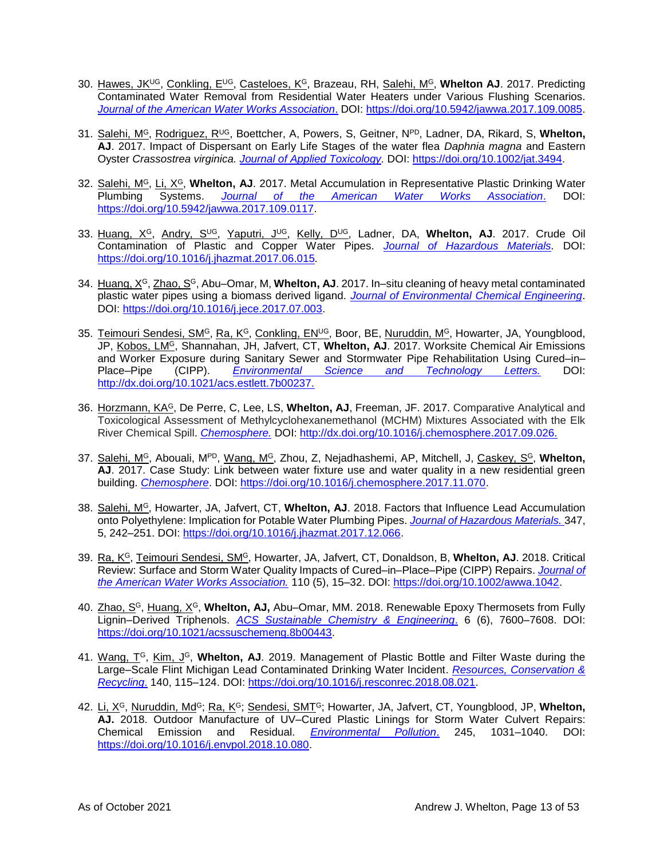- 30. Hawes, JKUG, Conkling, EUG, Casteloes, KG, Brazeau, RH, Salehi, MG, Whelton AJ. 2017. Predicting Contaminated Water Removal from Residential Water Heaters under Various Flushing Scenarios. *[Journal of the American Water Works Association](https://doi.org/10.5942/jawwa.2017.109.0085)*. DOI: [https://doi.org/10.5942/jawwa.2017.109.0085.](https://doi.org/10.5942/jawwa.2017.109.0085)
- 31. Salehi, M<sup>G</sup>, Rodriguez, RUG, Boettcher, A, Powers, S, Geitner, NPD, Ladner, DA, Rikard, S, **Whelton, AJ**. 2017. Impact of Dispersant on Early Life Stages of the water flea *Daphnia magna* and Eastern Oyster *Crassostrea virginica. [Journal of Applied Toxicology.](http://onlinelibrary.wiley.com/journal/10.1002/(ISSN)1099-1263)* DOI: [https://doi.org/10.1002/jat.3494.](https://doi.org/10.1002/jat.3494)
- 32. Salehi, M<sup>G</sup>, Li, X<sup>G</sup>, **Whelton, AJ**. 2017. Metal Accumulation in Representative Plastic Drinking Water Plumbing Systems. *[Journal of the American Water Works Association](https://www.awwa.org/publications/journal-awwa/in-press-articles.aspx)*. DOI: [https://doi.org/10.5942/jawwa.2017.109.0117.](https://doi.org/10.5942/jawwa.2017.109.0117)
- 33. Huang, X<sup>G</sup>, Andry, SUG, Yaputri, J UG, Kelly, DUG, Ladner, DA, **Whelton, AJ**. 2017. Crude Oil Contamination of Plastic and Copper Water Pipes. *[Journal of Hazardous Materials.](file://///bridge.ecn.purdue.edu/cehead/Promotions/2020-2021/Whelton,%20Andy/Journal%20of%20Hazardous%20Materials)* DOI: <https://doi.org/10.1016/j.jhazmat.2017.06.015>*.*
- 34. Huang, X<sup>G</sup>, Zhao, S<sup>G</sup>, Abu–Omar, M, Whelton, AJ. 2017. In–situ cleaning of heavy metal contaminated plastic water pipes using a biomass derived ligand. *[Journal of Environmental Chemical Engineering](http://www.sciencedirect.com/science/article/pii/S221334371730307X)*. DOI: [https://doi.org/10.1016/j.jece.2017.07.003.](https://doi.org/10.1016/j.jece.2017.07.003)
- 35. Teimouri Sendesi, SM<sup>G</sup>, Ra, K<sup>G</sup>, Conkling, EN<sup>UG</sup>, Boor, BE, Nuruddin, M<sup>G</sup>, Howarter, JA, Youngblood, JP, Kobos, LM<sup>G</sup>, Shannahan, JH, Jafvert, CT, **Whelton, AJ**. 2017. Worksite Chemical Air Emissions and Worker Exposure during Sanitary Sewer and Stormwater Pipe Rehabilitation Using Cured–in–<br>Place–Pipe (CIPP). Environmental Science and Technology Letters. DOI: Place–Pipe (CIPP). *[Environmental Science and Technology Letters.](http://pubs.acs.org/journal/estlcu)* DOI: <http://dx.doi.org/10.1021/acs.estlett.7b00237.>
- 36. Horzmann, KA<sup>G</sup>, De Perre, C, Lee, LS, **Whelton, AJ**, Freeman, JF. 2017. Comparative Analytical and Toxicological Assessment of Methylcyclohexanemethanol (MCHM) Mixtures Associated with the Elk River Chemical Spill. *[Chemosphere.](http://www.sciencedirect.com/science/article/pii/S0045653517314406)* DOI:<http://dx.doi.org/10.1016/j.chemosphere.2017.09.026.>
- 37. Salehi, M<sup>G</sup>, Abouali, MPD, Wang, M<sup>G</sup>, Zhou, Z, Nejadhashemi, AP, Mitchell, J, Caskey, S<sup>G</sup>, **Whelton, AJ**. 2017. Case Study: Link between water fixture use and water quality in a new residential green building. *[Chemosphere](https://www.sciencedirect.com/science/article/pii/S0045653517318477)*. DOI[: https://doi.org/10.1016/j.chemosphere.2017.11.070.](https://doi.org/10.1016/j.chemosphere.2017.11.070)
- 38. Salehi, M<sup>G</sup>, Howarter, JA, Jafvert, CT, **Whelton, AJ**. 2018. Factors that Influence Lead Accumulation onto Polyethylene: Implication for Potable Water Plumbing Pipes. *[Journal of Hazardous Materials.](https://www.journals.elsevier.com/journal-of-hazardous-materials/)* 347, 5, 242–251. DOI: [https://doi.org/10.1016/j.jhazmat.2017.12.066.](https://doi.org/10.1016/j.jhazmat.2017.12.066)
- 39. Ra, K<sup>G</sup>, Teimouri Sendesi, SM<sup>G</sup>, Howarter, JA, Jafvert, CT, Donaldson, B, **Whelton, AJ**. 2018. Critical Review: Surface and Storm Water Quality Impacts of Cured–in–Place–Pipe (CIPP) Repairs. *[Journal of](https://awwa.onlinelibrary.wiley.com/journal/15518833)  [the American Water Works Association.](https://awwa.onlinelibrary.wiley.com/journal/15518833)* 110 (5), 15–32. DOI: [https://doi.org/10.1002/awwa.1042.](https://doi.org/10.1002/awwa.1042)
- 40. Zhao, S<sup>G</sup>, Huang, X<sup>G</sup>, **Whelton, AJ,** Abu–Omar, MM. 2018. Renewable Epoxy Thermosets from Fully Lignin–Derived Triphenols. *[ACS Sustainable Chemistry & Engineering](https://pubs.acs.org/journal/ascecg)*. 6 (6), 7600–7608. DOI: [https://doi.org/10.1021/acssuschemeng.8b00443.](https://doi.org/10.1021/acssuschemeng.8b00443)
- 41. Wang, T<sup>G</sup>, Kim, J <sup>G</sup>, **Whelton, AJ**. 2019. Management of Plastic Bottle and Filter Waste during the Large–Scale Flint Michigan Lead Contaminated Drinking Water Incident. *[Resources, Conservation &](https://www.journals.elsevier.com/resources-conservation-and-recycling/)  [Recycling](https://www.journals.elsevier.com/resources-conservation-and-recycling/)*. 140, 115–124. DOI: [https://doi.org/10.1016/j.resconrec.2018.08.021.](https://doi.org/10.1016/j.resconrec.2018.08.021)
- 42. Li, X<sup>G</sup>, Nuruddin, Md<sup>G</sup>; Ra, K<sup>G</sup>; Sendesi, SMT<sup>G</sup>; Howarter, JA, Jafvert, CT, Youngblood, JP, **Whelton, AJ.** 2018. Outdoor Manufacture of UV–Cured Plastic Linings for Storm Water Culvert Repairs: Chemical Emission and Residual. *[Environmental Pollution](https://www.journals.elsevier.com/environmental-pollution/)*. 245, 1031–1040. DOI: [https://doi.org/10.1016/j.envpol.2018.10.080.](https://doi.org/10.1016/j.envpol.2018.10.080)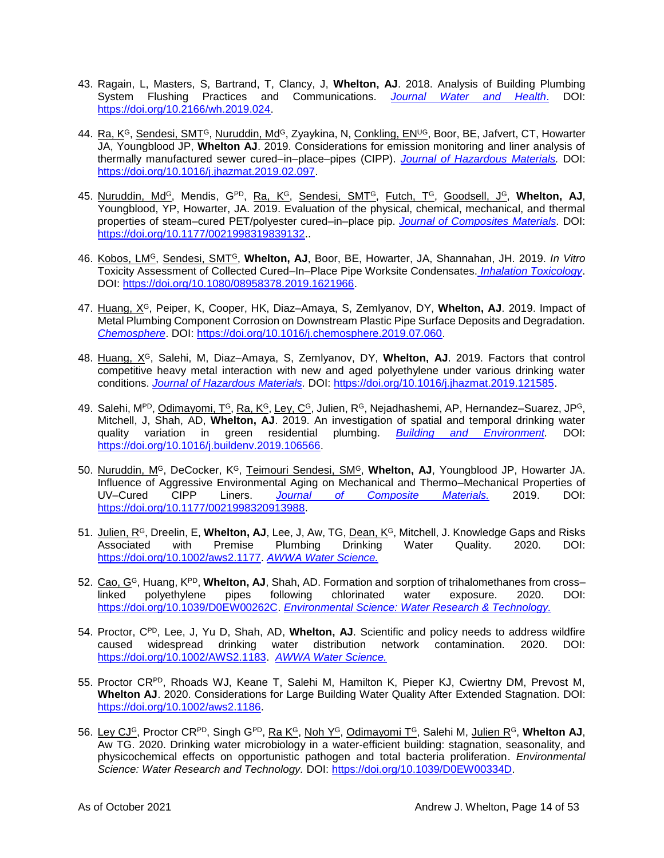- 43. Ragain, L, Masters, S, Bartrand, T, Clancy, J, **Whelton, AJ**. 2018. Analysis of Building Plumbing System Flushing Practices and Communications. *[Journal Water and Health](https://iwaponline.com/jwh/)*. DOI: [https://doi.org/10.2166/wh.2019.024.](https://doi.org/10.2166/wh.2019.024)
- 44. Ra, K<sup>G</sup>, Sendesi, SMT<sup>G</sup>, Nuruddin, Md<sup>G</sup>, Zyaykina, N, Conkling, EN<sup>UG</sup>, Boor, BE, Jafvert, CT, Howarter JA, Youngblood JP, **Whelton AJ**. 2019. Considerations for emission monitoring and liner analysis of thermally manufactured sewer cured–in–place–pipes (CIPP). *[Journal of Hazardous Materials.](https://www.journals.elsevier.com/journal-of-hazardous-materials/)* DOI: [https://doi.org/10.1016/j.jhazmat.2019.02.097.](https://doi.org/10.1016/j.jhazmat.2019.02.097)
- 45. Nuruddin, Md<sup>G</sup>, Mendis, GPD, Ra, K<sup>G</sup>, Sendesi, SMT<sup>G</sup>, Futch, T<sup>G</sup>, Goodsell, J <sup>G</sup>, **Whelton, AJ**, Youngblood, YP, Howarter, JA. 2019. Evaluation of the physical, chemical, mechanical, and thermal properties of steam–cured PET/polyester cured–in–place pip. *[Journal of Composites Materials.](https://journals.sagepub.com/home/jcm)* DOI: [https://doi.org/10.1177/0021998319839132.](https://doi.org/10.1177/0021998319839132).
- 46. Kobos, LM<sup>G</sup>, Sendesi, SMT<sup>G</sup>, **Whelton, AJ**, Boor, BE, Howarter, JA, Shannahan, JH. 2019. *In Vitro* Toxicity Assessment of Collected Cured–In–Place Pipe Worksite Condensates. *[Inhalation Toxicology](https://www.tandfonline.com/loi/iiht20)*. DOI: [https://doi.org/10.1080/08958378.2019.1621966.](https://doi.org/10.1080/08958378.2019.1621966)
- 47. Huang, X<sup>G</sup>, Peiper, K, Cooper, HK, Diaz–Amaya, S, Zemlyanov, DY, **Whelton, AJ**. 2019. Impact of Metal Plumbing Component Corrosion on Downstream Plastic Pipe Surface Deposits and Degradation. *[Chemosphere](https://www.sciencedirect.com/science/article/pii/S0045653517318477)*. DOI: [https://doi.org/10.1016/j.chemosphere.2019.07.060.](https://doi.org/10.1016/j.chemosphere.2019.07.060)
- 48. Huang, X<sup>G</sup>, Salehi, M, Diaz–Amaya, S, Zemlyanov, DY, **Whelton, AJ**. 2019. Factors that control competitive heavy metal interaction with new and aged polyethylene under various drinking water conditions. *[Journal of Hazardous Materials.](https://www.journals.elsevier.com/journal-of-hazardous-materials/)* DOI: [https://doi.org/10.1016/j.jhazmat.2019.121585.](https://doi.org/10.1016/j.jhazmat.2019.121585)
- 49. Salehi, M<sup>PD</sup>, Odimayomi, T<sup>G</sup>, Ra, K<sup>G</sup>, Ley, C<sup>G</sup>, Julien, R<sup>G</sup>, Nejadhashemi, AP, Hernandez–Suarez, JP<sup>G</sup>, Mitchell, J, Shah, AD, **Whelton, AJ**. 2019. An investigation of spatial and temporal drinking water quality variation in green residential plumbing. *[Building and Environment.](https://www.sciencedirect.com/science/article/abs/pii/S0360132319307784)* DOI: [https://doi.org/10.1016/j.buildenv.2019.106566.](https://doi.org/10.1016/j.buildenv.2019.106566)
- 50. Nuruddin, M<sup>G</sup>, DeCocker, K<sup>G</sup>, Teimouri Sendesi, SM<sup>G</sup>, Whelton, AJ, Youngblood JP, Howarter JA. Influence of Aggressive Environmental Aging on Mechanical and Thermo–Mechanical Properties of<br>UV–Cured CIPP Liners. Journal of Composite Materials. 2019. DOI: UV–Cured CIPP Liners. *[Journal of Composite Materials.](https://journals.sagepub.com/home/jcm)* 2019. DOI: [https://doi.org/10.1177/0021998320913988.](https://doi.org/10.1177/0021998320913988)
- 51. Julien, R<sup>G</sup>, Dreelin, E, **Whelton, AJ**, Lee, J, Aw, TG, Dean, K<sup>G</sup>, Mitchell, J. Knowledge Gaps and Risks Associated with Premise Plumbing Drinking Water Quality. 2020. DOI: [https://doi.org/10.1002/aws2.1177.](https://doi.org/10.1002/aws2.1177) *[AWWA Water Science.](https://awwa.onlinelibrary.wiley.com/journal/25778161)*
- 52. Cao, G<sup>G</sup>, Huang, K<sup>PD</sup>, **Whelton, AJ**, Shah, AD. Formation and sorption of trihalomethanes from cross–<br>linked polyethylene pipes following chlorinated water exposure. 2020. DOI: linked polyethylene pipes following chlorinated water exposure. 2020. DOI: [https://doi.org/10.1039/D0EW00262C.](https://doi.org/10.1039/D0EW00262C) *[Environmental Science: Water Research & Technology.](https://pubs.rsc.org/en/journals/journalissues/ew#!recentarticles&adv)*
- 54. Proctor, CPD, Lee, J, Yu D, Shah, AD, **Whelton, AJ**. Scientific and policy needs to address wildfire widespread drinking water distribution network contamination. 2020. DOI: [https://doi.org/10.1002/AWS2.1183.](https://doi.org/10.1002/AWS2.1183) *[AWWA Water Science.](https://awwa.onlinelibrary.wiley.com/journal/25778161)*
- 55. Proctor CRPD, Rhoads WJ, Keane T, Salehi M, Hamilton K, Pieper KJ, Cwiertny DM, Prevost M, **Whelton AJ**. 2020. Considerations for Large Building Water Quality After Extended Stagnation. DOI: [https://doi.org/10.1002/aws2.1186.](https://doi.org/10.1002/aws2.1186)
- 56. Ley CJ<sup>G</sup>, Proctor CR<sup>PD</sup>, Singh G<sup>PD</sup>, Ra K<sup>G</sup>, Noh Y<sup>G</sup>, Odimayomi T<sup>G</sup>, Salehi M, Julien R<sup>G</sup>, Whelton AJ, Aw TG. 2020. Drinking water microbiology in a water-efficient building: stagnation, seasonality, and physicochemical effects on opportunistic pathogen and total bacteria proliferation. *Environmental Science: Water Research and Technology.* DOI: [https://doi.org/10.1039/D0EW00334D.](https://doi.org/10.1039/D0EW00334D)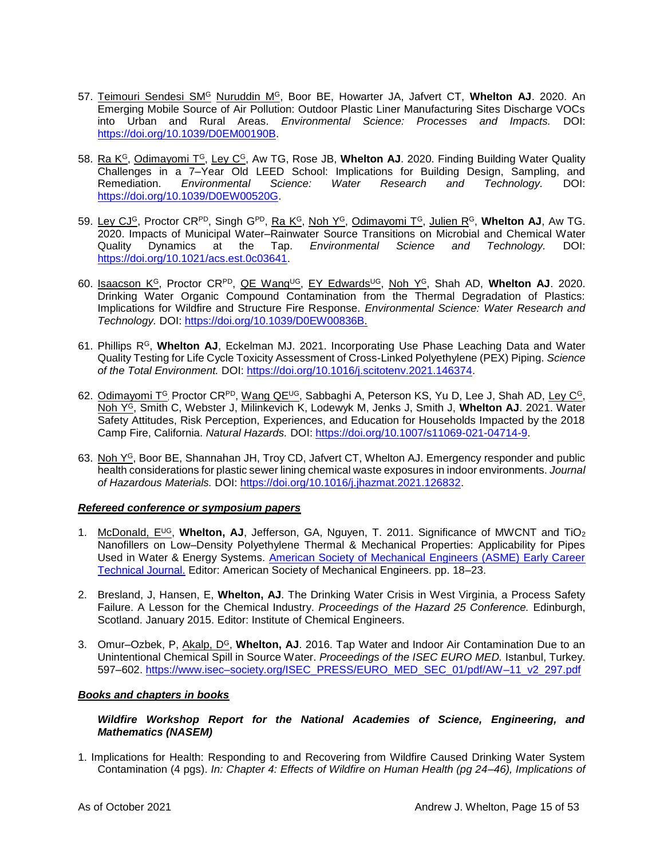- 57. Teimouri Sendesi SM<sup>G</sup> Nuruddin M<sup>G</sup>, Boor BE, Howarter JA, Jafvert CT, **Whelton AJ**. 2020. An Emerging Mobile Source of Air Pollution: Outdoor Plastic Liner Manufacturing Sites Discharge VOCs into Urban and Rural Areas. *Environmental Science: Processes and Impacts.* DOI: [https://doi.org/10.1039/D0EM00190B.](https://doi.org/10.1039/D0EM00190B)
- 58. Ra K<sup>G</sup>, Odimayomi T<sup>G</sup>, Ley C<sup>G</sup>, Aw TG, Rose JB, Whelton AJ. 2020. Finding Building Water Quality Challenges in a 7–Year Old LEED School: Implications for Building Design, Sampling, and Remediation. *Environmental Science: Water Research and Technology.* DOI: [https://doi.org/10.1039/D0EW00520G.](https://doi.org/10.1039/D0EW00520G)
- 59. Ley CJ<sup>G</sup>, Proctor CR<sup>PD</sup>, Singh G<sup>PD</sup>, Ra K<sup>G</sup>, Noh Y<sup>G</sup>, Odimayomi T<sup>G</sup>, Julien R<sup>G</sup>, Whelton AJ, Aw TG. 2020. Impacts of Municipal Water–Rainwater Source Transitions on Microbial and Chemical Water Quality Dynamics at the Tap. *Environmental Science and Technology.* DOI: [https://doi.org/10.1021/acs.est.0c03641.](https://doi.org/10.1021/acs.est.0c03641)
- 60. Isaacson K<sup>G</sup>, Proctor CRPD, QE WangUG, EY EdwardsUG, Noh Y<sup>G</sup>, Shah AD, **Whelton AJ**. 2020. Drinking Water Organic Compound Contamination from the Thermal Degradation of Plastics: Implications for Wildfire and Structure Fire Response. *Environmental Science: Water Research and Technology.* DOI: [https://doi.org/10.1039/D0EW00836B.](https://doi.org/10.1039/D0EW00836B)
- 61. Phillips R<sup>G</sup>, Whelton AJ, Eckelman MJ. 2021. Incorporating Use Phase Leaching Data and Water Quality Testing for Life Cycle Toxicity Assessment of Cross-Linked Polyethylene (PEX) Piping. *Science of the Total Environment.* DOI: [https://doi.org/10.1016/j.scitotenv.2021.146374.](https://doi.org/10.1016/j.scitotenv.2021.146374)
- 62. Odimayomi T<sup>G</sup>, Proctor CR<sup>PD</sup>, Wang QE<sup>UG</sup>, Sabbaghi A, Peterson KS, Yu D, Lee J, Shah AD, Ley C<sup>G</sup>, Noh Y<sup>G</sup>, Smith C, Webster J, Milinkevich K, Lodewyk M, Jenks J, Smith J, **Whelton AJ**. 2021. Water Safety Attitudes, Risk Perception, Experiences, and Education for Households Impacted by the 2018 Camp Fire, California. *Natural Hazards.* DOI: [https://doi.org/10.1007/s11069-021-04714-9.](https://doi.org/10.1007/s11069-021-04714-9)
- 63. Noh Y<sup>G</sup>, Boor BE, Shannahan JH, Troy CD, Jafvert CT, Whelton AJ. Emergency responder and public health considerations for plastic sewer lining chemical waste exposures in indoor environments. *Journal of Hazardous Materials.* DOI: [https://doi.org/10.1016/j.jhazmat.2021.126832.](https://doi.org/10.1016/j.jhazmat.2021.126832)

#### *Refereed conference or symposium papers*

- 1. McDonald, E<sup>UG</sup>, Whelton, AJ, Jefferson, GA, Nguyen, T. 2011. Significance of MWCNT and TiO<sub>2</sub> Nanofillers on Low–Density Polyethylene Thermal & Mechanical Properties: Applicability for Pipes Used in Water & Energy Systems. [American Society of Mechanical Engineers \(ASME\) Early Career](http://districts.asme.org/districtF/ectc/I_2-1-12_Corrected_ECTC_2011_JOURNAL_VOL._10_-_Final_Part_1_-_Cover-Paper_06.pdf)  [Technical Journal.](http://districts.asme.org/districtF/ectc/I_2-1-12_Corrected_ECTC_2011_JOURNAL_VOL._10_-_Final_Part_1_-_Cover-Paper_06.pdf) Editor: American Society of Mechanical Engineers. pp. 18–23.
- 2. Bresland, J, Hansen, E, **Whelton, AJ**. The Drinking Water Crisis in West Virginia, a Process Safety Failure. A Lesson for the Chemical Industry. *Proceedings of the Hazard 25 Conference.* Edinburgh, Scotland. January 2015. Editor: Institute of Chemical Engineers.
- 3. Omur–Ozbek, P, Akalp, D<sup>G</sup>, Whelton, AJ. 2016. Tap Water and Indoor Air Contamination Due to an Unintentional Chemical Spill in Source Water. *Proceedings of the ISEC EURO MED.* Istanbul, Turkey. 597–602. [https://www.isec–society.org/ISEC\\_PRESS/EURO\\_MED\\_SEC\\_01/pdf/AW–11\\_v2\\_297.pdf](https://www.isec-society.org/ISEC_PRESS/EURO_MED_SEC_01/pdf/AW-11_v2_297.pdf)

# *Books and chapters in books*

*Wildfire Workshop Report for the National Academies of Science, Engineering, and Mathematics (NASEM)*

1. Implications for Health: Responding to and Recovering from Wildfire Caused Drinking Water System Contamination (4 pgs). *In: Chapter 4: Effects of Wildfire on Human Health (pg 24–46), Implications of*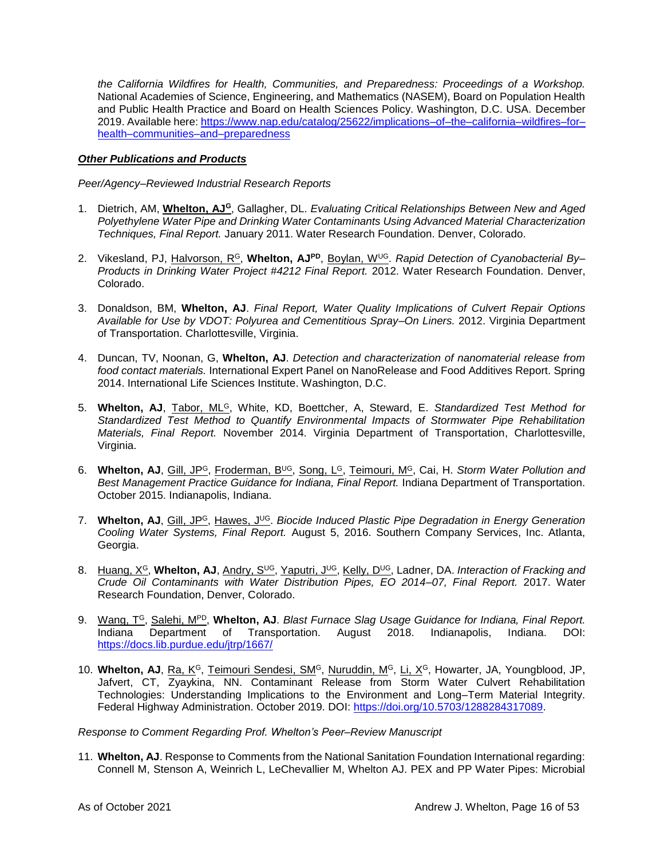*the California Wildfires for Health, Communities, and Preparedness: Proceedings of a Workshop.* National Academies of Science, Engineering, and Mathematics (NASEM), Board on Population Health and Public Health Practice and Board on Health Sciences Policy. Washington, D.C. USA. December 2019. Available here: [https://www.nap.edu/catalog/25622/implications–of–the–california–wildfires–for–](https://www.nap.edu/catalog/25622/implications-of-the-california-wildfires-for-health-communities-and-preparedness) [health–communities–and–preparedness](https://www.nap.edu/catalog/25622/implications-of-the-california-wildfires-for-health-communities-and-preparedness)

# *Other Publications and Products*

*Peer/Agency–Reviewed Industrial Research Reports*

- 1. Dietrich, AM, **Whelton, AJ<sup>G</sup>**, Gallagher, DL. *Evaluating Critical Relationships Between New and Aged Polyethylene Water Pipe and Drinking Water Contaminants Using Advanced Material Characterization Techniques, Final Report.* January 2011. [Water Research Foundation.](http://waterrf.org/Pages/WaterRFHome.aspx) Denver, Colorado.
- 2. Vikesland, PJ, Halvorson, R<sup>G</sup>, **Whelton, AJPD**, Boylan, WUG. *Rapid Detection of Cyanobacterial By– Products in Drinking Water Project #4212 Final Report.* 2012. [Water Research Foundation.](http://waterrf.org/Pages/WaterRFHome.aspx) Denver, Colorado.
- 3. Donaldson, BM, **Whelton, AJ**. *Final Report, Water Quality Implications of Culvert Repair Options Available for Use by VDOT: Polyurea and Cementitious Spray–On Liners.* 2012. [Virginia Department](http://www.virginiadot.org/)  [of Transportation.](http://www.virginiadot.org/) Charlottesville, Virginia.
- 4. Duncan, TV, Noonan, G, **Whelton, AJ**. *Detection and characterization of nanomaterial release from food contact materials.* International Expert Panel on NanoRelease and Food Additives Report. Spring 2014. International Life Sciences Institute. Washington, D.C.
- 5. **Whelton, AJ**, Tabor, ML<sup>G</sup>, White, KD, Boettcher, A, Steward, E. *Standardized Test Method for Standardized Test Method to Quantify Environmental Impacts of Stormwater Pipe Rehabilitation Materials, Final Report.* November 2014. [Virginia Department](http://www.virginiadot.org/) of Transportation, Charlottesville, Virginia.
- 6. **Whelton, AJ**, Gill, JP<sup>G</sup>, Froderman, BUG, Song, L <sup>G</sup>, Teimouri, M<sup>G</sup>, Cai, H. *Storm Water Pollution and Best Management Practice Guidance for Indiana, Final Report.* Indiana Department of Transportation. October 2015. Indianapolis, Indiana.
- 7. **Whelton, AJ**, Gill, JP<sup>G</sup>, Hawes, J UG. *Biocide Induced Plastic Pipe Degradation in Energy Generation Cooling Water Systems, Final Report.* August 5, 2016. Southern Company Services, Inc. Atlanta, Georgia.
- 8. <u>Huang, X<sup>G</sup>,</u> **Whelton, AJ**, <u>Andry, S<sup>uG</sup>, Yaputri, J<sup>uG</sup>, Kelly, D<sup>uG</sup>, Ladner, DA. *Interaction of Fracking and*</u> *Crude Oil Contaminants with Water Distribution Pipes, EO 2014–07, Final Report.* 2017. Water Research Foundation, Denver, Colorado.
- 9. Wang, T<sup>G</sup>, Salehi, MPD, **Whelton, AJ**. *Blast Furnace Slag Usage Guidance for Indiana, Final Report.*  Indiana Department of Transportation. August 2018. Indianapolis, Indiana. DOI: <https://docs.lib.purdue.edu/jtrp/1667/>
- 10. Whelton, AJ, Ra, K<sup>G</sup>, Teimouri Sendesi, SM<sup>G</sup>, Nuruddin, M<sup>G</sup>, Li, X<sup>G</sup>, Howarter, JA, Youngblood, JP, Jafvert, CT, Zyaykina, NN. Contaminant Release from Storm Water Culvert Rehabilitation Technologies: Understanding Implications to the Environment and Long–Term Material Integrity. Federal Highway Administration. October 2019. DOI: [https://doi.org/10.5703/1288284317089.](https://doi.org/10.5703/1288284317089)

*Response to Comment Regarding Prof. Whelton's Peer–Review Manuscript*

11. **Whelton, AJ**. Response to Comments from the National Sanitation Foundation International regarding: Connell M, Stenson A, Weinrich L, LeChevallier M, Whelton AJ. PEX and PP Water Pipes: Microbial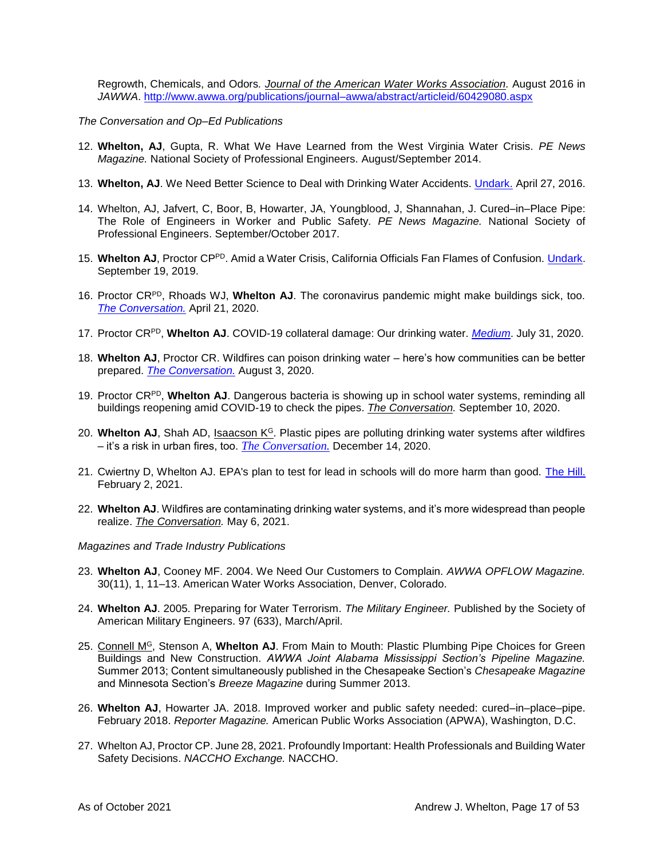Regrowth, Chemicals, and Odors*. [Journal of the American Water Works Association.](http://www.awwa.org/publications/journal-awwa.aspx)* August 2016 in *JAWWA*. [http://www.awwa.org/publications/journal–awwa/abstract/articleid/60429080.aspx](http://www.awwa.org/publications/journal-awwa/abstract/articleid/60429080.aspx)

#### *The Conversation and Op–Ed Publications*

- 12. **Whelton, AJ**, Gupta, R. What We Have Learned from the West Virginia Water Crisis. *PE News Magazine.* National Society of Professional Engineers. August/September 2014.
- 13. **Whelton, AJ**. We Need Better Science to Deal with Drinking Water Accidents. [Undark.](http://undark.org/article/we-need-better-science-when-dealing-with-drinking-water-accidents/) April 27, 2016.
- 14. Whelton, AJ, Jafvert, C, Boor, B, Howarter, JA, Youngblood, J, Shannahan, J. Cured–in–Place Pipe: The Role of Engineers in Worker and Public Safety. *PE News Magazine.* National Society of Professional Engineers. September/October 2017.
- 15. **Whelton AJ**, Proctor CPPD. Amid a Water Crisis, California Officials Fan Flames of Confusion. [Undark.](https://undark.org/2019/09/19/camp-fire-california-drinking-water-carcinogens/) September 19, 2019.
- 16. Proctor CRPD, Rhoads WJ, **Whelton AJ**. The coronavirus pandemic might make buildings sick, too. *[The Conversation.](https://theconversation.com/the-coronavirus-pandemic-might-make-buildings-sick-too-136373)* April 21, 2020.
- 17. Proctor CRPD, **Whelton AJ**. COVID-19 collateral damage: Our drinking water. *[Medium](https://medium.com/purdue-engineering/covid-19-collateral-damage-our-drinking-water-767dffa47974)*. July 31, 2020.
- 18. **Whelton AJ**, Proctor CR. Wildfires can poison drinking water here's how communities can be better prepared. *[The Conversation.](https://theconversation.com/wildfires-can-poison-drinking-water-heres-how-communities-can-be-better-prepared-141430)* August 3, 2020.
- 19. Proctor CRPD, **Whelton AJ**. Dangerous bacteria is showing up in school water systems, reminding all buildings reopening amid COVID-19 to check the pipes. *The Conversation.* September 10, 2020.
- 20. Whelton AJ, Shah AD, *Isaacson K<sup>G</sup>*. Plastic pipes are polluting drinking water systems after wildfires – it's a risk in urban fires, too. *[The Conversation.](https://theconversation.com/plastic-pipes-are-polluting-drinking-water-systems-after-wildfires-its-a-risk-in-urban-fires-too-150923)* December 14, 2020.
- 21. Cwiertny D, Whelton AJ. EPA's plan to test for lead in schools will do more harm than good. [The Hill.](https://thehill.com/opinion/energy-environment/538589-epas-plan-to-test-for-lead-in-schools-will-do-more-harm-than-good) February 2, 2021.
- 22. **Whelton AJ**. Wildfires are contaminating drinking water systems, and it's more widespread than people realize. *The Conversation.* May 6, 2021.

#### *Magazines and Trade Industry Publications*

- 23. **Whelton AJ**, Cooney MF. 2004. We Need Our Customers to Complain. *AWWA OPFLOW Magazine.* 30(11), 1, 11–13. American Water Works Association, Denver, Colorado.
- 24. **Whelton AJ**. 2005. Preparing for Water Terrorism. *The Military Engineer.* Published by the Society of American Military Engineers. 97 (633), March/April.
- 25. Connell M<sup>G</sup>, Stenson A, **Whelton AJ**. From Main to Mouth: Plastic Plumbing Pipe Choices for Green Buildings and New Construction. *AWWA Joint Alabama Mississippi Section's Pipeline Magazine.* Summer 2013; Content simultaneously published in the Chesapeake Section's *Chesapeake Magazine* and Minnesota Section's *Breeze Magazine* during Summer 2013.
- 26. **Whelton AJ**, Howarter JA. 2018. Improved worker and public safety needed: cured–in–place–pipe. February 2018. *Reporter Magazine.* American Public Works Association (APWA), Washington, D.C.
- 27. Whelton AJ, Proctor CP. June 28, 2021. Profoundly Important: Health Professionals and Building Water Safety Decisions. *NACCHO Exchange.* NACCHO.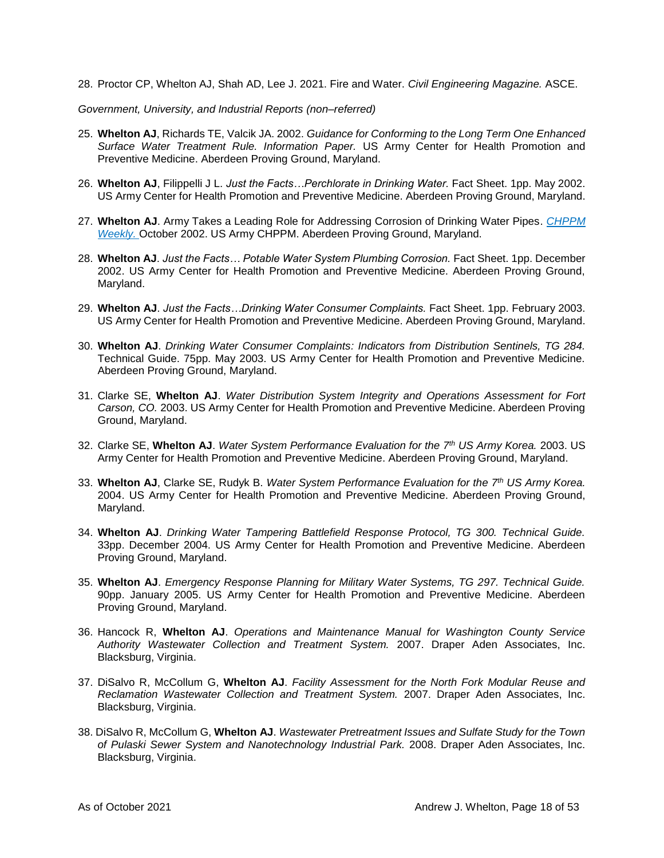28. Proctor CP, Whelton AJ, Shah AD, Lee J. 2021. Fire and Water. *Civil Engineering Magazine.* ASCE.

*Government, University, and Industrial Reports (non–referred)*

- 25. **Whelton AJ**, Richards TE, Valcik JA. 2002. *Guidance for Conforming to the Long Term One Enhanced Surface Water Treatment Rule. Information Paper.* US Army Center for Health Promotion and Preventive Medicine. Aberdeen Proving Ground, Maryland.
- 26. **Whelton AJ**, Filippelli J L. *Just the Facts…Perchlorate in Drinking Water.* Fact Sheet. 1pp. May 2002. US Army Center for Health Promotion and Preventive Medicine. Aberdeen Proving Ground, Maryland.
- 27. **Whelton AJ**. Army Takes a Leading Role for Addressing Corrosion of Drinking Water Pipes. *CHPPM Weekly.* October 2002. US Army CHPPM. Aberdeen Proving Ground, Maryland.
- 28. **Whelton AJ**. *Just the Facts… Potable Water System Plumbing Corrosion.* Fact Sheet. 1pp. December 2002. US Army Center for Health Promotion and Preventive Medicine. Aberdeen Proving Ground, Maryland.
- 29. **Whelton AJ**. *Just the Facts…Drinking Water Consumer Complaints.* Fact Sheet. 1pp. February 2003. US Army Center for Health Promotion and Preventive Medicine. Aberdeen Proving Ground, Maryland.
- 30. **Whelton AJ**. *Drinking Water Consumer Complaints: Indicators from Distribution Sentinels, TG 284.*  Technical Guide. 75pp. May 2003. US Army Center for Health Promotion and Preventive Medicine. Aberdeen Proving Ground, Maryland.
- 31. Clarke SE, **Whelton AJ**. *Water Distribution System Integrity and Operations Assessment for Fort Carson, CO.* 2003. US Army Center for Health Promotion and Preventive Medicine. Aberdeen Proving Ground, Maryland.
- 32. Clarke SE, **Whelton AJ**. *Water System Performance Evaluation for the 7th US Army Korea.* 2003. US Army Center for Health Promotion and Preventive Medicine. Aberdeen Proving Ground, Maryland.
- 33. **Whelton AJ**, Clarke SE, Rudyk B. *Water System Performance Evaluation for the 7th US Army Korea.*  2004. US Army Center for Health Promotion and Preventive Medicine. Aberdeen Proving Ground, Maryland.
- 34. **Whelton AJ**. *Drinking Water Tampering Battlefield Response Protocol, TG 300. Technical Guide.*  33pp. December 2004. US Army Center for Health Promotion and Preventive Medicine. Aberdeen Proving Ground, Maryland.
- 35. **Whelton AJ**. *Emergency Response Planning for Military Water Systems, TG 297. Technical Guide.*  90pp. January 2005. US Army Center for Health Promotion and Preventive Medicine. Aberdeen Proving Ground, Maryland.
- 36. Hancock R, **Whelton AJ**. *Operations and Maintenance Manual for Washington County Service Authority Wastewater Collection and Treatment System.* 2007. Draper Aden Associates, Inc. Blacksburg, Virginia.
- 37. DiSalvo R, McCollum G, **Whelton AJ**. *Facility Assessment for the North Fork Modular Reuse and Reclamation Wastewater Collection and Treatment System.* 2007. Draper Aden Associates, Inc. Blacksburg, Virginia.
- 38. DiSalvo R, McCollum G, **Whelton AJ**. *Wastewater Pretreatment Issues and Sulfate Study for the Town of Pulaski Sewer System and Nanotechnology Industrial Park.* 2008. Draper Aden Associates, Inc. Blacksburg, Virginia.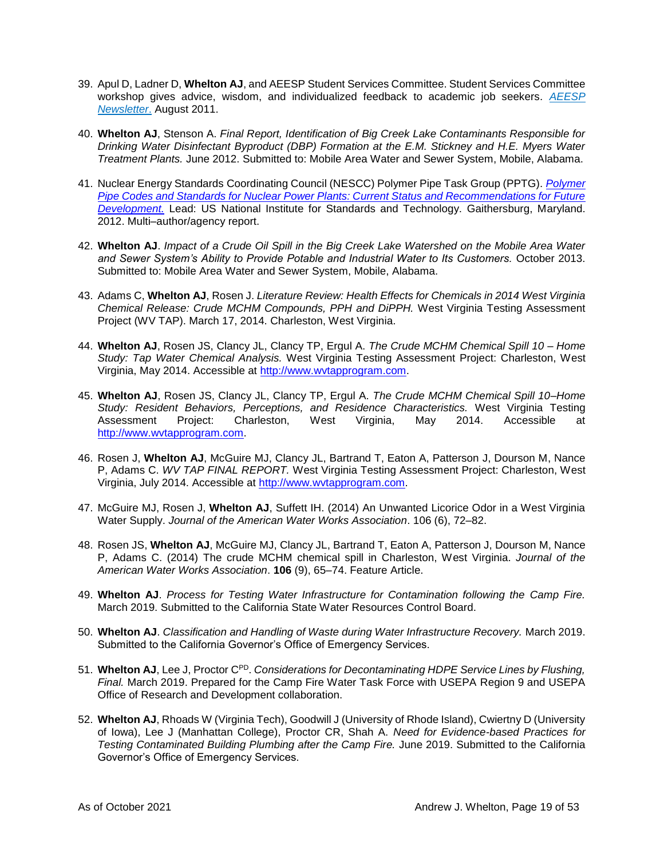- 39. Apul D, Ladner D, **Whelton AJ**, and AEESP Student Services Committee. Student Services Committee workshop gives advice, wisdom, and individualized feedback to academic job seekers. *AEESP Newsletter*. August 2011.
- 40. **Whelton AJ**, Stenson A. *Final Report, Identification of Big Creek Lake Contaminants Responsible for Drinking Water Disinfectant Byproduct (DBP) Formation at the E.M. Stickney and H.E. Myers Water Treatment Plants.* June 2012. Submitted to: Mobile Area Water and Sewer System, Mobile, Alabama.
- 41. Nuclear Energy Standards Coordinating Council (NESCC) Polymer Pipe Task Group (PPTG). *[Polymer](http://publicaa.ansi.org/sites/apdl/Documents/Meetings%20and%20Events/NESCC/NESCC_Final_Report_HDPE_Task_Group.pdf)  [Pipe Codes and Standards for Nuclear Power Plants: Current Status and Recommendations for Future](http://publicaa.ansi.org/sites/apdl/Documents/Meetings%20and%20Events/NESCC/NESCC_Final_Report_HDPE_Task_Group.pdf)  [Development.](http://publicaa.ansi.org/sites/apdl/Documents/Meetings%20and%20Events/NESCC/NESCC_Final_Report_HDPE_Task_Group.pdf)* Lead: US National Institute for Standards and Technology. Gaithersburg, Maryland. 2012. Multi–author/agency report.
- 42. **Whelton AJ**. *Impact of a Crude Oil Spill in the Big Creek Lake Watershed on the Mobile Area Water and Sewer System's Ability to Provide Potable and Industrial Water to Its Customers.* October 2013. Submitted to: Mobile Area Water and Sewer System, Mobile, Alabama.
- 43. Adams C, **Whelton AJ**, Rosen J. *Literature Review: Health Effects for Chemicals in 2014 West Virginia Chemical Release: Crude MCHM Compounds, PPH and DiPPH.* West Virginia Testing Assessment Project (WV TAP). March 17, 2014. Charleston, West Virginia.
- 44. **Whelton AJ**, Rosen JS, Clancy JL, Clancy TP, Ergul A. *The Crude MCHM Chemical Spill 10 – Home Study: Tap Water Chemical Analysis.* West Virginia Testing Assessment Project: Charleston, West Virginia, May 2014. Accessible at [http://www.wvtapprogram.com.](http://www.wvtapprogram.com/)
- 45. **Whelton AJ**, Rosen JS, Clancy JL, Clancy TP, Ergul A. *The Crude MCHM Chemical Spill 10–Home Study: Resident Behaviors, Perceptions, and Residence Characteristics.* West Virginia Testing Assessment Project: Charleston, West Virginia, May 2014. Accessible at [http://www.wvtapprogram.com.](http://www.wvtapprogram.com/)
- 46. Rosen J, **Whelton AJ**, McGuire MJ, Clancy JL, Bartrand T, Eaton A, Patterson J, Dourson M, Nance P, Adams C. *WV TAP FINAL REPORT.* West Virginia Testing Assessment Project: Charleston, West Virginia, July 2014. Accessible at [http://www.wvtapprogram.com.](http://www.wvtapprogram.com/)
- 47. McGuire MJ, Rosen J, **Whelton AJ**, Suffett IH. (2014) An Unwanted Licorice Odor in a West Virginia Water Supply. *Journal of the American Water Works Association*. 106 (6), 72–82.
- 48. Rosen JS, **Whelton AJ**, McGuire MJ, Clancy JL, Bartrand T, Eaton A, Patterson J, Dourson M, Nance P, Adams C. (2014) The crude MCHM chemical spill in Charleston, West Virginia. *Journal of the American Water Works Association*. **106** (9), 65–74. Feature Article.
- 49. **Whelton AJ**. *Process for Testing Water Infrastructure for Contamination following the Camp Fire.*  March 2019. Submitted to the California State Water Resources Control Board.
- 50. **Whelton AJ**. *Classification and Handling of Waste during Water Infrastructure Recovery.* March 2019. Submitted to the California Governor's Office of Emergency Services.
- 51. **Whelton AJ**, Lee J, Proctor CPD. *Considerations for Decontaminating HDPE Service Lines by Flushing, Final.* March 2019. Prepared for the Camp Fire Water Task Force with USEPA Region 9 and USEPA Office of Research and Development collaboration.
- 52. **Whelton AJ**, Rhoads W (Virginia Tech), Goodwill J (University of Rhode Island), Cwiertny D (University of Iowa), Lee J (Manhattan College), Proctor CR, Shah A. *Need for Evidence-based Practices for Testing Contaminated Building Plumbing after the Camp Fire.* June 2019. Submitted to the California Governor's Office of Emergency Services.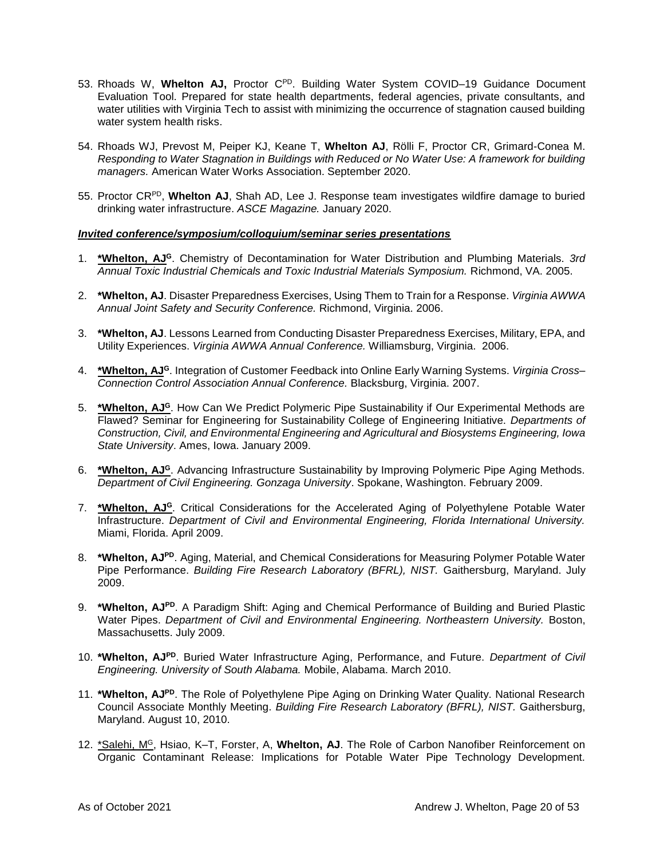- 53. Rhoads W, **Whelton AJ,** Proctor CPD. Building Water System COVID–19 Guidance Document Evaluation Tool. Prepared for state health departments, federal agencies, private consultants, and water utilities with Virginia Tech to assist with minimizing the occurrence of stagnation caused building water system health risks.
- 54. Rhoads WJ, Prevost M, Peiper KJ, Keane T, **Whelton AJ**, Rölli F, Proctor CR, Grimard-Conea M. *Responding to Water Stagnation in Buildings with Reduced or No Water Use: A framework for building managers.* American Water Works Association. September 2020.
- 55. Proctor CRPD, **Whelton AJ**, Shah AD, Lee J. Response team investigates wildfire damage to buried drinking water infrastructure. *ASCE Magazine.* January 2020.

# *Invited conference/symposium/colloquium/seminar series presentations*

- 1. **\*Whelton, AJ<sup>G</sup>**. Chemistry of Decontamination for Water Distribution and Plumbing Materials. *3rd Annual Toxic Industrial Chemicals and Toxic Industrial Materials Symposium.* Richmond, VA. 2005.
- 2. **\*Whelton, AJ**. Disaster Preparedness Exercises, Using Them to Train for a Response. *Virginia AWWA Annual Joint Safety and Security Conference.* Richmond, Virginia. 2006.
- 3. **\*Whelton, AJ**. Lessons Learned from Conducting Disaster Preparedness Exercises, Military, EPA, and Utility Experiences. *Virginia AWWA Annual Conference.* Williamsburg, Virginia. 2006.
- 4. **\*Whelton, AJ<sup>G</sup>**. Integration of Customer Feedback into Online Early Warning Systems. *Virginia Cross– Connection Control Association Annual Conference.* Blacksburg, Virginia. 2007.
- 5. **\*Whelton, AJ<sup>G</sup>**. How Can We Predict Polymeric Pipe Sustainability if Our Experimental Methods are Flawed? Seminar for Engineering for Sustainability College of Engineering Initiative. *Departments of Construction, Civil, and Environmental Engineering and Agricultural and Biosystems Engineering, Iowa State University*. Ames, Iowa. January 2009.
- 6. **\*Whelton, AJ<sup>G</sup>**. Advancing Infrastructure Sustainability by Improving Polymeric Pipe Aging Methods. *Department of Civil Engineering. Gonzaga University*. Spokane, Washington. February 2009.
- 7. **\*Whelton, AJ<sup>G</sup>**. Critical Considerations for the Accelerated Aging of Polyethylene Potable Water Infrastructure. *Department of Civil and Environmental Engineering, Florida International University.* Miami, Florida. April 2009.
- 8. **\*Whelton, AJPD**. Aging, Material, and Chemical Considerations for Measuring Polymer Potable Water Pipe Performance. *Building Fire Research Laboratory (BFRL), NIST.* Gaithersburg, Maryland. July 2009.
- 9. **\*Whelton, AJPD**. A Paradigm Shift: Aging and Chemical Performance of Building and Buried Plastic Water Pipes. *Department of Civil and Environmental Engineering. Northeastern University.* Boston, Massachusetts. July 2009.
- 10. **\*Whelton, AJPD**. Buried Water Infrastructure Aging, Performance, and Future. *Department of Civil Engineering. University of South Alabama.* Mobile, Alabama. March 2010.
- 11. **\*Whelton, AJPD**. The Role of Polyethylene Pipe Aging on Drinking Water Quality. National Research Council Associate Monthly Meeting. *Building Fire Research Laboratory (BFRL), NIST.* Gaithersburg, Maryland. August 10, 2010.
- 12. \*Salehi, M<sup>G</sup>, Hsiao, K–T, Forster, A, **Whelton, AJ**. The Role of Carbon Nanofiber Reinforcement on Organic Contaminant Release: Implications for Potable Water Pipe Technology Development.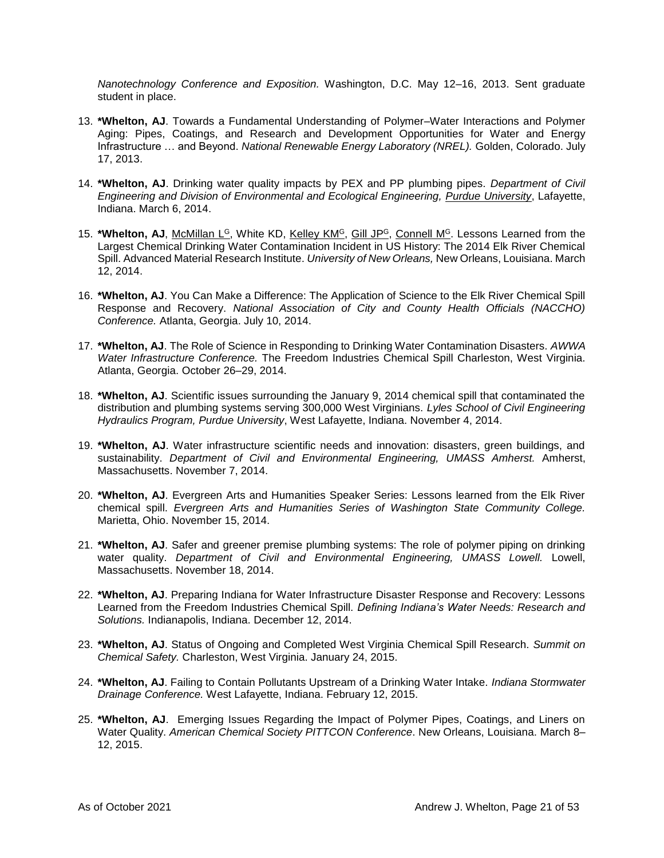*Nanotechnology Conference and Exposition.* Washington, D.C. May 12–16, 2013. Sent graduate student in place.

- 13. **\*Whelton, AJ**. Towards a Fundamental Understanding of Polymer–Water Interactions and Polymer Aging: Pipes, Coatings, and Research and Development Opportunities for Water and Energy Infrastructure … and Beyond. *National Renewable Energy Laboratory (NREL).* Golden, Colorado. July 17, 2013.
- 14. **\*Whelton, AJ**. Drinking water quality impacts by PEX and PP plumbing pipes. *Department of Civil Engineering and Division of Environmental and Ecological Engineering, [Purdue University](http://www.purdue.edu/)*, Lafayette, Indiana. March 6, 2014.
- 15. \*Whelton, AJ, McMillan L<sup>G</sup>, White KD, Kelley KM<sup>G</sup>, Gill JP<sup>G</sup>, Connell M<sup>G</sup>. Lessons Learned from the Largest Chemical Drinking Water Contamination Incident in US History: The 2014 Elk River Chemical Spill. Advanced Material Research Institute. *University of New Orleans,* New Orleans, Louisiana. March 12, 2014.
- 16. **\*Whelton, AJ**. You Can Make a Difference: The Application of Science to the Elk River Chemical Spill Response and Recovery. *National Association of City and County Health Officials (NACCHO) Conference.* Atlanta, Georgia. July 10, 2014.
- 17. **\*Whelton, AJ**. The Role of Science in Responding to Drinking Water Contamination Disasters. *AWWA Water Infrastructure Conference.* The Freedom Industries Chemical Spill Charleston, West Virginia. Atlanta, Georgia. October 26–29, 2014.
- 18. **\*Whelton, AJ**. Scientific issues surrounding the January 9, 2014 chemical spill that contaminated the distribution and plumbing systems serving 300,000 West Virginians. *Lyles School of Civil Engineering Hydraulics Program, [Purdue University](http://www.purdue.edu/)*, West Lafayette, Indiana. November 4, 2014.
- 19. **\*Whelton, AJ**. Water infrastructure scientific needs and innovation: disasters, green buildings, and sustainability. *Department of Civil and Environmental Engineering, [UMASS Amherst.](http://www.purdue.edu/)* Amherst, Massachusetts. November 7, 2014.
- 20. **\*Whelton, AJ**. Evergreen Arts and Humanities Speaker Series: Lessons learned from the Elk River chemical spill. *Evergreen Arts and Humanities Series of [Washington State Community College.](http://www.purdue.edu/)* Marietta, Ohio. November 15, 2014.
- 21. **\*Whelton, AJ**. Safer and greener premise plumbing systems: The role of polymer piping on drinking water quality. *Department of Civil and Environmental Engineering, UMASS Lowell.* Lowell, Massachusetts. November 18, 2014.
- 22. **\*Whelton, AJ**. Preparing Indiana for Water Infrastructure Disaster Response and Recovery: Lessons Learned from the Freedom Industries Chemical Spill. *Defining Indiana's Water Needs: Research and Solutions.* Indianapolis, Indiana. December 12, 2014.
- 23. **\*Whelton, AJ**. Status of Ongoing and Completed West Virginia Chemical Spill Research. *Summit on Chemical Safety.* Charleston, West Virginia. January 24, 2015.
- 24. **\*Whelton, AJ**. Failing to Contain Pollutants Upstream of a Drinking Water Intake. *Indiana Stormwater Drainage Conference.* West Lafayette, Indiana. February 12, 2015.
- 25. **\*Whelton, AJ**. Emerging Issues Regarding the Impact of Polymer Pipes, Coatings, and Liners on Water Quality. *American Chemical Society PITTCON Conference*. New Orleans, Louisiana. March 8– 12, 2015.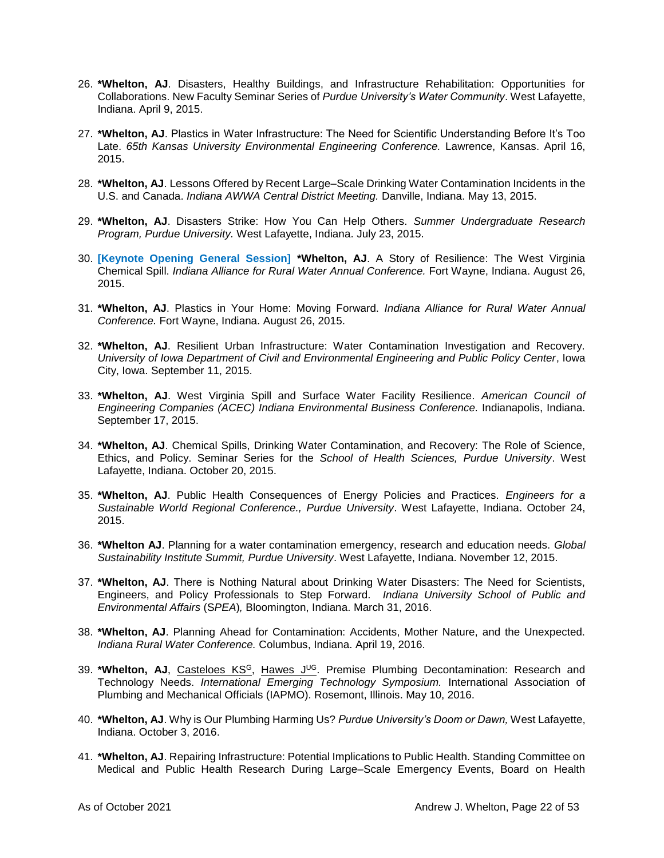- 26. **\*Whelton, AJ**. Disasters, Healthy Buildings, and Infrastructure Rehabilitation: Opportunities for Collaborations. New Faculty Seminar Series of *Purdue University's Water Community*. West Lafayette, Indiana. April 9, 2015.
- 27. **\*Whelton, AJ**. Plastics in Water Infrastructure: The Need for Scientific Understanding Before It's Too Late. *65th Kansas University Environmental Engineering Conference.* Lawrence, Kansas. April 16, 2015.
- 28. **\*Whelton, AJ**. Lessons Offered by Recent Large–Scale Drinking Water Contamination Incidents in the U.S. and Canada. *Indiana AWWA Central District Meeting.* Danville, Indiana. May 13, 2015.
- 29. **\*Whelton, AJ**. Disasters Strike: How You Can Help Others. *Summer Undergraduate Research Program, Purdue University.* West Lafayette, Indiana. July 23, 2015.
- 30. **[Keynote Opening General Session] \*Whelton, AJ**. A Story of Resilience: The West Virginia Chemical Spill. *Indiana Alliance for Rural Water Annual Conference.* Fort Wayne, Indiana. August 26, 2015.
- 31. **\*Whelton, AJ**. Plastics in Your Home: Moving Forward. *Indiana Alliance for Rural Water Annual Conference.* Fort Wayne, Indiana. August 26, 2015.
- 32. **\*Whelton, AJ**. Resilient Urban Infrastructure: Water Contamination Investigation and Recovery. *University of Iowa Department of Civil and Environmental Engineering and Public Policy Center*, Iowa City, Iowa. September 11, 2015.
- 33. **\*Whelton, AJ**. West Virginia Spill and Surface Water Facility Resilience. *American Council of Engineering Companies (ACEC) Indiana Environmental Business Conference.* Indianapolis, Indiana. September 17, 2015.
- 34. **\*Whelton, AJ**. Chemical Spills, Drinking Water Contamination, and Recovery: The Role of Science, Ethics, and Policy. Seminar Series for the *School of Health Sciences, Purdue University*. West Lafayette, Indiana. October 20, 2015.
- 35. **\*Whelton, AJ**. Public Health Consequences of Energy Policies and Practices. *Engineers for a Sustainable World Regional Conference., Purdue University*. West Lafayette, Indiana. October 24, 2015.
- 36. **\*Whelton AJ**. Planning for a water contamination emergency, research and education needs. *Global Sustainability Institute Summit, Purdue University*. West Lafayette, Indiana. November 12, 2015.
- 37. **\*Whelton, AJ**. There is Nothing Natural about Drinking Water Disasters: The Need for Scientists, Engineers, and Policy Professionals to Step Forward. *Indiana University School of Public and Environmental Affairs* (S*PEA*)*,* Bloomington, Indiana. March 31, 2016.
- 38. **\*Whelton, AJ**. Planning Ahead for Contamination: Accidents, Mother Nature, and the Unexpected. *Indiana Rural Water Conference.* Columbus, Indiana. April 19, 2016.
- 39. \*Whelton, AJ, Casteloes KS<sup>G</sup>, Hawes J<sup>UG</sup>. Premise Plumbing Decontamination: Research and Technology Needs. *International Emerging Technology Symposium.* International Association of Plumbing and Mechanical Officials (IAPMO). Rosemont, Illinois. May 10, 2016.
- 40. **\*Whelton, AJ**. Why is Our Plumbing Harming Us? *Purdue University's Doom or Dawn,* West Lafayette, Indiana. October 3, 2016.
- 41. **\*Whelton, AJ**. Repairing Infrastructure: Potential Implications to Public Health. Standing Committee on Medical and Public Health Research During Large–Scale Emergency Events, Board on Health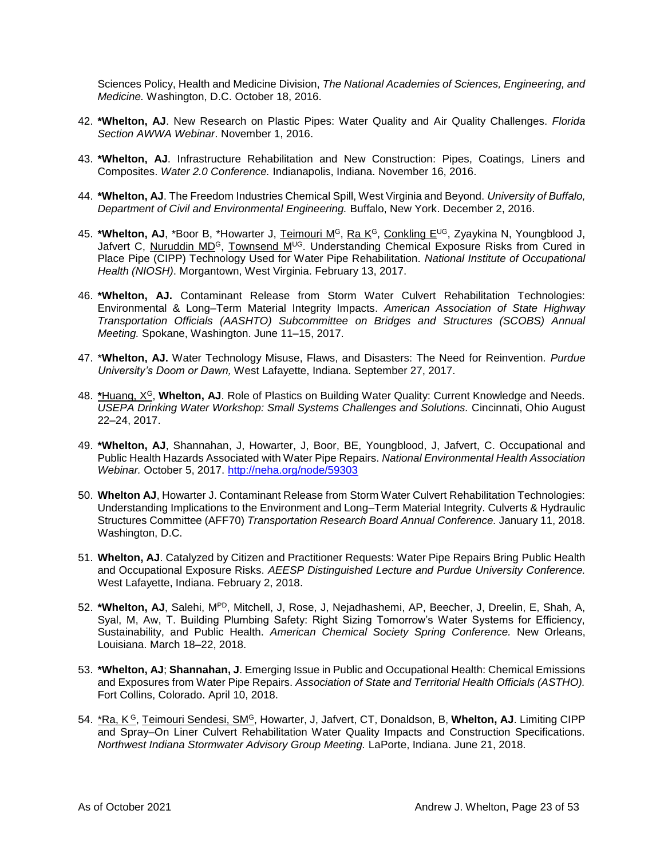Sciences Policy, Health and Medicine Division, *The National Academies of Sciences, Engineering, and Medicine.* Washington, D.C. October 18, 2016.

- 42. **\*Whelton, AJ**. New Research on Plastic Pipes: Water Quality and Air Quality Challenges. *Florida Section AWWA Webinar*. November 1, 2016.
- 43. **\*Whelton, AJ**. Infrastructure Rehabilitation and New Construction: Pipes, Coatings, Liners and Composites. *Water 2.0 Conference.* Indianapolis, Indiana. November 16, 2016.
- 44. **\*Whelton, AJ**. The Freedom Industries Chemical Spill, West Virginia and Beyond. *University of Buffalo, Department of Civil and Environmental Engineering.* Buffalo, New York. December 2, 2016.
- 45. \***Whelton, AJ**, \*Boor B, \*Howarter J, Teimouri M<sup>G</sup>, Ra K<sup>G</sup>, Conkling E<sup>UG</sup>, Zyaykina N, Youngblood J, Jafvert C, Nuruddin MD<sup>G</sup>, Townsend M<sup>UG</sup>. Understanding Chemical Exposure Risks from Cured in Place Pipe (CIPP) Technology Used for Water Pipe Rehabilitation. *National Institute of Occupational Health (NIOSH)*. Morgantown, West Virginia. February 13, 2017.
- 46. **\*Whelton, AJ.** Contaminant Release from Storm Water Culvert Rehabilitation Technologies: Environmental & Long–Term Material Integrity Impacts. *American Association of State Highway Transportation Officials (AASHTO) Subcommittee on Bridges and Structures (SCOBS) Annual Meeting.* Spokane, Washington. June 11–15, 2017.
- 47. \***Whelton, AJ.** Water Technology Misuse, Flaws, and Disasters: The Need for Reinvention. *Purdue University's Doom or Dawn,* West Lafayette, Indiana. September 27, 2017.
- 48. **\***Huang, X<sup>G</sup>, **Whelton, AJ**. Role of Plastics on Building Water Quality: Current Knowledge and Needs. *USEPA Drinking Water Workshop: Small Systems Challenges and Solutions.* Cincinnati, Ohio August 22–24, 2017.
- 49. **\*Whelton, AJ**, Shannahan, J, Howarter, J, Boor, BE, Youngblood, J, Jafvert, C. Occupational and Public Health Hazards Associated with Water Pipe Repairs. *National Environmental Health Association Webinar.* October 5, 2017.<http://neha.org/node/59303>
- 50. **Whelton AJ**, Howarter J. Contaminant Release from Storm Water Culvert Rehabilitation Technologies: Understanding Implications to the Environment and Long–Term Material Integrity. Culverts & Hydraulic Structures Committee (AFF70) *Transportation Research Board Annual Conference.* January 11, 2018. Washington, D.C.
- 51. **Whelton, AJ**. Catalyzed by Citizen and Practitioner Requests: Water Pipe Repairs Bring Public Health and Occupational Exposure Risks. *AEESP Distinguished Lecture and Purdue University Conference.* West Lafayette, Indiana. February 2, 2018.
- 52. **\*Whelton, AJ**, Salehi, MPD, Mitchell, J, Rose, J, Nejadhashemi, AP, Beecher, J, Dreelin, E, Shah, A, Syal, M, Aw, T. Building Plumbing Safety: Right Sizing Tomorrow's Water Systems for Efficiency, Sustainability, and Public Health. *American Chemical Society Spring Conference.* New Orleans, Louisiana. March 18–22, 2018.
- 53. **\*Whelton, AJ**; **Shannahan, J**. Emerging Issue in Public and Occupational Health: Chemical Emissions and Exposures from Water Pipe Repairs. *Association of State and Territorial Health Officials (ASTHO).* Fort Collins, Colorado. April 10, 2018.
- 54. \*Ra, K <sup>G</sup>, Teimouri Sendesi, SM<sup>G</sup>, Howarter, J, Jafvert, CT, Donaldson, B, **Whelton, AJ**. Limiting CIPP and Spray–On Liner Culvert Rehabilitation Water Quality Impacts and Construction Specifications. *Northwest Indiana Stormwater Advisory Group Meeting.* LaPorte, Indiana. June 21, 2018.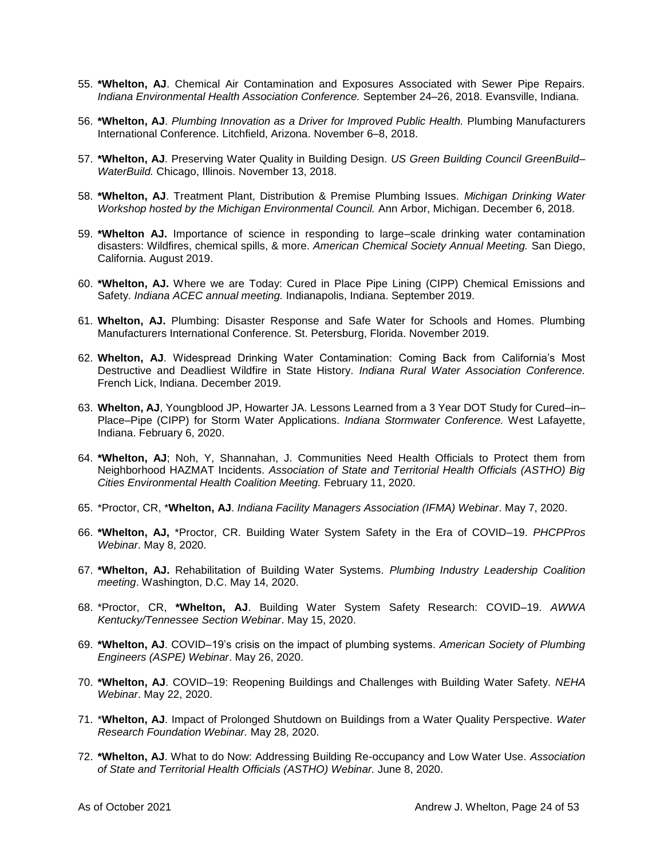- 55. **\*Whelton, AJ**. Chemical Air Contamination and Exposures Associated with Sewer Pipe Repairs. *Indiana Environmental Health Association Conference.* September 24–26, 2018. Evansville, Indiana.
- 56. **\*Whelton, AJ**. *Plumbing Innovation as a Driver for Improved Public Health.* Plumbing Manufacturers International Conference. Litchfield, Arizona. November 6–8, 2018.
- 57. **\*Whelton, AJ**. Preserving Water Quality in Building Design. *US Green Building Council GreenBuild– WaterBuild.* Chicago, Illinois. November 13, 2018.
- 58. **\*Whelton, AJ**. Treatment Plant, Distribution & Premise Plumbing Issues. *Michigan Drinking Water Workshop hosted by the Michigan Environmental Council.* Ann Arbor, Michigan. December 6, 2018.
- 59. **\*Whelton AJ.** Importance of science in responding to large–scale drinking water contamination disasters: Wildfires, chemical spills, & more. *American Chemical Society Annual Meeting.* San Diego, California. August 2019.
- 60. **\*Whelton, AJ.** Where we are Today: Cured in Place Pipe Lining (CIPP) Chemical Emissions and Safety. *Indiana ACEC annual meeting.* Indianapolis, Indiana. September 2019.
- 61. **Whelton, AJ.** Plumbing: Disaster Response and Safe Water for Schools and Homes. Plumbing Manufacturers International Conference. St. Petersburg, Florida. November 2019.
- 62. **Whelton, AJ**. Widespread Drinking Water Contamination: Coming Back from California's Most Destructive and Deadliest Wildfire in State History. *Indiana Rural Water Association Conference.* French Lick, Indiana. December 2019.
- 63. **Whelton, AJ**, Youngblood JP, Howarter JA. Lessons Learned from a 3 Year DOT Study for Cured–in– Place–Pipe (CIPP) for Storm Water Applications. *Indiana Stormwater Conference.* West Lafayette, Indiana. February 6, 2020.
- 64. **\*Whelton, AJ**; Noh, Y, Shannahan, J. Communities Need Health Officials to Protect them from Neighborhood HAZMAT Incidents. *Association of State and Territorial Health Officials (ASTHO) Big Cities Environmental Health Coalition Meeting.* February 11, 2020.
- 65. \*Proctor, CR, \***Whelton, AJ**. *Indiana Facility Managers Association (IFMA) Webinar*. May 7, 2020.
- 66. **\*Whelton, AJ,** \*Proctor, CR. Building Water System Safety in the Era of COVID–19. *PHCPPros Webinar*. May 8, 2020.
- 67. **\*Whelton, AJ.** Rehabilitation of Building Water Systems. *Plumbing Industry Leadership Coalition meeting*. Washington, D.C. May 14, 2020.
- 68. \*Proctor, CR, **\*Whelton, AJ**. Building Water System Safety Research: COVID–19. *AWWA Kentucky/Tennessee Section Webinar*. May 15, 2020.
- 69. **\*Whelton, AJ**. COVID–19's crisis on the impact of plumbing systems. *American Society of Plumbing Engineers (ASPE) Webinar*. May 26, 2020.
- 70. **\*Whelton, AJ**. COVID–19: Reopening Buildings and Challenges with Building Water Safety. *NEHA Webinar*. May 22, 2020.
- 71. \***Whelton, AJ**. Impact of Prolonged Shutdown on Buildings from a Water Quality Perspective. *Water Research Foundation Webinar.* May 28, 2020.
- 72. **\*Whelton, AJ**. What to do Now: Addressing Building Re-occupancy and Low Water Use. *Association of State and Territorial Health Officials (ASTHO) Webinar.* June 8, 2020.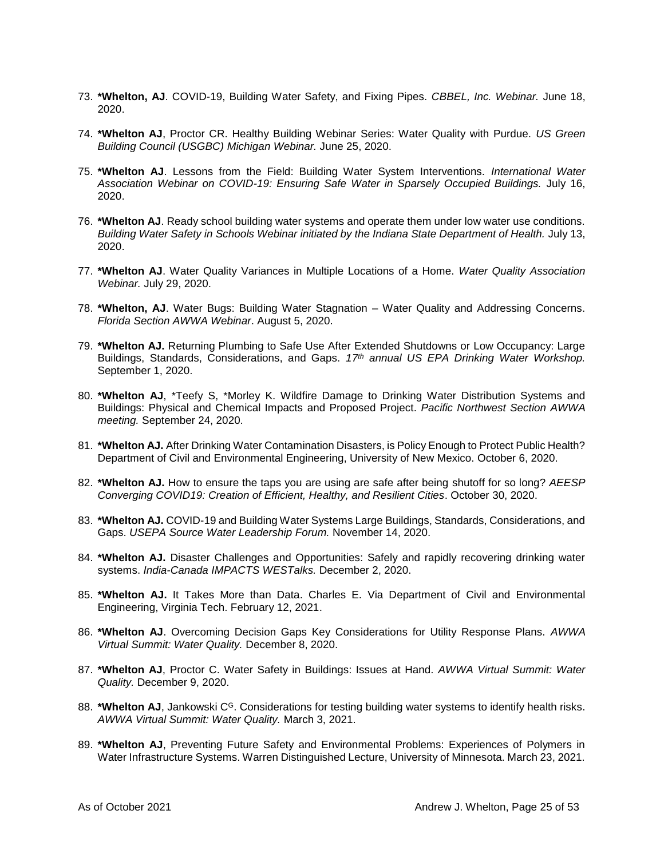- 73. **\*Whelton, AJ**. COVID-19, Building Water Safety, and Fixing Pipes. *CBBEL, Inc. Webinar.* June 18, 2020.
- 74. **\*Whelton AJ**, Proctor CR. Healthy Building Webinar Series: Water Quality with Purdue. *US Green Building Council (USGBC) Michigan Webinar.* June 25, 2020.
- 75. **\*Whelton AJ**. Lessons from the Field: Building Water System Interventions. *International Water Association Webinar on COVID-19: Ensuring Safe Water in Sparsely Occupied Buildings.* July 16, 2020.
- 76. **\*Whelton AJ**. Ready school building water systems and operate them under low water use conditions. *Building Water Safety in Schools Webinar initiated by the Indiana State Department of Health.* July 13, 2020.
- 77. **\*Whelton AJ**. Water Quality Variances in Multiple Locations of a Home. *Water Quality Association Webinar.* July 29, 2020.
- 78. **\*Whelton, AJ**. Water Bugs: Building Water Stagnation Water Quality and Addressing Concerns. *Florida Section AWWA Webinar*. August 5, 2020.
- 79. **\*Whelton AJ.** Returning Plumbing to Safe Use After Extended Shutdowns or Low Occupancy: Large Buildings, Standards, Considerations, and Gaps. *17th annual US EPA Drinking Water Workshop.*  September 1, 2020.
- 80. **\*Whelton AJ**, \*Teefy S, \*Morley K. Wildfire Damage to Drinking Water Distribution Systems and Buildings: Physical and Chemical Impacts and Proposed Project. *Pacific Northwest Section AWWA meeting.* September 24, 2020.
- 81. **\*Whelton AJ.** After Drinking Water Contamination Disasters, is Policy Enough to Protect Public Health? Department of Civil and Environmental Engineering, University of New Mexico. October 6, 2020.
- 82. **\*Whelton AJ.** How to ensure the taps you are using are safe after being shutoff for so long? *AEESP Converging COVID19: Creation of Efficient, Healthy, and Resilient Cities*. October 30, 2020.
- 83. **\*Whelton AJ.** COVID-19 and Building Water Systems Large Buildings, Standards, Considerations, and Gaps. *USEPA Source Water Leadership Forum.* November 14, 2020.
- 84. **\*Whelton AJ.** Disaster Challenges and Opportunities: Safely and rapidly recovering drinking water systems. *India-Canada IMPACTS WESTalks.* December 2, 2020.
- 85. **\*Whelton AJ.** It Takes More than Data. Charles E. Via Department of Civil and Environmental Engineering, Virginia Tech. February 12, 2021.
- 86. **\*Whelton AJ**. Overcoming Decision Gaps Key Considerations for Utility Response Plans. *AWWA Virtual Summit: Water Quality.* December 8, 2020.
- 87. **\*Whelton AJ**, Proctor C. Water Safety in Buildings: Issues at Hand. *AWWA Virtual Summit: Water Quality.* December 9, 2020.
- 88. \*Whelton AJ, Jankowski C<sup>G</sup>. Considerations for testing building water systems to identify health risks. *AWWA Virtual Summit: Water Quality.* March 3, 2021.
- 89. **\*Whelton AJ**, Preventing Future Safety and Environmental Problems: Experiences of Polymers in Water Infrastructure Systems. Warren Distinguished Lecture, University of Minnesota. March 23, 2021.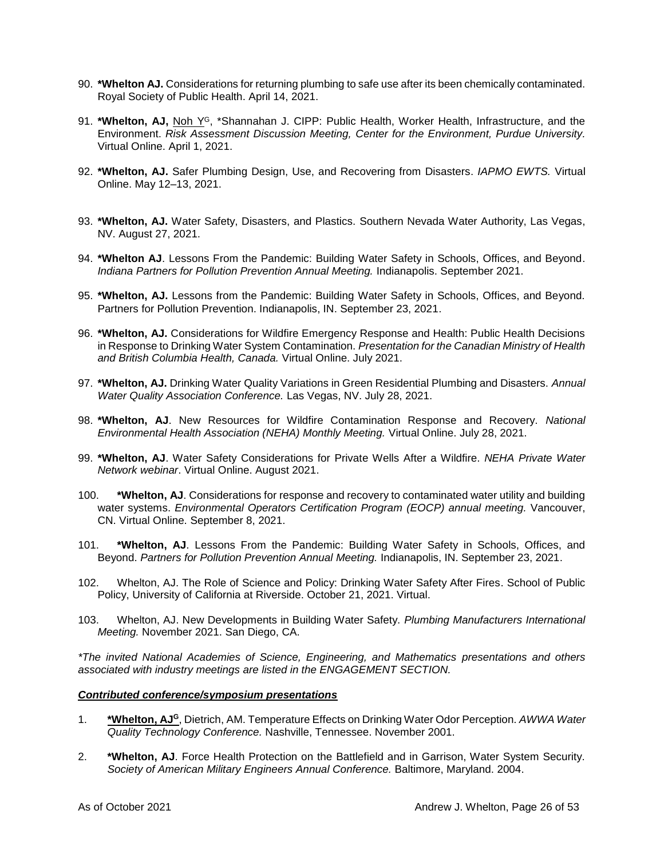- 90. **\*Whelton AJ.** Considerations for returning plumbing to safe use after its been chemically contaminated. Royal Society of Public Health. April 14, 2021.
- 91. **\*Whelton, AJ,** Noh Y<sup>G</sup>, \*Shannahan J. CIPP: Public Health, Worker Health, Infrastructure, and the Environment. *Risk Assessment Discussion Meeting, Center for the Environment, Purdue University.* Virtual Online. April 1, 2021.
- 92. **\*Whelton, AJ.** Safer Plumbing Design, Use, and Recovering from Disasters. *IAPMO EWTS.* Virtual Online. May 12–13, 2021.
- 93. **\*Whelton, AJ.** Water Safety, Disasters, and Plastics. Southern Nevada Water Authority, Las Vegas, NV. August 27, 2021.
- 94. **\*Whelton AJ**. Lessons From the Pandemic: Building Water Safety in Schools, Offices, and Beyond. *Indiana Partners for Pollution Prevention Annual Meeting.* Indianapolis. September 2021.
- 95. **\*Whelton, AJ.** Lessons from the Pandemic: Building Water Safety in Schools, Offices, and Beyond. Partners for Pollution Prevention. Indianapolis, IN. September 23, 2021.
- 96. **\*Whelton, AJ.** Considerations for Wildfire Emergency Response and Health: Public Health Decisions in Response to Drinking Water System Contamination. *Presentation for the Canadian Ministry of Health and British Columbia Health, Canada.* Virtual Online. July 2021.
- 97. **\*Whelton, AJ.** Drinking Water Quality Variations in Green Residential Plumbing and Disasters. *Annual Water Quality Association Conference.* Las Vegas, NV. July 28, 2021.
- 98. **\*Whelton, AJ**. New Resources for Wildfire Contamination Response and Recovery. *National Environmental Health Association (NEHA) Monthly Meeting.* Virtual Online. July 28, 2021.
- 99. **\*Whelton, AJ**. Water Safety Considerations for Private Wells After a Wildfire. *NEHA Private Water Network webinar*. Virtual Online. August 2021.
- 100. **\*Whelton, AJ**. Considerations for response and recovery to contaminated water utility and building water systems. *Environmental Operators Certification Program (EOCP) annual meeting.* Vancouver, CN. Virtual Online. September 8, 2021.
- 101. **\*Whelton, AJ**. Lessons From the Pandemic: Building Water Safety in Schools, Offices, and Beyond. *Partners for Pollution Prevention Annual Meeting.* Indianapolis, IN. September 23, 2021.
- 102. Whelton, AJ. The Role of Science and Policy: Drinking Water Safety After Fires. School of Public Policy, University of California at Riverside. October 21, 2021. Virtual.
- 103. Whelton, AJ. New Developments in Building Water Safety. *Plumbing Manufacturers International Meeting.* November 2021. San Diego, CA.

*\*The invited National Academies of Science, Engineering, and Mathematics presentations and others associated with industry meetings are listed in the ENGAGEMENT SECTION.*

#### *Contributed conference/symposium presentations*

- 1. **\*Whelton, AJ<sup>G</sup>**, Dietrich, AM. Temperature Effects on Drinking Water Odor Perception. *AWWA Water Quality Technology Conference.* Nashville, Tennessee. November 2001.
- 2. **\*Whelton, AJ**. Force Health Protection on the Battlefield and in Garrison, Water System Security. *Society of American Military Engineers Annual Conference.* Baltimore, Maryland. 2004.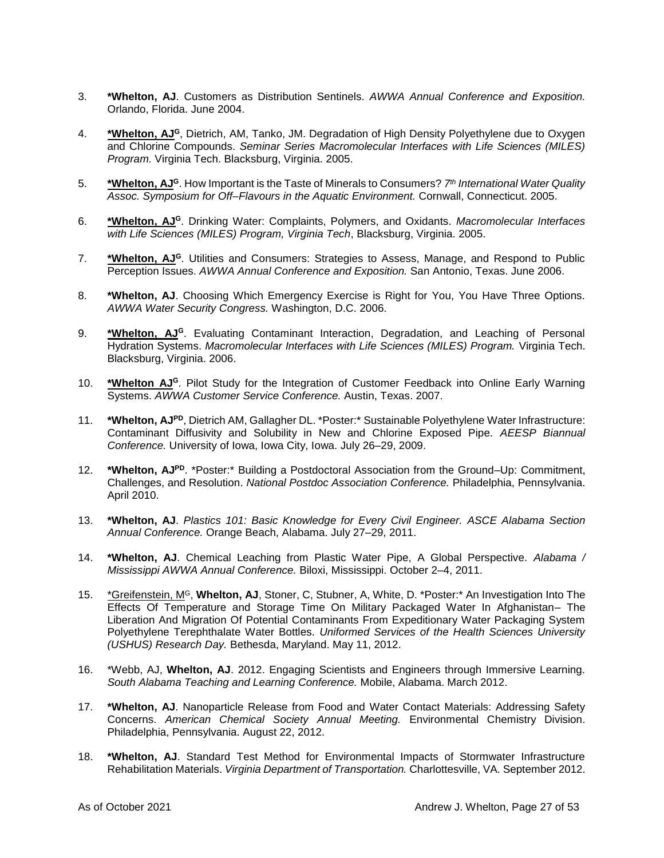- 3. **\*Whelton, AJ**. Customers as Distribution Sentinels. *AWWA Annual Conference and Exposition.* Orlando, Florida. June 2004.
- 4. **\*Whelton, AJ<sup>G</sup>**, Dietrich, AM, Tanko, JM. Degradation of High Density Polyethylene due to Oxygen and Chlorine Compounds. *Seminar Series Macromolecular Interfaces with Life Sciences (MILES) Program.* Virginia Tech. Blacksburg, Virginia. 2005.
- 5. **\*Whelton, AJ<sup>G</sup>**. How Important is the Taste of Minerals to Consumers? *7 th International Water Quality Assoc. Symposium for Off–Flavours in the Aquatic Environment.* Cornwall, Connecticut. 2005.
- 6. **\*Whelton, AJ<sup>G</sup>**. Drinking Water: Complaints, Polymers, and Oxidants. *Macromolecular Interfaces with Life Sciences (MILES) Program, Virginia Tech*, Blacksburg, Virginia. 2005.
- 7. **\*Whelton, AJ<sup>G</sup>**. Utilities and Consumers: Strategies to Assess, Manage, and Respond to Public Perception Issues. *AWWA Annual Conference and Exposition.* San Antonio, Texas. June 2006.
- 8. **\*Whelton, AJ**. Choosing Which Emergency Exercise is Right for You, You Have Three Options. *AWWA Water Security Congress.* Washington, D.C. 2006.
- 9. **\*Whelton, AJ<sup>G</sup>**. Evaluating Contaminant Interaction, Degradation, and Leaching of Personal Hydration Systems. *Macromolecular Interfaces with Life Sciences (MILES) Program.* Virginia Tech. Blacksburg, Virginia. 2006.
- 10. **\*Whelton AJ<sup>G</sup>**. Pilot Study for the Integration of Customer Feedback into Online Early Warning Systems. *AWWA Customer Service Conference.* Austin, Texas. 2007.
- 11. **\*Whelton, AJPD**, Dietrich AM, Gallagher DL. \*Poster:\* Sustainable Polyethylene Water Infrastructure: Contaminant Diffusivity and Solubility in New and Chlorine Exposed Pipe*. AEESP Biannual Conference.* University of Iowa, Iowa City, Iowa. July 26–29, 2009.
- 12. **\*Whelton, AJPD**. \*Poster:\* Building a Postdoctoral Association from the Ground–Up: Commitment, Challenges, and Resolution. *National Postdoc Association Conference.* Philadelphia, Pennsylvania. April 2010.
- 13. **\*Whelton, AJ**. *Plastics 101: Basic Knowledge for Every Civil Engineer. ASCE Alabama Section Annual Conference.* Orange Beach, Alabama. July 27–29, 2011.
- 14. **\*Whelton, AJ**. Chemical Leaching from Plastic Water Pipe, A Global Perspective. *Alabama / Mississippi AWWA Annual Conference.* Biloxi, Mississippi. October 2–4, 2011.
- 15. \*Greifenstein, M<sup>G</sup>, **Whelton, AJ**, Stoner, C, Stubner, A, White, D. \*Poster:\* An Investigation Into The Effects Of Temperature and Storage Time On Military Packaged Water In Afghanistan– The Liberation And Migration Of Potential Contaminants From Expeditionary Water Packaging System Polyethylene Terephthalate Water Bottles. *Uniformed Services of the Health Sciences University (USHUS) Research Day.* Bethesda, Maryland. May 11, 2012.
- 16. \*Webb, AJ, **Whelton, AJ**. 2012. Engaging Scientists and Engineers through Immersive Learning. *South Alabama Teaching and Learning Conference.* Mobile, Alabama. March 2012.
- 17. **\*Whelton, AJ**. Nanoparticle Release from Food and Water Contact Materials: Addressing Safety Concerns. *American Chemical Society Annual Meeting.* Environmental Chemistry Division. Philadelphia, Pennsylvania. August 22, 2012.
- 18. **\*Whelton, AJ**. Standard Test Method for Environmental Impacts of Stormwater Infrastructure Rehabilitation Materials. *Virginia Department of Transportation.* Charlottesville, VA. September 2012.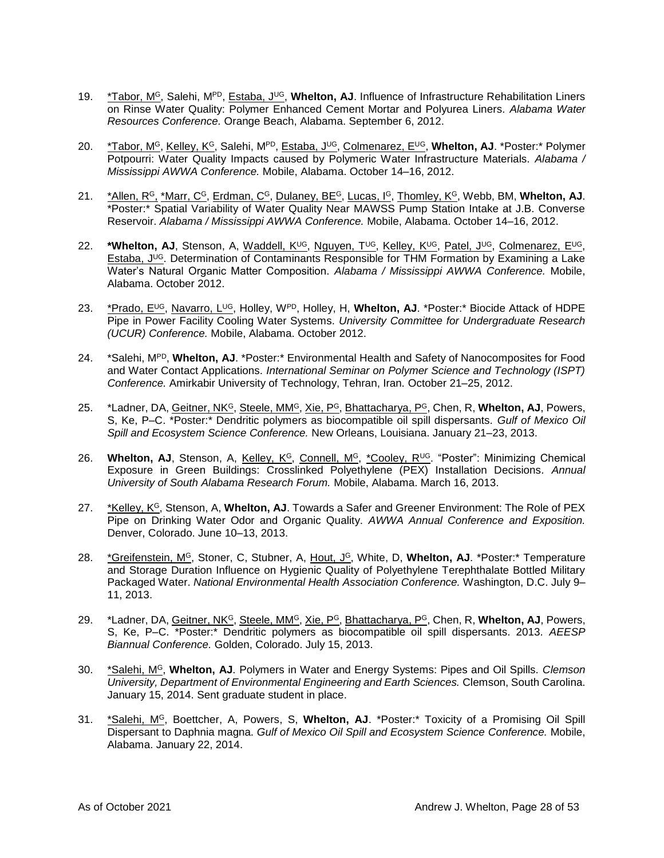- 19. \*Tabor, M<sup>G</sup>, Salehi, MPD, Estaba, J UG, **Whelton, AJ**. Influence of Infrastructure Rehabilitation Liners on Rinse Water Quality: Polymer Enhanced Cement Mortar and Polyurea Liners*. Alabama Water Resources Conference.* Orange Beach, Alabama. September 6, 2012.
- 20. \*Tabor, M<sup>G</sup>, Kelley, K<sup>G</sup>, Salehi, MPD, Estaba, J UG, Colmenarez, EUG, **Whelton, AJ**. \*Poster:\* Polymer Potpourri: Water Quality Impacts caused by Polymeric Water Infrastructure Materials. *Alabama / Mississippi AWWA Conference.* Mobile, Alabama. October 14–16, 2012.
- 21. \*Allen, R<sup>G</sup>, \*Marr, C<sup>G</sup>, Erdman, C<sup>G</sup>, Dulaney, BE<sup>G</sup>, Lucas, I <sup>G</sup>, Thomley, K<sup>G</sup>, Webb, BM, **Whelton, AJ**. \*Poster:\* Spatial Variability of Water Quality Near MAWSS Pump Station Intake at J.B. Converse Reservoir. *Alabama / Mississippi AWWA Conference.* Mobile, Alabama. October 14–16, 2012.
- 22. **\*Whelton, AJ**, Stenson, A, <u>Waddell, K<sup>uG</sup>, Nguyen, T<sup>uG</sup>, Kelley, K<sup>uG</sup>, Patel, J<sup>uG</sup>, Colmenarez, E<sup>uG</sup>,</u> Estaba, J<sup>ug</sup>. Determination of Contaminants Responsible for THM Formation by Examining a Lake Water's Natural Organic Matter Composition. *Alabama / Mississippi AWWA Conference.* Mobile, Alabama. October 2012.
- 23. <u>\*Prado, E<sup>uG</sup>, Navarro, L<sup>uG</sup>,</u> Holley, W<sup>pp</sup>, Holley, H, **Whelton, AJ**. \*Poster:\* Biocide Attack of HDPE Pipe in Power Facility Cooling Water Systems. *University Committee for Undergraduate Research (UCUR) Conference.* Mobile, Alabama. October 2012.
- 24. \*Salehi, MPD, **Whelton, AJ**. \*Poster:\* Environmental Health and Safety of Nanocomposites for Food and Water Contact Applications. *International Seminar on Polymer Science and Technology (ISPT) Conference.* Amirkabir University of Technology, Tehran, Iran. October 21–25, 2012.
- 25. \*Ladner, DA, Geitner, NK<sup>G</sup>, Steele, MM<sup>G</sup>, Xie, P<sup>G</sup>, Bhattacharya, P<sup>G</sup>, Chen, R, **Whelton, AJ**, Powers, S, Ke, P–C. \*Poster:\* Dendritic polymers as biocompatible oil spill dispersants. *Gulf of Mexico Oil Spill and Ecosystem Science Conference.* New Orleans, Louisiana. January 21–23, 2013.
- 26. Whelton, AJ, Stenson, A, Kelley, K<sup>G</sup>, Connell, M<sup>G</sup>, \*Cooley, R<sup>UG</sup>. "Poster": Minimizing Chemical Exposure in Green Buildings: Crosslinked Polyethylene (PEX) Installation Decisions*. Annual University of South Alabama Research Forum.* Mobile, Alabama. March 16, 2013.
- 27. \*Kelley, K<sup>G</sup>, Stenson, A, **Whelton, AJ**. Towards a Safer and Greener Environment: The Role of PEX Pipe on Drinking Water Odor and Organic Quality. *AWWA Annual Conference and Exposition.* Denver, Colorado. June 10–13, 2013.
- 28. \*Greifenstein, M<sup>G</sup>, Stoner, C, Stubner, A, Hout, J <sup>G</sup>, White, D, **Whelton, AJ**. \*Poster:\* Temperature and Storage Duration Influence on Hygienic Quality of Polyethylene Terephthalate Bottled Military Packaged Water. *National Environmental Health Association Conference.* Washington, D.C. July 9– 11, 2013.
- 29. \*Ladner, DA, Geitner, NK<sup>G</sup>, Steele, MM<sup>G</sup>, Xie, P<sup>G</sup>, Bhattacharya, P<sup>G</sup>, Chen, R, **Whelton, AJ**, Powers, S, Ke, P–C. \*Poster:\* Dendritic polymers as biocompatible oil spill dispersants. 2013. *AEESP Biannual Conference.* Golden, Colorado. July 15, 2013.
- 30. \*Salehi, M<sup>G</sup>, **Whelton, AJ**. Polymers in Water and Energy Systems: Pipes and Oil Spills. *Clemson University, Department of Environmental Engineering and Earth Sciences.* Clemson, South Carolina. January 15, 2014. Sent graduate student in place.
- 31. \*Salehi, M<sup>G</sup>, Boettcher, A, Powers, S, **Whelton, AJ**. \*Poster:\* Toxicity of a Promising Oil Spill Dispersant to Daphnia magna. *Gulf of Mexico Oil Spill and Ecosystem Science Conference.* Mobile, Alabama. January 22, 2014.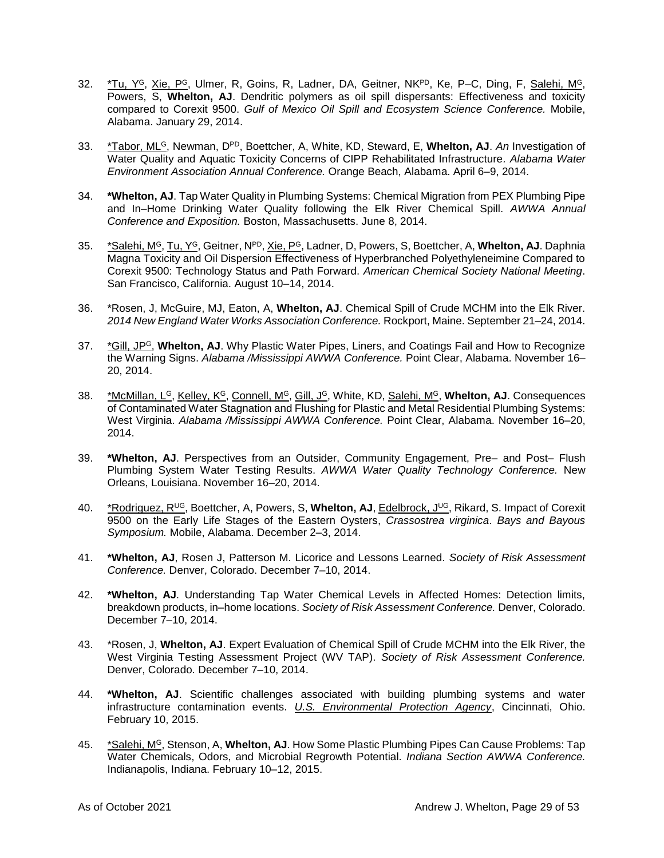- 32. \*Tu, Y<sup>G</sup>, Xie, P<sup>G</sup>, Ulmer, R, Goins, R, Ladner, DA, Geitner, NK<sup>PD</sup>, Ke, P-C, Ding, F, Salehi, M<sup>G</sup>, Powers, S, **Whelton, AJ**. Dendritic polymers as oil spill dispersants: Effectiveness and toxicity compared to Corexit 9500. *Gulf of Mexico Oil Spill and Ecosystem Science Conference.* Mobile, Alabama. January 29, 2014.
- 33. \*Tabor, ML<sup>G</sup>, Newman, DPD, Boettcher, A, White, KD, Steward, E, **Whelton, AJ**. *An* Investigation of Water Quality and Aquatic Toxicity Concerns of CIPP Rehabilitated Infrastructure*. Alabama Water Environment Association Annual Conference.* Orange Beach, Alabama. April 6–9, 2014.
- 34. **\*Whelton, AJ**. Tap Water Quality in Plumbing Systems: Chemical Migration from PEX Plumbing Pipe and In–Home Drinking Water Quality following the Elk River Chemical Spill. *AWWA Annual Conference and Exposition.* Boston, Massachusetts. June 8, 2014.
- 35. \*Salehi, M<sup>G</sup>, Tu, Y<sup>G</sup>, Geitner, NPD, Xie, P<sup>G</sup>, Ladner, D, Powers, S, Boettcher, A, **Whelton, AJ**. Daphnia Magna Toxicity and Oil Dispersion Effectiveness of Hyperbranched Polyethyleneimine Compared to Corexit 9500: Technology Status and Path Forward. *American Chemical Society National Meeting*. San Francisco, California. August 10–14, 2014.
- 36. \*Rosen, J, McGuire, MJ, Eaton, A, **Whelton, AJ**. Chemical Spill of Crude MCHM into the Elk River. *2014 New England Water Works Association Conference.* Rockport, Maine. September 21–24, 2014.
- 37. \*Gill, JP<sup>G</sup>, **Whelton, AJ**. Why Plastic Water Pipes, Liners, and Coatings Fail and How to Recognize the Warning Signs. *Alabama /Mississippi AWWA Conference.* Point Clear, Alabama. November 16– 20, 2014.
- 38. <u>\*McMillan, L<sup>G</sup>, Kelley, K<sup>G</sup>, Connell, M<sup>G</sup>, Gill, J<sup>G</sup>, White, KD, <u>Salehi, M<sup>G</sup>,</u> **Whelton, AJ**. Consequences</u> of Contaminated Water Stagnation and Flushing for Plastic and Metal Residential Plumbing Systems: West Virginia. *Alabama /Mississippi AWWA Conference.* Point Clear, Alabama. November 16–20, 2014.
- 39. **\*Whelton, AJ**. Perspectives from an Outsider, Community Engagement, Pre– and Post– Flush Plumbing System Water Testing Results. *AWWA Water Quality Technology Conference.* New Orleans, Louisiana. November 16–20, 2014.
- 40. \*Rodriguez, RUG, Boettcher, A, Powers, S, **Whelton, AJ**, Edelbrock, J UG, Rikard, S. Impact of Corexit 9500 on the Early Life Stages of the Eastern Oysters, *Crassostrea virginica*. *Bays and Bayous Symposium.* Mobile, Alabama. December 2–3, 2014.
- 41. **\*Whelton, AJ**, Rosen J, Patterson M. Licorice and Lessons Learned. *Society of Risk Assessment Conference.* Denver, Colorado. December 7–10, 2014.
- 42. **\*Whelton, AJ**. Understanding Tap Water Chemical Levels in Affected Homes: Detection limits, breakdown products, in–home locations. *Society of Risk Assessment Conference.* Denver, Colorado. December 7–10, 2014.
- 43. \*Rosen, J, **Whelton, AJ**. Expert Evaluation of Chemical Spill of Crude MCHM into the Elk River, the West Virginia Testing Assessment Project (WV TAP). *Society of Risk Assessment Conference.* Denver, Colorado. December 7–10, 2014.
- 44. **\*Whelton, AJ**. Scientific challenges associated with building plumbing systems and water infrastructure contamination events. *[U.S. Environmental Protection Agency](http://www.purdue.edu/)*, Cincinnati, Ohio. February 10, 2015.
- 45. \*Salehi, M<sup>G</sup>, Stenson, A, **Whelton, AJ**. How Some Plastic Plumbing Pipes Can Cause Problems: Tap Water Chemicals, Odors, and Microbial Regrowth Potential. *Indiana Section AWWA Conference.* Indianapolis, Indiana. February 10–12, 2015.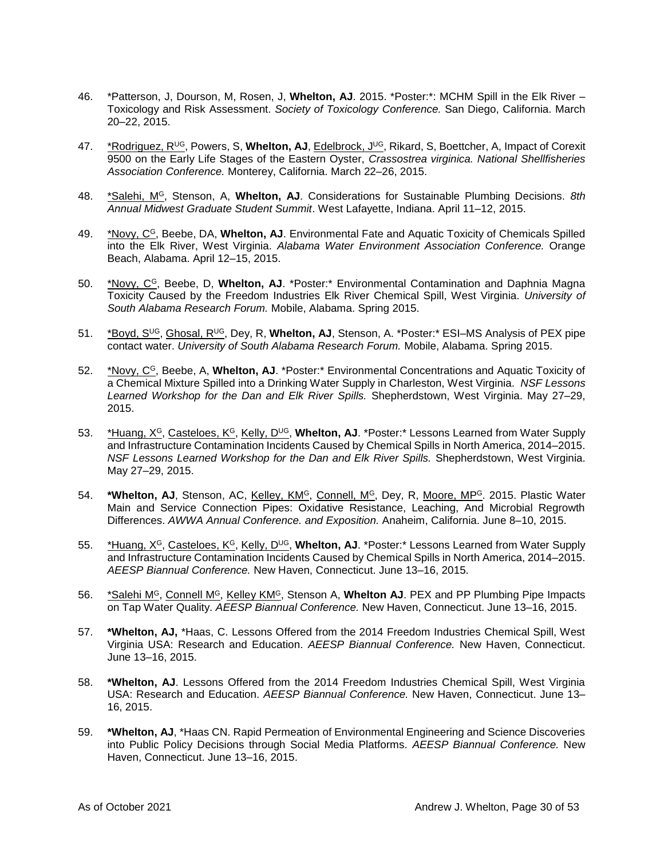- 46. \*Patterson, J, Dourson, M, Rosen, J, **Whelton, AJ**. 2015. \*Poster:\*: MCHM Spill in the Elk River Toxicology and Risk Assessment. *Society of Toxicology Conference.* San Diego, California. March 20–22, 2015.
- 47. <u>\*Rodriguez, R<sup>uG</sup>,</u> Powers, S, **Whelton, AJ**, <u>Edelbrock, J<sup>uG</sup>,</u> Rikard, S, Boettcher, A, Impact of Corexit 9500 on the Early Life Stages of the Eastern Oyster, *Crassostrea virginica. National Shellfisheries Association Conference.* Monterey, California. March 22–26, 2015.
- 48. \*Salehi, M<sup>G</sup>, Stenson, A, **Whelton, AJ**. Considerations for Sustainable Plumbing Decisions. *8th Annual Midwest Graduate Student Summit*. West Lafayette, Indiana. April 11–12, 2015.
- 49. \*Novy, C<sup>G</sup>, Beebe, DA, **Whelton, AJ**. Environmental Fate and Aquatic Toxicity of Chemicals Spilled into the Elk River, West Virginia. *Alabama Water Environment Association Conference.* Orange Beach, Alabama. April 12–15, 2015.
- 50. \*Novy, C<sup>G</sup>, Beebe, D, **Whelton, AJ**. \*Poster:\* Environmental Contamination and Daphnia Magna Toxicity Caused by the Freedom Industries Elk River Chemical Spill, West Virginia. *University of South Alabama Research Forum.* Mobile, Alabama. Spring 2015.
- 51. \*Boyd, SUG, Ghosal, RUG, Dey, R, **Whelton, AJ**, Stenson, A. \*Poster:\* ESI–MS Analysis of PEX pipe contact water. *University of South Alabama Research Forum.* Mobile, Alabama. Spring 2015.
- 52. \*Novy, C<sup>G</sup>, Beebe, A, **Whelton, AJ**. \*Poster:\* Environmental Concentrations and Aquatic Toxicity of a Chemical Mixture Spilled into a Drinking Water Supply in Charleston, West Virginia. *NSF Lessons Learned Workshop for the Dan and Elk River Spills.* Shepherdstown, West Virginia. May 27–29, 2015.
- 53. \*Huang, X<sup>G</sup>, Casteloes, K<sup>G</sup>, Kelly, DUG, **Whelton, AJ**. \*Poster:\* Lessons Learned from Water Supply and Infrastructure Contamination Incidents Caused by Chemical Spills in North America, 2014–2015. *NSF Lessons Learned Workshop for the Dan and Elk River Spills.* Shepherdstown, West Virginia. May 27–29, 2015.
- 54. **\*Whelton, AJ**, Stenson, AC, Kelley, KM<sup>G</sup>, Connell, M<sup>G</sup>, Dey, R, Moore, MP<sup>G</sup>. 2015. Plastic Water Main and Service Connection Pipes: Oxidative Resistance, Leaching, And Microbial Regrowth Differences. *AWWA Annual Conference. and Exposition.* Anaheim, California. June 8–10, 2015.
- 55. \*Huang, X<sup>G</sup>, Casteloes, K<sup>G</sup>, Kelly, DUG, **Whelton, AJ**. \*Poster:\* Lessons Learned from Water Supply and Infrastructure Contamination Incidents Caused by Chemical Spills in North America, 2014–2015. *AEESP Biannual Conference.* New Haven, Connecticut. June 13–16, 2015.
- 56. \*Salehi M<sup>G</sup>, Connell M<sup>G</sup>, Kelley KM<sup>G</sup>, Stenson A, Whelton AJ. PEX and PP Plumbing Pipe Impacts on Tap Water Quality. *AEESP Biannual Conference.* New Haven, Connecticut. June 13–16, 2015.
- 57. **\*Whelton, AJ,** \*Haas, C. Lessons Offered from the 2014 Freedom Industries Chemical Spill, West Virginia USA: Research and Education. *AEESP Biannual Conference.* New Haven, Connecticut. June 13–16, 2015.
- 58. **\*Whelton, AJ**. Lessons Offered from the 2014 Freedom Industries Chemical Spill, West Virginia USA: Research and Education. *AEESP Biannual Conference.* New Haven, Connecticut. June 13– 16, 2015.
- 59. **\*Whelton, AJ**, \*Haas CN. Rapid Permeation of Environmental Engineering and Science Discoveries into Public Policy Decisions through Social Media Platforms. *AEESP Biannual Conference.* New Haven, Connecticut. June 13–16, 2015.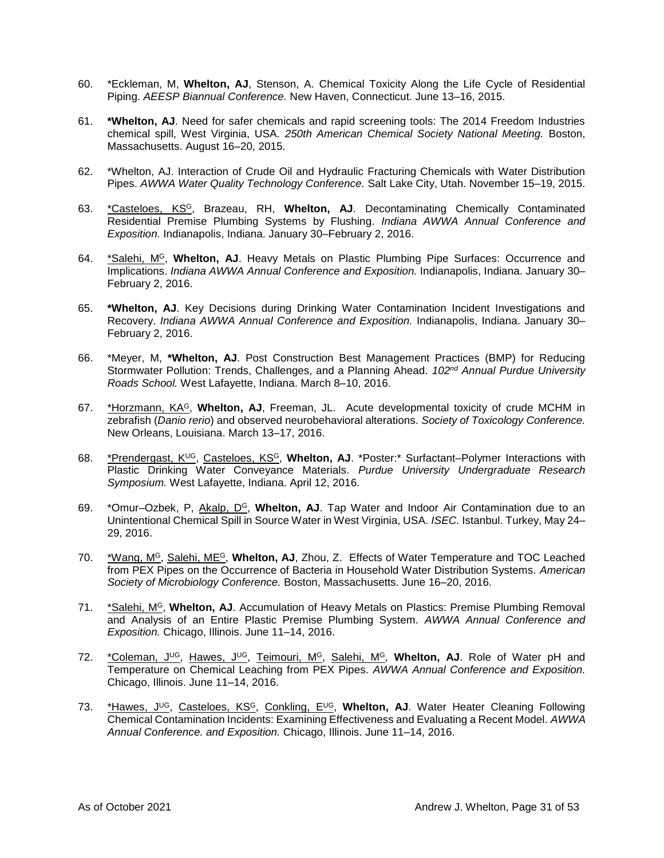- 60. \*Eckleman, M, **Whelton, AJ**, Stenson, A. Chemical Toxicity Along the Life Cycle of Residential Piping. *AEESP Biannual Conference.* New Haven, Connecticut. June 13–16, 2015.
- 61. **\*Whelton, AJ**. Need for safer chemicals and rapid screening tools: The 2014 Freedom Industries chemical spill, West Virginia, USA. *250th American Chemical Society National Meeting.* Boston, Massachusetts. August 16–20, 2015.
- 62. \*Whelton, AJ. Interaction of Crude Oil and Hydraulic Fracturing Chemicals with Water Distribution Pipes. *AWWA Water Quality Technology Conference.* Salt Lake City, Utah. November 15–19, 2015.
- 63. \*Casteloes, KS<sup>G</sup>, Brazeau, RH, **Whelton, AJ**. Decontaminating Chemically Contaminated Residential Premise Plumbing Systems by Flushing. *Indiana AWWA Annual Conference and Exposition.* Indianapolis, Indiana. January 30–February 2, 2016.
- 64. \*Salehi, M<sup>G</sup>, **Whelton, AJ**. Heavy Metals on Plastic Plumbing Pipe Surfaces: Occurrence and Implications. *Indiana AWWA Annual Conference and Exposition.* Indianapolis, Indiana. January 30– February 2, 2016.
- 65. **\*Whelton, AJ**. Key Decisions during Drinking Water Contamination Incident Investigations and Recovery. *Indiana AWWA Annual Conference and Exposition.* Indianapolis, Indiana. January 30– February 2, 2016.
- 66. \*Meyer, M, **\*Whelton, AJ**. Post Construction Best Management Practices (BMP) for Reducing Stormwater Pollution: Trends, Challenges, and a Planning Ahead. *102nd Annual Purdue University Roads School.* West Lafayette, Indiana. March 8–10, 2016.
- 67. \*Horzmann, KA<sup>G</sup>, **Whelton, AJ**, Freeman, JL. Acute developmental toxicity of crude MCHM in zebrafish (*Danio rerio*) and observed neurobehavioral alterations. *Society of Toxicology Conference.* New Orleans, Louisiana. March 13–17, 2016.
- 68. \*Prendergast, KUG, Casteloes, KS<sup>G</sup>, **Whelton, AJ**. \*Poster:\* Surfactant–Polymer Interactions with Plastic Drinking Water Conveyance Materials. *Purdue University Undergraduate Research Symposium.* West Lafayette, Indiana. April 12, 2016.
- 69. \*Omur–Ozbek, P, Akalp, D<sup>G</sup>, **Whelton, AJ**. Tap Water and Indoor Air Contamination due to an Unintentional Chemical Spill in Source Water in West Virginia, USA. *ISEC.* Istanbul. Turkey, May 24– 29, 2016.
- 70. \*Wang, M<sup>G</sup>, Salehi, ME<sup>G</sup>, **Whelton, AJ**, Zhou, Z. Effects of Water Temperature and TOC Leached from PEX Pipes on the Occurrence of Bacteria in Household Water Distribution Systems. *American Society of Microbiology Conference.* Boston, Massachusetts. June 16–20, 2016.
- 71. \*Salehi, M<sup>G</sup>, Whelton, AJ. Accumulation of Heavy Metals on Plastics: Premise Plumbing Removal and Analysis of an Entire Plastic Premise Plumbing System. *AWWA Annual Conference and Exposition.* Chicago, Illinois. June 11–14, 2016.
- 72. \*Coleman, J UG, Hawes, J UG, Teimouri, M<sup>G</sup>, Salehi, M<sup>G</sup>, **Whelton, AJ**. Role of Water pH and Temperature on Chemical Leaching from PEX Pipes. *AWWA Annual Conference and Exposition.* Chicago, Illinois. June 11–14, 2016.
- 73. \*Hawes, J UG, Casteloes, KS<sup>G</sup>, Conkling, EUG, **Whelton, AJ**. Water Heater Cleaning Following Chemical Contamination Incidents: Examining Effectiveness and Evaluating a Recent Model. *AWWA Annual Conference. and Exposition.* Chicago, Illinois. June 11–14, 2016.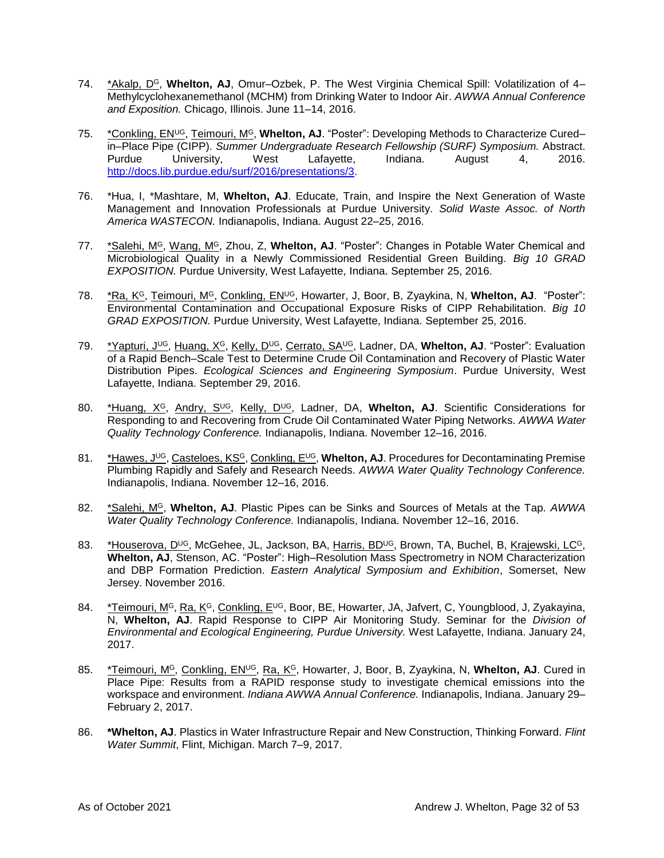- 74. \* Akalp, D<sup>G</sup>, Whelton, AJ, Omur–Ozbek, P. The West Virginia Chemical Spill: Volatilization of 4– Methylcyclohexanemethanol (MCHM) from Drinking Water to Indoor Air. *AWWA Annual Conference and Exposition.* Chicago, Illinois. June 11–14, 2016.
- 75. \*Conkling, ENUG, Teimouri, M<sup>G</sup>, **Whelton, AJ**. "Poster": Developing Methods to Characterize Cured– in–Place Pipe (CIPP). *Summer Undergraduate Research Fellowship (SURF) Symposium.* Abstract. Purdue University, West Lafayette, Indiana. August 4, 2016. [http://docs.lib.purdue.edu/surf/2016/presentations/3.](http://docs.lib.purdue.edu/surf/2016/presentations/3)
- 76. \*Hua, I, \*Mashtare, M, **Whelton, AJ**. Educate, Train, and Inspire the Next Generation of Waste Management and Innovation Professionals at Purdue University. *Solid Waste Assoc. of North America WASTECON.* Indianapolis, Indiana. August 22–25, 2016.
- 77. <u>\*Salehi, M<sup>G</sup>, Wang, M<sup>G</sup>, Zhou, Z, Whelton, AJ. "Poster": Changes in Potable Water Chemical and</u> Microbiological Quality in a Newly Commissioned Residential Green Building. *Big 10 GRAD EXPOSITION.* Purdue University, West Lafayette, Indiana. September 25, 2016.
- 78. \*Ra, K<sup>G</sup>, Teimouri, M<sup>G</sup>, Conkling, ENUG, Howarter, J, Boor, B, Zyaykina, N, **Whelton, AJ**. "Poster": Environmental Contamination and Occupational Exposure Risks of CIPP Rehabilitation. *Big 10 GRAD EXPOSITION.* Purdue University, West Lafayette, Indiana. September 25, 2016.
- 79. \*Yapturi, J UG, Huang, X<sup>G</sup>, Kelly, DUG, Cerrato, SAUG, Ladner, DA, **Whelton, AJ**. "Poster": Evaluation of a Rapid Bench–Scale Test to Determine Crude Oil Contamination and Recovery of Plastic Water Distribution Pipes. *Ecological Sciences and Engineering Symposium*. Purdue University, West Lafayette, Indiana. September 29, 2016.
- 80. \*Huang, X<sup>G</sup>, Andry, SUG, Kelly, DUG, Ladner, DA, **Whelton, AJ**. Scientific Considerations for Responding to and Recovering from Crude Oil Contaminated Water Piping Networks. *AWWA Water Quality Technology Conference.* Indianapolis, Indiana. November 12–16, 2016.
- 81. <u>\*Hawes, J<sup>ug</sup>, Casteloes, KS<sup>c</sup>, Conkling, E<sup>ug</sup>, **Whelton, AJ**. Procedures for Decontaminating Premise</u> Plumbing Rapidly and Safely and Research Needs. *AWWA Water Quality Technology Conference.* Indianapolis, Indiana. November 12–16, 2016.
- 82. \*Salehi, M<sup>G</sup>, **Whelton, AJ**. Plastic Pipes can be Sinks and Sources of Metals at the Tap. *AWWA Water Quality Technology Conference.* Indianapolis, Indiana. November 12–16, 2016.
- 83. \*Houserova, D<sup>ug</sup>, McGehee, JL, Jackson, BA, Harris, BD<sup>ug</sup>, Brown, TA, Buchel, B, Krajewski, LC<sup>G</sup>, **Whelton, AJ**, Stenson, AC. "Poster": High–Resolution Mass Spectrometry in NOM Characterization and DBP Formation Prediction. *Eastern Analytical Symposium and Exhibition*, Somerset, New Jersey. November 2016.
- 84. \*Teimouri, M<sup>G</sup>, Ra, K<sup>G</sup>, Conkling, E<sup>UG</sup>, Boor, BE, Howarter, JA, Jafvert, C, Youngblood, J, Zyakayina, N, **Whelton, AJ**. Rapid Response to CIPP Air Monitoring Study. Seminar for the *Division of Environmental and Ecological Engineering, Purdue University.* West Lafayette, Indiana. January 24, 2017.
- 85. \*Teimouri, M<sup>G</sup>, Conkling, EN<sup>UG</sup>, Ra, K<sup>G</sup>, Howarter, J, Boor, B, Zyaykina, N, Whelton, AJ. Cured in Place Pipe: Results from a RAPID response study to investigate chemical emissions into the workspace and environment. *Indiana AWWA Annual Conference.* Indianapolis, Indiana. January 29– February 2, 2017.
- 86. **\*Whelton, AJ**. Plastics in Water Infrastructure Repair and New Construction, Thinking Forward. *Flint Water Summit*, Flint, Michigan. March 7–9, 2017.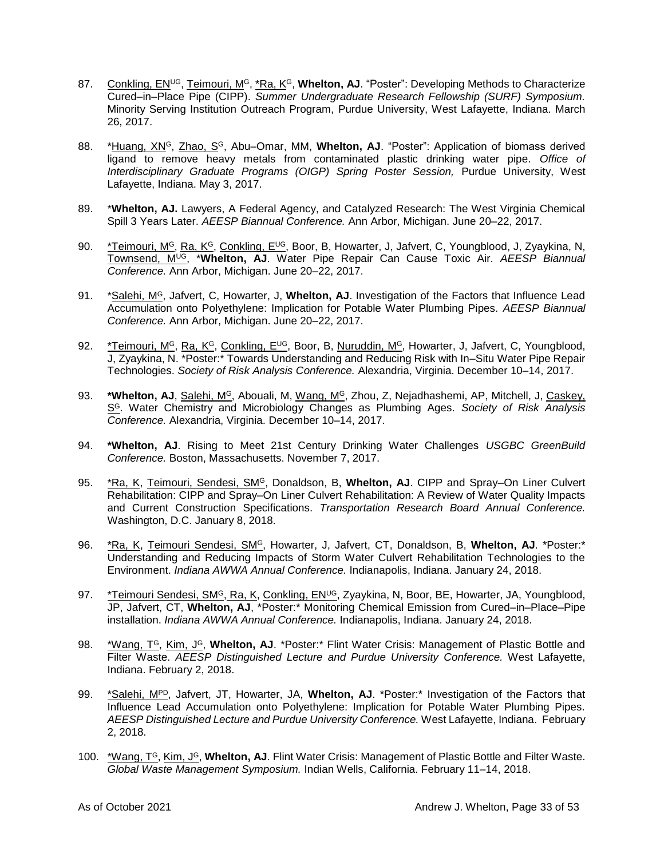- 87. Conkling, EN<sup>UG</sup>, Teimouri, M<sup>G</sup>, \*Ra, K<sup>G</sup>, Whelton, AJ. "Poster": Developing Methods to Characterize Cured–in–Place Pipe (CIPP). *Summer Undergraduate Research Fellowship (SURF) Symposium.* Minority Serving Institution Outreach Program, Purdue University, West Lafayette, Indiana. March 26, 2017.
- 88. \*Huang, XN<sup>G</sup>, Zhao, S<sup>G</sup>, Abu–Omar, MM, Whelton, AJ. "Poster": Application of biomass derived ligand to remove heavy metals from contaminated plastic drinking water pipe. *Office of Interdisciplinary Graduate Programs (OIGP) Spring Poster Session,* Purdue University, West Lafayette, Indiana. May 3, 2017.
- 89. \***Whelton, AJ.** Lawyers, A Federal Agency, and Catalyzed Research: The West Virginia Chemical Spill 3 Years Later. *AEESP Biannual Conference.* Ann Arbor, Michigan. June 20–22, 2017.
- 90. \* Teimouri, M<sup>G</sup>, Ra, K<sup>G</sup>, Conkling, E<sup>UG</sup>, Boor, B, Howarter, J, Jafvert, C, Youngblood, J, Zyaykina, N, Townsend, MUG, \***Whelton, AJ**. Water Pipe Repair Can Cause Toxic Air. *AEESP Biannual Conference.* Ann Arbor, Michigan. June 20–22, 2017.
- 91. \*Salehi, M<sup>G</sup>, Jafvert, C, Howarter, J, **Whelton, AJ**. Investigation of the Factors that Influence Lead Accumulation onto Polyethylene: Implication for Potable Water Plumbing Pipes. *AEESP Biannual Conference.* Ann Arbor, Michigan. June 20–22, 2017.
- 92. \*Teimouri, M<sup>G</sup>, Ra, K<sup>G</sup>, Conkling, E<sup>UG</sup>, Boor, B, Nuruddin, M<sup>G</sup>, Howarter, J, Jafvert, C, Youngblood, J, Zyaykina, N. \*Poster:\* Towards Understanding and Reducing Risk with In–Situ Water Pipe Repair Technologies. *Society of Risk Analysis Conference.* Alexandria, Virginia. December 10–14, 2017.
- 93. \*Whelton, AJ, Salehi, M<sup>G</sup>, Abouali, M, Wang, M<sup>G</sup>, Zhou, Z, Nejadhashemi, AP, Mitchell, J, Caskey, S<sup>G</sup>. Water Chemistry and Microbiology Changes as Plumbing Ages. *Society of Risk Analysis Conference.* Alexandria, Virginia. December 10–14, 2017.
- 94. **\*Whelton, AJ**. Rising to Meet 21st Century Drinking Water Challenges *USGBC GreenBuild Conference.* Boston, Massachusetts. November 7, 2017.
- 95. \*Ra, K, Teimouri, Sendesi, SM<sup>G</sup>, Donaldson, B, **Whelton, AJ**. CIPP and Spray–On Liner Culvert Rehabilitation: CIPP and Spray–On Liner Culvert Rehabilitation: A Review of Water Quality Impacts and Current Construction Specifications. *Transportation Research Board Annual Conference.* Washington, D.C. January 8, 2018.
- 96. \*Ra, K, Teimouri Sendesi, SM<sup>G</sup>, Howarter, J, Jafvert, CT, Donaldson, B, **Whelton, AJ**. \*Poster:\* Understanding and Reducing Impacts of Storm Water Culvert Rehabilitation Technologies to the Environment. *Indiana AWWA Annual Conference.* Indianapolis, Indiana. January 24, 2018.
- 97. \* Teimouri Sendesi, SM<sup>G</sup>, Ra, K, Conkling, EN<sup>UG</sup>, Zyaykina, N, Boor, BE, Howarter, JA, Youngblood, JP, Jafvert, CT, **Whelton, AJ**, \*Poster:\* Monitoring Chemical Emission from Cured–in–Place–Pipe installation. *Indiana AWWA Annual Conference.* Indianapolis, Indiana. January 24, 2018.
- 98. \*Wang, T<sup>G</sup>, Kim, J <sup>G</sup>, **Whelton, AJ**. \*Poster:\* Flint Water Crisis: Management of Plastic Bottle and Filter Waste. *AEESP Distinguished Lecture and Purdue University Conference.* West Lafayette, Indiana. February 2, 2018.
- 99. \*Salehi, MPD, Jafvert, JT, Howarter, JA, **Whelton, AJ**. \*Poster:\* Investigation of the Factors that Influence Lead Accumulation onto Polyethylene: Implication for Potable Water Plumbing Pipes. *AEESP Distinguished Lecture and Purdue University Conference.* West Lafayette, Indiana. February 2, 2018.
- 100. <u>\*Wang, T<sup>G</sup>, Kim, J<sup>G</sup>,</u> Whelton, AJ. Flint Water Crisis: Management of Plastic Bottle and Filter Waste. *Global Waste Management Symposium.* Indian Wells, California. February 11–14, 2018.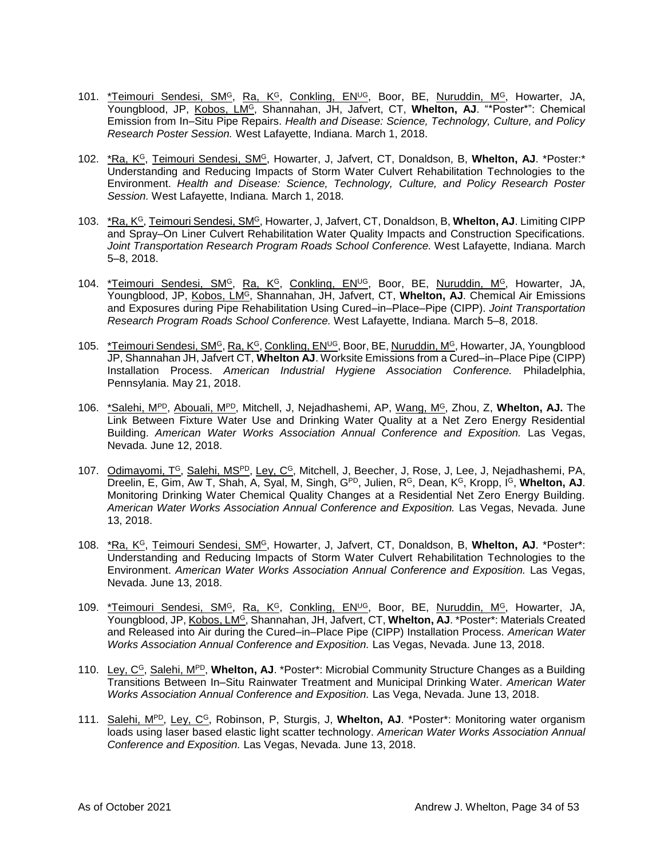- 101. <u>\*Teimouri Sendesi, SM<sup>G</sup>, Ra, K<sup>G</sup>, Conkling, EN<sup>UG</sup>, Boor, BE, <u>Nuruddin, M<sup>G</sup>,</u> Howarter, JA,</u> Youngblood, JP, Kobos, LM<sup>G</sup>, Shannahan, JH, Jafvert, CT, **Whelton, AJ**. "\*Poster\*": Chemical Emission from In–Situ Pipe Repairs. *Health and Disease: Science, Technology, Culture, and Policy Research Poster Session.* West Lafayette, Indiana. March 1, 2018.
- 102. \*Ra, K<sup>G</sup>, Teimouri Sendesi, SM<sup>G</sup>, Howarter, J, Jafvert, CT, Donaldson, B, **Whelton, AJ**. \*Poster:\* Understanding and Reducing Impacts of Storm Water Culvert Rehabilitation Technologies to the Environment. *Health and Disease: Science, Technology, Culture, and Policy Research Poster Session.* West Lafayette, Indiana. March 1, 2018.
- 103. \*Ra, K<sup>G</sup>, Teimouri Sendesi, SM<sup>G</sup>, Howarter, J, Jafvert, CT, Donaldson, B, **Whelton, AJ**. Limiting CIPP and Spray–On Liner Culvert Rehabilitation Water Quality Impacts and Construction Specifications. *Joint Transportation Research Program Roads School Conference.* West Lafayette, Indiana. March 5–8, 2018.
- 104. \*Teimouri Sendesi, SM<sup>G</sup>, Ra, K<sup>G</sup>, Conkling, EN<sup>UG</sup>, Boor, BE, Nuruddin, M<sup>G</sup>, Howarter, JA, Youngblood, JP, Kobos, LM<sup>G</sup>, Shannahan, JH, Jafvert, CT, **Whelton, AJ**. Chemical Air Emissions and Exposures during Pipe Rehabilitation Using Cured–in–Place–Pipe (CIPP). *Joint Transportation Research Program Roads School Conference.* West Lafayette, Indiana. March 5–8, 2018.
- 105. \*Teimouri Sendesi, SM<sup>G</sup>, Ra, K<sup>G</sup>, Conkling, EN<sup>UG</sup>, Boor, BE, Nuruddin, M<sup>G</sup>, Howarter, JA, Youngblood JP, Shannahan JH, Jafvert CT, **Whelton AJ**. Worksite Emissions from a Cured–in–Place Pipe (CIPP) Installation Process. *American Industrial Hygiene Association Conference.* Philadelphia, Pennsylania. May 21, 2018.
- 106. \*Salehi, MPD, Abouali, MPD, Mitchell, J, Nejadhashemi, AP, Wang, M<sup>G</sup>, Zhou, Z, **Whelton, AJ.** The Link Between Fixture Water Use and Drinking Water Quality at a Net Zero Energy Residential Building. *American Water Works Association Annual Conference and Exposition.* Las Vegas, Nevada. June 12, 2018.
- 107. Odimayomi, T<sup>G</sup>, Salehi, MS<sup>PD</sup>, Ley, C<sup>G</sup>, Mitchell, J, Beecher, J, Rose, J, Lee, J, Nejadhashemi, PA, Dreelin, E, Gim, Aw T, Shah, A, Syal, M, Singh, G<sup>PD</sup>, Julien, R<sup>G</sup>, Dean, K<sup>G</sup>, Kropp, I<sup>G</sup>, Whelton, AJ. Monitoring Drinking Water Chemical Quality Changes at a Residential Net Zero Energy Building. *American Water Works Association Annual Conference and Exposition.* Las Vegas, Nevada. June 13, 2018.
- 108. \*Ra, K<sup>G</sup>, Teimouri Sendesi, SM<sup>G</sup>, Howarter, J, Jafvert, CT, Donaldson, B, **Whelton, AJ**. \*Poster\*: Understanding and Reducing Impacts of Storm Water Culvert Rehabilitation Technologies to the Environment. American Water Works Association Annual Conference and Exposition. Las Vegas, Nevada. June 13, 2018.
- 109. \*Teimouri Sendesi, SM<sup>G</sup>, Ra, K<sup>G</sup>, Conkling, EN<sup>UG</sup>, Boor, BE, Nuruddin, M<sup>G</sup>, Howarter, JA, Youngblood, JP, Kobos, LM<sup>G</sup>, Shannahan, JH, Jafvert, CT, **Whelton, AJ**. \*Poster\*: Materials Created and Released into Air during the Cured–in–Place Pipe (CIPP) Installation Process. *American Water Works Association Annual Conference and Exposition.* Las Vegas, Nevada. June 13, 2018.
- 110. Ley, C<sup>G</sup>, Salehi, MPD, **Whelton, AJ**. \*Poster\*: Microbial Community Structure Changes as a Building Transitions Between In–Situ Rainwater Treatment and Municipal Drinking Water. *American Water Works Association Annual Conference and Exposition.* Las Vega, Nevada. June 13, 2018.
- 111. Salehi, MPD, Ley, C<sup>G</sup>, Robinson, P, Sturgis, J, **Whelton, AJ**. \*Poster\*: Monitoring water organism loads using laser based elastic light scatter technology. *American Water Works Association Annual Conference and Exposition.* Las Vegas, Nevada. June 13, 2018.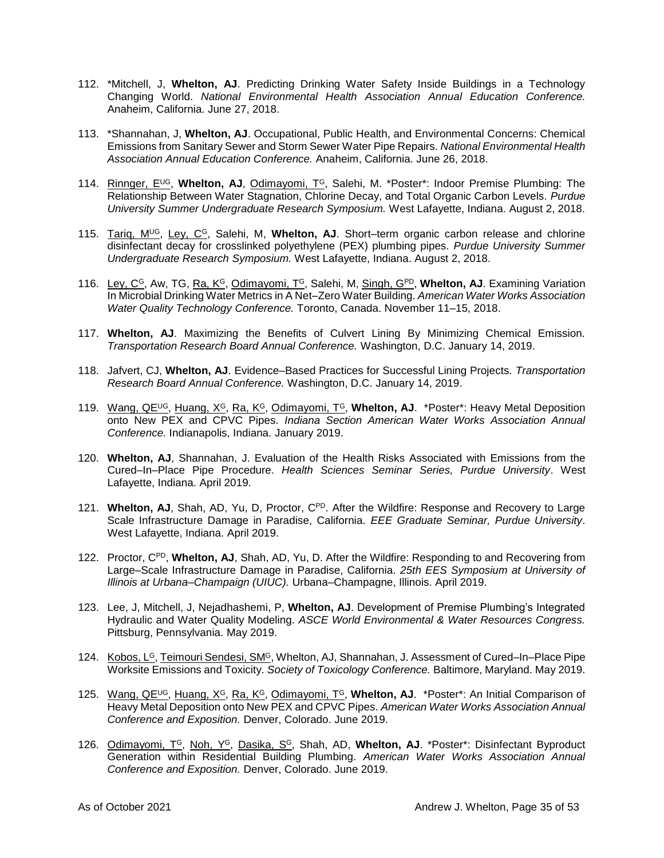- 112. \*Mitchell, J, **Whelton, AJ**. Predicting Drinking Water Safety Inside Buildings in a Technology Changing World. *National Environmental Health Association Annual Education Conference.*  Anaheim, California. June 27, 2018.
- 113. \*Shannahan, J, **Whelton, AJ**. Occupational, Public Health, and Environmental Concerns: Chemical Emissions from Sanitary Sewer and Storm Sewer Water Pipe Repairs. *National Environmental Health Association Annual Education Conference.* Anaheim, California. June 26, 2018.
- 114. Rinnger, EUG, **Whelton, AJ**, Odimayomi, T<sup>G</sup>, Salehi, M. \*Poster\*: Indoor Premise Plumbing: The Relationship Between Water Stagnation, Chlorine Decay, and Total Organic Carbon Levels. *Purdue University Summer Undergraduate Research Symposium.* West Lafayette, Indiana. August 2, 2018.
- 115. Tariq, MUG, Ley, C<sup>G</sup>, Salehi, M, **Whelton, AJ**. Short–term organic carbon release and chlorine disinfectant decay for crosslinked polyethylene (PEX) plumbing pipes. *Purdue University Summer Undergraduate Research Symposium.* West Lafayette, Indiana. August 2, 2018.
- 116. Ley, C<sup>G</sup>, Aw, TG, Ra, K<sup>G</sup>, Odimayomi, T<sup>G</sup>, Salehi, M, Singh, GPD, **Whelton, AJ**. Examining Variation In Microbial Drinking Water Metrics in A Net–Zero Water Building. *American Water Works Association Water Quality Technology Conference.* Toronto, Canada. November 11–15, 2018.
- 117. **Whelton, AJ**. Maximizing the Benefits of Culvert Lining By Minimizing Chemical Emission. *Transportation Research Board Annual Conference.* Washington, D.C. January 14, 2019.
- 118. Jafvert, CJ, **Whelton, AJ**. Evidence–Based Practices for Successful Lining Projects. *Transportation Research Board Annual Conference.* Washington, D.C. January 14, 2019.
- 119. Wang, QEUG, Huang, X<sup>G</sup>, Ra, K<sup>G</sup>, Odimayomi, T<sup>G</sup>, **Whelton, AJ**. \*Poster\*: Heavy Metal Deposition onto New PEX and CPVC Pipes. *Indiana Section American Water Works Association Annual Conference.* Indianapolis, Indiana. January 2019.
- 120. **Whelton, AJ**, Shannahan, J. Evaluation of the Health Risks Associated with Emissions from the Cured–In–Place Pipe Procedure. *Health Sciences Seminar Series, Purdue University*. West Lafayette, Indiana. April 2019.
- 121. **Whelton, AJ**, Shah, AD, Yu, D, Proctor, CPD. After the Wildfire: Response and Recovery to Large Scale Infrastructure Damage in Paradise, California. *EEE Graduate Seminar, Purdue University*. West Lafayette, Indiana. April 2019.
- 122. Proctor, CPD, **Whelton, AJ**, Shah, AD, Yu, D. After the Wildfire: Responding to and Recovering from Large–Scale Infrastructure Damage in Paradise, California. *25th EES Symposium at University of Illinois at Urbana–Champaign (UIUC).* Urbana–Champagne, Illinois. April 2019.
- 123. Lee, J, Mitchell, J, Nejadhashemi, P, **Whelton, AJ**. Development of Premise Plumbing's Integrated Hydraulic and Water Quality Modeling. *ASCE World Environmental & Water Resources Congress.*  Pittsburg, Pennsylvania. May 2019.
- 124. Kobos, L<sup>G</sup>, Teimouri Sendesi, SM<sup>G</sup>, Whelton, AJ, Shannahan, J. Assessment of Cured–In–Place Pipe Worksite Emissions and Toxicity. *Society of Toxicology Conference.* Baltimore, Maryland. May 2019.
- 125. Wang, QEUG, Huang, X<sup>G</sup>, Ra, K<sup>G</sup>, Odimayomi, T<sup>G</sup>, **Whelton, AJ**. \*Poster\*: An Initial Comparison of Heavy Metal Deposition onto New PEX and CPVC Pipes. *American Water Works Association Annual Conference and Exposition.* Denver, Colorado. June 2019.
- 126. Odimayomi, T<sup>G</sup>, Noh, Y<sup>G</sup>, Dasika, S<sup>G</sup>, Shah, AD, **Whelton, AJ**. \*Poster\*: Disinfectant Byproduct Generation within Residential Building Plumbing. *American Water Works Association Annual Conference and Exposition.* Denver, Colorado. June 2019.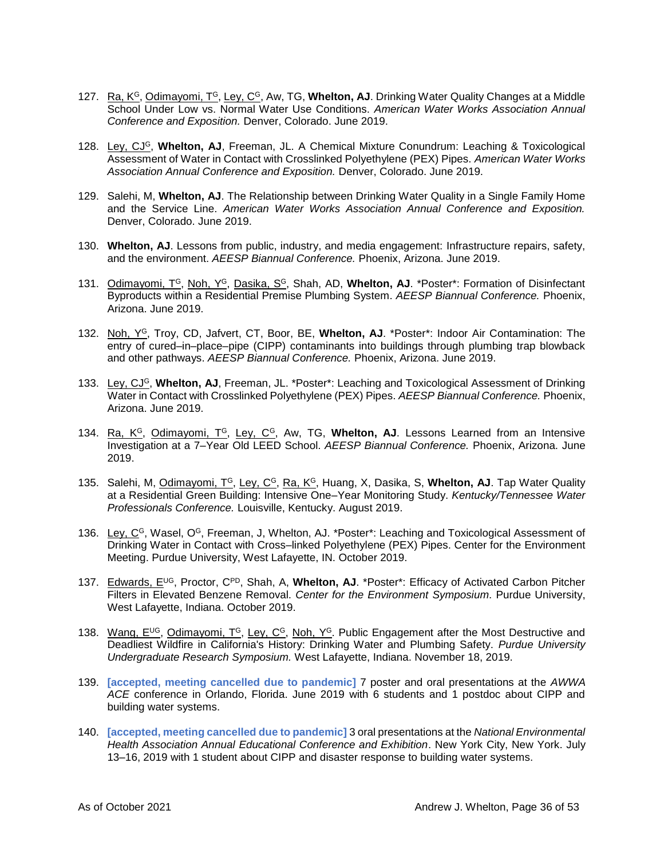- 127. Ra, K<sup>G</sup>, Odimayomi, T<sup>G</sup>, Ley, C<sup>G</sup>, Aw, TG, Whelton, AJ. Drinking Water Quality Changes at a Middle School Under Low vs. Normal Water Use Conditions. *American Water Works Association Annual Conference and Exposition.* Denver, Colorado. June 2019.
- 128. Ley, CJ<sup>G</sup>, **Whelton, AJ**, Freeman, JL. A Chemical Mixture Conundrum: Leaching & Toxicological Assessment of Water in Contact with Crosslinked Polyethylene (PEX) Pipes. *American Water Works Association Annual Conference and Exposition.* Denver, Colorado. June 2019.
- 129. Salehi, M, **Whelton, AJ**. The Relationship between Drinking Water Quality in a Single Family Home and the Service Line. *American Water Works Association Annual Conference and Exposition.*  Denver, Colorado. June 2019.
- 130. **Whelton, AJ**. Lessons from public, industry, and media engagement: Infrastructure repairs, safety, and the environment. *AEESP Biannual Conference.* Phoenix, Arizona. June 2019.
- 131. Odimayomi, T<sup>G</sup>, Noh, Y<sup>G</sup>, Dasika, S<sup>G</sup>, Shah, AD, **Whelton, AJ**. \*Poster\*: Formation of Disinfectant Byproducts within a Residential Premise Plumbing System. *AEESP Biannual Conference.* Phoenix, Arizona. June 2019.
- 132. Noh, Y<sup>G</sup>, Troy, CD, Jafvert, CT, Boor, BE, **Whelton, AJ**. \*Poster\*: Indoor Air Contamination: The entry of cured–in–place–pipe (CIPP) contaminants into buildings through plumbing trap blowback and other pathways. *AEESP Biannual Conference.* Phoenix, Arizona. June 2019.
- 133. Ley, CJ<sup>G</sup>, **Whelton, AJ**, Freeman, JL. \*Poster\*: Leaching and Toxicological Assessment of Drinking Water in Contact with Crosslinked Polyethylene (PEX) Pipes. *AEESP Biannual Conference.* Phoenix, Arizona. June 2019.
- 134. Ra, K<sup>G</sup>, Odimayomi, T<sup>G</sup>, Ley, C<sup>G</sup>, Aw, TG, **Whelton, AJ**. Lessons Learned from an Intensive Investigation at a 7–Year Old LEED School. *AEESP Biannual Conference.* Phoenix, Arizona. June 2019.
- 135. Salehi, M, *Odimayomi, T<sup>G</sup>, Ley, C<sup>G</sup>, Ra, K<sup>G</sup>, Huang, X, Dasika, S, Whelton, AJ. Tap Water Quality* at a Residential Green Building: Intensive One–Year Monitoring Study. *Kentucky/Tennessee Water Professionals Conference.* Louisville, Kentucky. August 2019.
- 136. Ley,  $C^G$ , Wasel,  $O^G$ , Freeman, J, Whelton, AJ. \*Poster\*: Leaching and Toxicological Assessment of Drinking Water in Contact with Cross–linked Polyethylene (PEX) Pipes. Center for the Environment Meeting. Purdue University, West Lafayette, IN. October 2019.
- 137. Edwards, EUG, Proctor, CPD, Shah, A, **Whelton, AJ**. \*Poster\*: Efficacy of Activated Carbon Pitcher Filters in Elevated Benzene Removal. *Center for the Environment Symposium*. Purdue University, West Lafayette, Indiana. October 2019.
- 138. Wang,  $E^{UG}$ , Odimayomi,  $T^G$ , Ley,  $C^G$ , Noh,  $Y^G$ . Public Engagement after the Most Destructive and Deadliest Wildfire in California's History: Drinking Water and Plumbing Safety. *Purdue University Undergraduate Research Symposium.* West Lafayette, Indiana. November 18, 2019.
- 139. **[accepted, meeting cancelled due to pandemic]** 7 poster and oral presentations at the *AWWA ACE* conference in Orlando, Florida. June 2019 with 6 students and 1 postdoc about CIPP and building water systems.
- 140. **[accepted, meeting cancelled due to pandemic]** 3 oral presentations at the *National Environmental Health Association Annual Educational Conference and Exhibition*. New York City, New York. July 13–16, 2019 with 1 student about CIPP and disaster response to building water systems.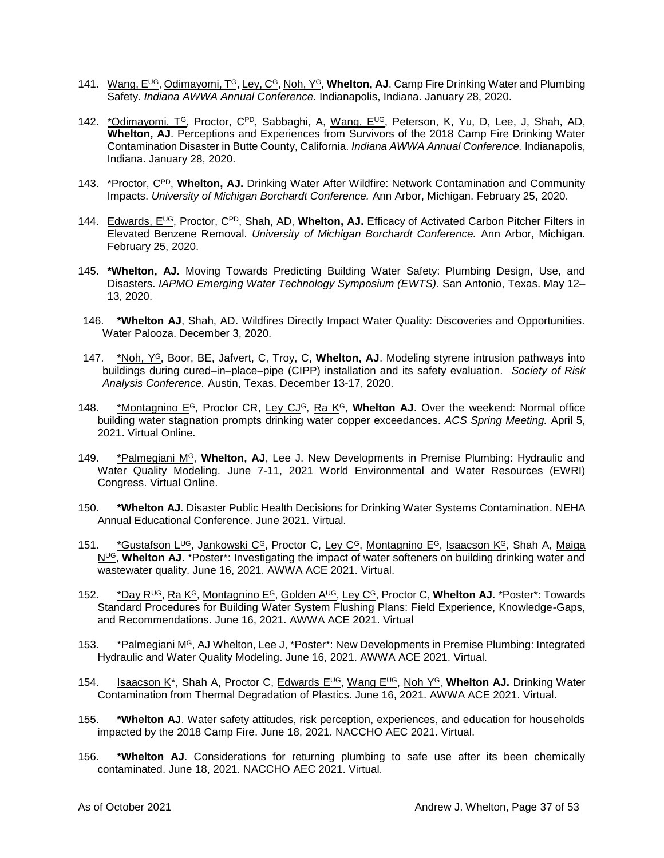- 141. Wang, E<sup>UG</sup>, Odimayomi, T<sup>G</sup>, Ley, C<sup>G</sup>, Noh, Y<sup>G</sup>, Whelton, AJ. Camp Fire Drinking Water and Plumbing Safety. *Indiana AWWA Annual Conference.* Indianapolis, Indiana. January 28, 2020.
- 142. \*Odimayomi, T<sup>G</sup>, Proctor, C<sup>PD</sup>, Sabbaghi, A, Wang, E<sup>UG</sup>, Peterson, K, Yu, D, Lee, J, Shah, AD, **Whelton, AJ**. Perceptions and Experiences from Survivors of the 2018 Camp Fire Drinking Water Contamination Disaster in Butte County, California. *Indiana AWWA Annual Conference.* Indianapolis, Indiana. January 28, 2020.
- 143. \*Proctor, CPD, **Whelton, AJ.** Drinking Water After Wildfire: Network Contamination and Community Impacts. *University of Michigan Borchardt Conference.* Ann Arbor, Michigan. February 25, 2020.
- 144. Edwards, EUG, Proctor, CPD, Shah, AD, **Whelton, AJ.** Efficacy of Activated Carbon Pitcher Filters in Elevated Benzene Removal. *University of Michigan Borchardt Conference.* Ann Arbor, Michigan. February 25, 2020.
- 145. **\*Whelton, AJ.** Moving Towards Predicting Building Water Safety: Plumbing Design, Use, and Disasters. *IAPMO Emerging Water Technology Symposium (EWTS).* San Antonio, Texas. May 12– 13, 2020.
- 146. **\*Whelton AJ**, Shah, AD. Wildfires Directly Impact Water Quality: Discoveries and Opportunities. Water Palooza. December 3, 2020.
- 147. \*Noh, Y<sup>G</sup>, Boor, BE, Jafvert, C, Troy, C, **Whelton, AJ**. Modeling styrene intrusion pathways into buildings during cured–in–place–pipe (CIPP) installation and its safety evaluation. *Society of Risk Analysis Conference.* Austin, Texas. December 13-17, 2020.
- 148. \*Montagnino E<sup>G</sup>, Proctor CR, Ley CJ<sup>G</sup>, Ra K<sup>G</sup>, Whelton AJ. Over the weekend: Normal office building water stagnation prompts drinking water copper exceedances. *ACS Spring Meeting.* April 5, 2021. Virtual Online.
- 149. \*Palmegiani M<sup>G</sup>, Whelton, AJ, Lee J. New Developments in Premise Plumbing: Hydraulic and Water Quality Modeling. June 7-11, 2021 World Environmental and Water Resources (EWRI) Congress. Virtual Online.
- 150. **\*Whelton AJ**. Disaster Public Health Decisions for Drinking Water Systems Contamination. NEHA Annual Educational Conference. June 2021. Virtual.
- 151. \*Gustafson L<sup>UG</sup>, Jankowski C<sup>G</sup>, Proctor C, Ley C<sup>G</sup>, Montagnino E<sup>G</sup>, Isaacson K<sup>G</sup>, Shah A, Maiga N<sup>UG</sup>. Whelton AJ. \*Poster\*: Investigating the impact of water softeners on building drinking water and wastewater quality. June 16, 2021. AWWA ACE 2021. Virtual.
- 152. \*Day R<sup>ug</sup>, Ra K<sup>G</sup>, Montagnino E<sup>G</sup>, Golden A<sup>ug</sup>, Ley C<sup>G</sup>, Proctor C, Whelton AJ. \*Poster\*: Towards Standard Procedures for Building Water System Flushing Plans: Field Experience, Knowledge-Gaps, and Recommendations. June 16, 2021. AWWA ACE 2021. Virtual
- 153. \*Palmegiani M<sup>G</sup>, AJ Whelton, Lee J, \*Poster\*: New Developments in Premise Plumbing: Integrated Hydraulic and Water Quality Modeling. June 16, 2021. AWWA ACE 2021. Virtual.
- 154. Isaacson K<sup>\*</sup>, Shah A, Proctor C, Edwards E<sup>UG</sup>, Wang E<sup>UG</sup>, Noh Y<sup>G</sup>, Whelton AJ. Drinking Water Contamination from Thermal Degradation of Plastics. June 16, 2021. AWWA ACE 2021. Virtual.
- 155. **\*Whelton AJ**. Water safety attitudes, risk perception, experiences, and education for households impacted by the 2018 Camp Fire. June 18, 2021. NACCHO AEC 2021. Virtual.
- 156. **\*Whelton AJ**. Considerations for returning plumbing to safe use after its been chemically contaminated. June 18, 2021. NACCHO AEC 2021. Virtual.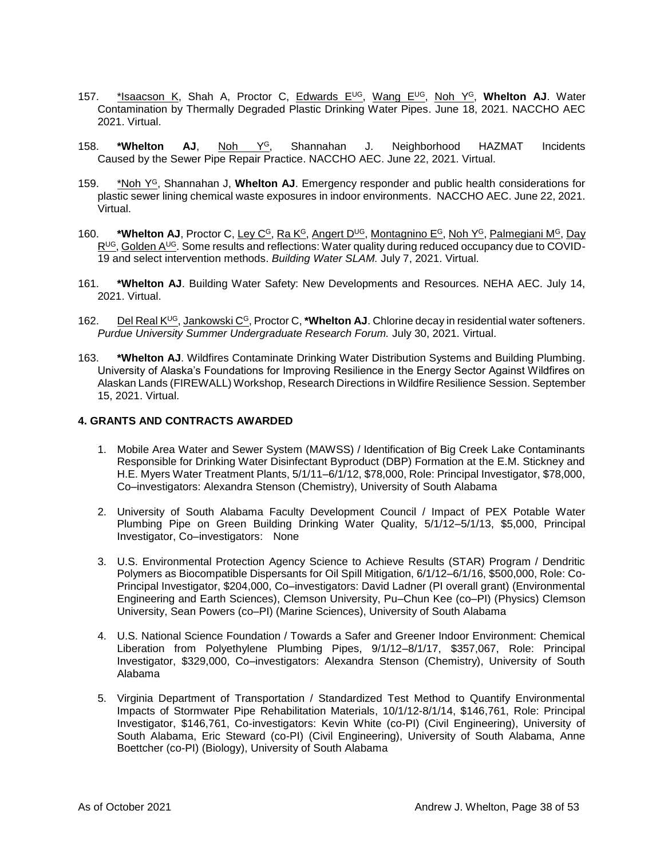- 157. \*Isaacson K, Shah A, Proctor C, Edwards E<sup>UG</sup>, Wang E<sup>UG</sup>, Noh Y<sup>G</sup>, Whelton AJ. Water Contamination by Thermally Degraded Plastic Drinking Water Pipes. June 18, 2021. NACCHO AEC 2021. Virtual.
- 158. **\*Whelton AJ**, Noh Y<sup>G</sup>, Shannahan J. Neighborhood HAZMAT Incidents Caused by the Sewer Pipe Repair Practice. NACCHO AEC. June 22, 2021. Virtual.
- 159. \*Noh Y<sup>G</sup>, Shannahan J, **Whelton AJ**. Emergency responder and public health considerations for plastic sewer lining chemical waste exposures in indoor environments. NACCHO AEC. June 22, 2021. Virtual.
- 160. **\*Whelton AJ**, Proctor C, Ley C<sup>G</sup>, Ra K<sup>G</sup>, Angert D<sup>UG</sup>, Montagnino E<sup>G</sup>, Noh Y<sup>G</sup>, Palmegiani M<sup>G</sup>, Day R<sup>UG</sup>, Golden A<sup>UG</sup>. Some results and reflections: Water quality during reduced occupancy due to COVID-19 and select intervention methods. *Building Water SLAM.* July 7, 2021. Virtual.
- 161. **\*Whelton AJ**. Building Water Safety: New Developments and Resources. NEHA AEC. July 14, 2021. Virtual.
- 162. Del Real K<sup>UG</sup>, Jankowski C<sup>G</sup>, Proctor C, \***Whelton AJ**. Chlorine decay in residential water softeners. *Purdue University Summer Undergraduate Research Forum.* July 30, 2021. Virtual.
- 163. **\*Whelton AJ**. Wildfires Contaminate Drinking Water Distribution Systems and Building Plumbing. University of Alaska's Foundations for Improving Resilience in the Energy Sector Against Wildfires on Alaskan Lands (FIREWALL) Workshop, Research Directions in Wildfire Resilience Session. September 15, 2021. Virtual.

#### <span id="page-37-0"></span>**4. GRANTS AND CONTRACTS AWARDED**

- 1. Mobile Area Water and Sewer System (MAWSS) / Identification of Big Creek Lake Contaminants Responsible for Drinking Water Disinfectant Byproduct (DBP) Formation at the E.M. Stickney and H.E. Myers Water Treatment Plants, 5/1/11–6/1/12, \$78,000, Role: Principal Investigator, \$78,000, Co–investigators: Alexandra Stenson (Chemistry), University of South Alabama
- 2. University of South Alabama Faculty Development Council / Impact of PEX Potable Water Plumbing Pipe on Green Building Drinking Water Quality, 5/1/12–5/1/13, \$5,000, Principal Investigator, Co–investigators: None
- 3. U.S. Environmental Protection Agency Science to Achieve Results (STAR) Program / Dendritic Polymers as Biocompatible Dispersants for Oil Spill Mitigation, 6/1/12–6/1/16, \$500,000, Role: Co-Principal Investigator, \$204,000, Co–investigators: David Ladner (PI overall grant) (Environmental Engineering and Earth Sciences), Clemson University, Pu–Chun Kee (co–PI) (Physics) Clemson University, Sean Powers (co–PI) (Marine Sciences), University of South Alabama
- 4. U.S. National Science Foundation / Towards a Safer and Greener Indoor Environment: Chemical Liberation from Polyethylene Plumbing Pipes, 9/1/12–8/1/17, \$357,067, Role: Principal Investigator, \$329,000, Co–investigators: Alexandra Stenson (Chemistry), University of South Alabama
- 5. Virginia Department of Transportation / Standardized Test Method to Quantify Environmental Impacts of Stormwater Pipe Rehabilitation Materials, 10/1/12-8/1/14, \$146,761, Role: Principal Investigator, \$146,761, Co-investigators: Kevin White (co-PI) (Civil Engineering), University of South Alabama, Eric Steward (co-PI) (Civil Engineering), University of South Alabama, Anne Boettcher (co-PI) (Biology), University of South Alabama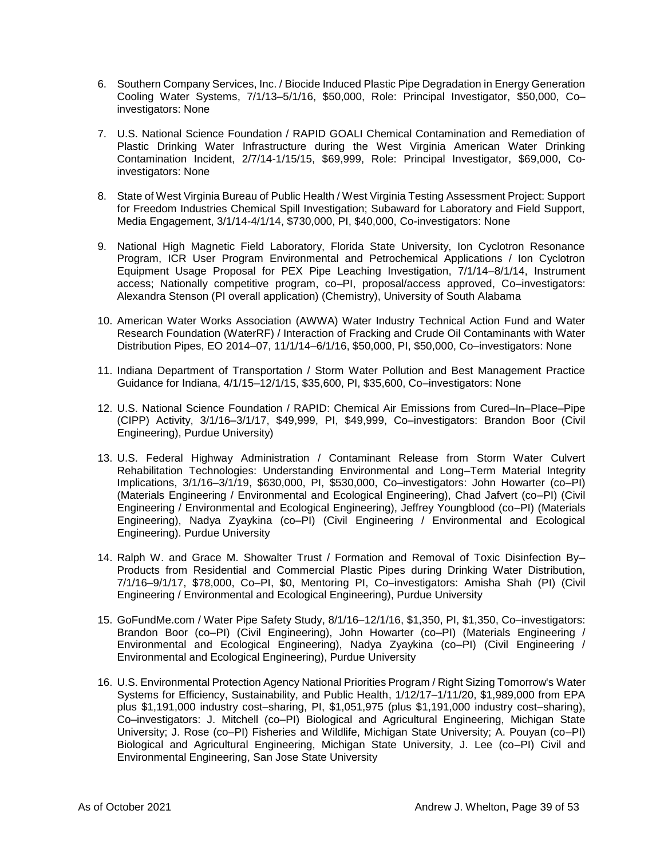- 6. Southern Company Services, Inc. / Biocide Induced Plastic Pipe Degradation in Energy Generation Cooling Water Systems, 7/1/13–5/1/16, \$50,000, Role: Principal Investigator, \$50,000, Co– investigators: None
- 7. U.S. National Science Foundation / RAPID GOALI Chemical Contamination and Remediation of Plastic Drinking Water Infrastructure during the West Virginia American Water Drinking Contamination Incident, 2/7/14-1/15/15, \$69,999, Role: Principal Investigator, \$69,000, Coinvestigators: None
- 8. State of West Virginia Bureau of Public Health / West Virginia Testing Assessment Project: Support for Freedom Industries Chemical Spill Investigation; Subaward for Laboratory and Field Support, Media Engagement, 3/1/14-4/1/14, \$730,000, PI, \$40,000, Co-investigators: None
- 9. National High Magnetic Field Laboratory, Florida State University, Ion Cyclotron Resonance Program, ICR User Program Environmental and Petrochemical Applications / Ion Cyclotron Equipment Usage Proposal for PEX Pipe Leaching Investigation, 7/1/14–8/1/14, Instrument access; Nationally competitive program, co–PI, proposal/access approved, Co–investigators: Alexandra Stenson (PI overall application) (Chemistry), University of South Alabama
- 10. American Water Works Association (AWWA) Water Industry Technical Action Fund and Water Research Foundation (WaterRF) / Interaction of Fracking and Crude Oil Contaminants with Water Distribution Pipes, EO 2014–07, 11/1/14–6/1/16, \$50,000, PI, \$50,000, Co–investigators: None
- 11. Indiana Department of Transportation / Storm Water Pollution and Best Management Practice Guidance for Indiana, 4/1/15–12/1/15, \$35,600, PI, \$35,600, Co–investigators: None
- 12. U.S. National Science Foundation / RAPID: Chemical Air Emissions from Cured–In–Place–Pipe (CIPP) Activity, 3/1/16–3/1/17, \$49,999, PI, \$49,999, Co–investigators: Brandon Boor (Civil Engineering), Purdue University)
- 13. U.S. Federal Highway Administration / Contaminant Release from Storm Water Culvert Rehabilitation Technologies: Understanding Environmental and Long–Term Material Integrity Implications, 3/1/16–3/1/19, \$630,000, PI, \$530,000, Co–investigators: John Howarter (co–PI) (Materials Engineering / Environmental and Ecological Engineering), Chad Jafvert (co–PI) (Civil Engineering / Environmental and Ecological Engineering), Jeffrey Youngblood (co–PI) (Materials Engineering), Nadya Zyaykina (co–PI) (Civil Engineering / Environmental and Ecological Engineering). Purdue University
- 14. Ralph W. and Grace M. Showalter Trust / Formation and Removal of Toxic Disinfection By– Products from Residential and Commercial Plastic Pipes during Drinking Water Distribution, 7/1/16–9/1/17, \$78,000, Co–PI, \$0, Mentoring PI, Co–investigators: Amisha Shah (PI) (Civil Engineering / Environmental and Ecological Engineering), Purdue University
- 15. GoFundMe.com / Water Pipe Safety Study, 8/1/16–12/1/16, \$1,350, PI, \$1,350, Co–investigators: Brandon Boor (co–PI) (Civil Engineering), John Howarter (co–PI) (Materials Engineering / Environmental and Ecological Engineering), Nadya Zyaykina (co–PI) (Civil Engineering / Environmental and Ecological Engineering), Purdue University
- 16. U.S. Environmental Protection Agency National Priorities Program / Right Sizing Tomorrow's Water Systems for Efficiency, Sustainability, and Public Health, 1/12/17–1/11/20, \$1,989,000 from EPA plus \$1,191,000 industry cost–sharing, PI, \$1,051,975 (plus \$1,191,000 industry cost–sharing), Co–investigators: J. Mitchell (co–PI) Biological and Agricultural Engineering, Michigan State University; J. Rose (co–PI) Fisheries and Wildlife, Michigan State University; A. Pouyan (co–PI) Biological and Agricultural Engineering, Michigan State University, J. Lee (co–PI) Civil and Environmental Engineering, San Jose State University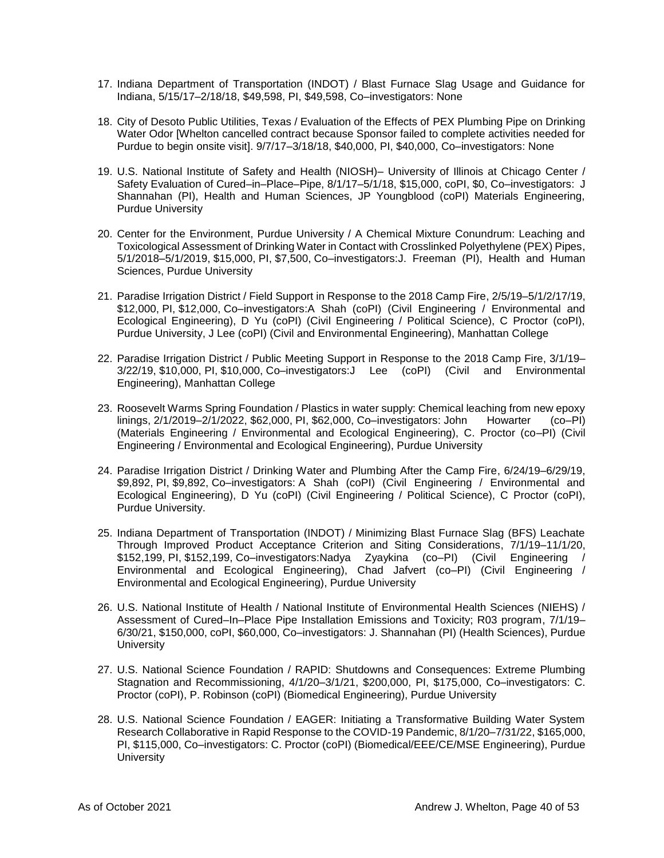- 17. Indiana Department of Transportation (INDOT) / Blast Furnace Slag Usage and Guidance for Indiana, 5/15/17–2/18/18, \$49,598, PI, \$49,598, Co–investigators: None
- 18. City of Desoto Public Utilities, Texas / Evaluation of the Effects of PEX Plumbing Pipe on Drinking Water Odor [Whelton cancelled contract because Sponsor failed to complete activities needed for Purdue to begin onsite visit]. 9/7/17–3/18/18, \$40,000, PI, \$40,000, Co–investigators: None
- 19. U.S. National Institute of Safety and Health (NIOSH)– University of Illinois at Chicago Center / Safety Evaluation of Cured–in–Place–Pipe, 8/1/17–5/1/18, \$15,000, coPI, \$0, Co–investigators: J Shannahan (PI), Health and Human Sciences, JP Youngblood (coPI) Materials Engineering, Purdue University
- 20. Center for the Environment, Purdue University / A Chemical Mixture Conundrum: Leaching and Toxicological Assessment of Drinking Water in Contact with Crosslinked Polyethylene (PEX) Pipes, 5/1/2018–5/1/2019, \$15,000, PI, \$7,500, Co–investigators:J. Freeman (PI), Health and Human Sciences, Purdue University
- 21. Paradise Irrigation District / Field Support in Response to the 2018 Camp Fire, 2/5/19–5/1/2/17/19, \$12,000, PI, \$12,000, Co–investigators:A Shah (coPI) (Civil Engineering / Environmental and Ecological Engineering), D Yu (coPI) (Civil Engineering / Political Science), C Proctor (coPI), Purdue University, J Lee (coPI) (Civil and Environmental Engineering), Manhattan College
- 22. Paradise Irrigation District / Public Meeting Support in Response to the 2018 Camp Fire, 3/1/19– 3/22/19, \$10,000, PI, \$10,000, Co–investigators:J Lee (coPI) (Civil and Environmental Engineering), Manhattan College
- 23. Roosevelt Warms Spring Foundation / Plastics in water supply: Chemical leaching from new epoxy linings, 2/1/2019–2/1/2022, \$62,000, PI, \$62,000, Co–investigators: John Howarter (co–PI) (Materials Engineering / Environmental and Ecological Engineering), C. Proctor (co–PI) (Civil Engineering / Environmental and Ecological Engineering), Purdue University
- 24. Paradise Irrigation District / Drinking Water and Plumbing After the Camp Fire, 6/24/19–6/29/19, \$9,892, PI, \$9,892, Co–investigators: A Shah (coPI) (Civil Engineering / Environmental and Ecological Engineering), D Yu (coPI) (Civil Engineering / Political Science), C Proctor (coPI), Purdue University.
- 25. Indiana Department of Transportation (INDOT) / Minimizing Blast Furnace Slag (BFS) Leachate Through Improved Product Acceptance Criterion and Siting Considerations, 7/1/19–11/1/20, \$152,199, PI, \$152,199, Co–investigators:Nadya Zyaykina (co–PI) (Civil Engineering / Environmental and Ecological Engineering), Chad Jafvert (co–PI) (Civil Engineering / Environmental and Ecological Engineering), Purdue University
- 26. U.S. National Institute of Health / National Institute of Environmental Health Sciences (NIEHS) / Assessment of Cured–In–Place Pipe Installation Emissions and Toxicity; R03 program, 7/1/19– 6/30/21, \$150,000, coPI, \$60,000, Co–investigators: J. Shannahan (PI) (Health Sciences), Purdue **University**
- 27. U.S. National Science Foundation / RAPID: Shutdowns and Consequences: Extreme Plumbing Stagnation and Recommissioning, 4/1/20–3/1/21, \$200,000, PI, \$175,000, Co–investigators: C. Proctor (coPI), P. Robinson (coPI) (Biomedical Engineering), Purdue University
- 28. U.S. National Science Foundation / EAGER: Initiating a Transformative Building Water System Research Collaborative in Rapid Response to the COVID-19 Pandemic, 8/1/20–7/31/22, \$165,000, PI, \$115,000, Co–investigators: C. Proctor (coPI) (Biomedical/EEE/CE/MSE Engineering), Purdue **University**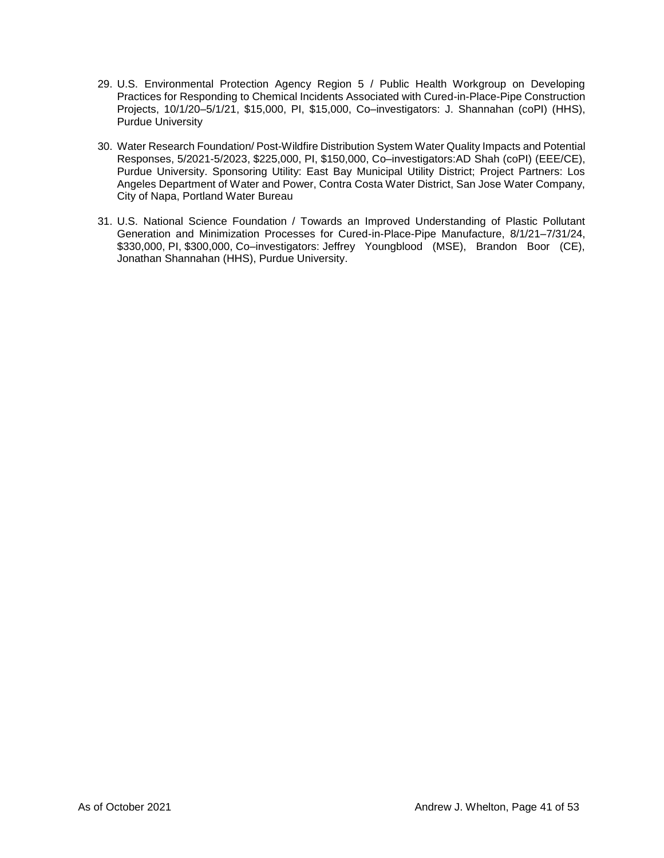- 29. U.S. Environmental Protection Agency Region 5 / Public Health Workgroup on Developing Practices for Responding to Chemical Incidents Associated with Cured-in-Place-Pipe Construction Projects, 10/1/20–5/1/21, \$15,000, PI, \$15,000, Co–investigators: J. Shannahan (coPI) (HHS), Purdue University
- 30. Water Research Foundation/ Post-Wildfire Distribution System Water Quality Impacts and Potential Responses, 5/2021-5/2023, \$225,000, PI, \$150,000, Co–investigators:AD Shah (coPI) (EEE/CE), Purdue University. Sponsoring Utility: East Bay Municipal Utility District; Project Partners: Los Angeles Department of Water and Power, Contra Costa Water District, San Jose Water Company, City of Napa, Portland Water Bureau
- <span id="page-40-0"></span>31. U.S. National Science Foundation / Towards an Improved Understanding of Plastic Pollutant Generation and Minimization Processes for Cured-in-Place-Pipe Manufacture, 8/1/21–7/31/24, \$330,000, PI, \$300,000, Co–investigators: Jeffrey Youngblood (MSE), Brandon Boor (CE), Jonathan Shannahan (HHS), Purdue University.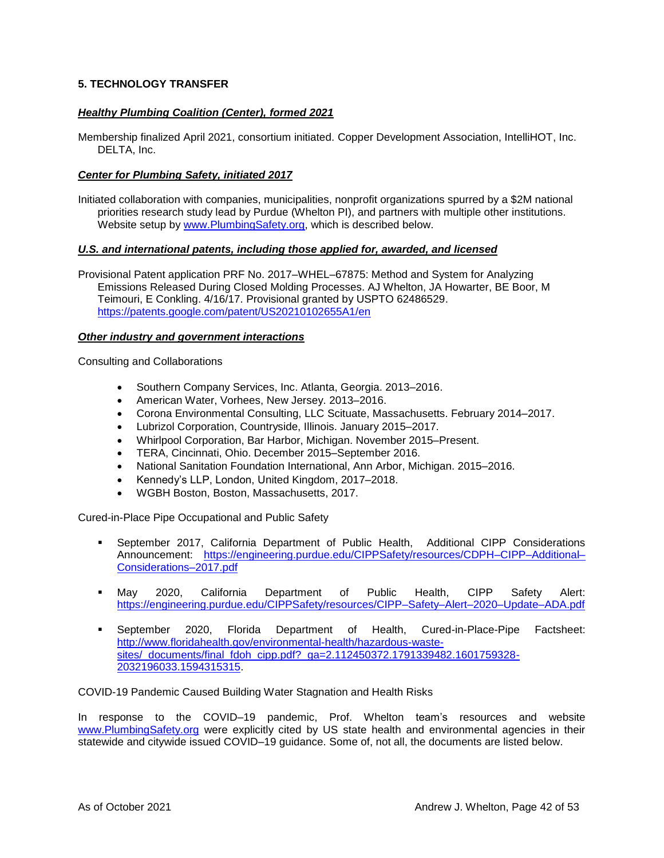# **5. TECHNOLOGY TRANSFER**

# *Healthy Plumbing Coalition (Center), formed 2021*

Membership finalized April 2021, consortium initiated. Copper Development Association, IntelliHOT, Inc. DELTA, Inc.

#### *Center for Plumbing Safety, initiated 2017*

Initiated collaboration with companies, municipalities, nonprofit organizations spurred by a \$2M national priorities research study lead by Purdue (Whelton PI), and partners with multiple other institutions. Website setup by [www.PlumbingSafety.org,](http://www.plumbingsafety.org/) which is described below.

# *U.S. and international patents, including those applied for, awarded, and licensed*

Provisional Patent application PRF No. 2017–WHEL–67875: Method and System for Analyzing Emissions Released During Closed Molding Processes. AJ Whelton, JA Howarter, BE Boor, M Teimouri, E Conkling. 4/16/17. Provisional granted by USPTO 62486529. <https://patents.google.com/patent/US20210102655A1/en>

#### *Other industry and government interactions*

Consulting and Collaborations

- Southern Company Services, Inc. Atlanta, Georgia. 2013–2016.
- American Water, Vorhees, New Jersey. 2013–2016.
- Corona Environmental Consulting, LLC Scituate, Massachusetts. February 2014–2017.
- Lubrizol Corporation, Countryside, Illinois. January 2015–2017.
- Whirlpool Corporation, Bar Harbor, Michigan. November 2015–Present.
- TERA, Cincinnati, Ohio. December 2015–September 2016.
- National Sanitation Foundation International, Ann Arbor, Michigan. 2015–2016.
- Kennedy's LLP, London, United Kingdom, 2017–2018.
- WGBH Boston, Boston, Massachusetts, 2017.

Cured-in-Place Pipe Occupational and Public Safety

- September 2017, California Department of Public Health, Additional CIPP Considerations Announcement: [https://engineering.purdue.edu/CIPPSafety/resources/CDPH–CIPP–Additional–](https://engineering.purdue.edu/CIPPSafety/resources/CDPH-CIPP-Additional-Considerations-2017.pdf) [Considerations–2017.pdf](https://engineering.purdue.edu/CIPPSafety/resources/CDPH-CIPP-Additional-Considerations-2017.pdf)
- May 2020, California Department of Public Health, CIPP Safety Alert: [https://engineering.purdue.edu/CIPPSafety/resources/CIPP–Safety–Alert–2020–Update–ADA.pdf](https://engineering.purdue.edu/CIPPSafety/resources/CIPP-Safety-Alert-2020-Update-ADA.pdf)
- September 2020, Florida Department of Health, Cured-in-Place-Pipe Factsheet: [http://www.floridahealth.gov/environmental-health/hazardous-waste](http://www.floridahealth.gov/environmental-health/hazardous-waste-sites/_documents/final_fdoh_cipp.pdf?_ga=2.112450372.1791339482.1601759328-2032196033.1594315315)[sites/\\_documents/final\\_fdoh\\_cipp.pdf?\\_ga=2.112450372.1791339482.1601759328-](http://www.floridahealth.gov/environmental-health/hazardous-waste-sites/_documents/final_fdoh_cipp.pdf?_ga=2.112450372.1791339482.1601759328-2032196033.1594315315) [2032196033.1594315315.](http://www.floridahealth.gov/environmental-health/hazardous-waste-sites/_documents/final_fdoh_cipp.pdf?_ga=2.112450372.1791339482.1601759328-2032196033.1594315315)

COVID-19 Pandemic Caused Building Water Stagnation and Health Risks

In response to the COVID–19 pandemic, Prof. Whelton team's resources and website [www.PlumbingSafety.org](http://www.plumbingsafety.org/) were explicitly cited by US state health and environmental agencies in their statewide and citywide issued COVID–19 guidance. Some of, not all, the documents are listed below.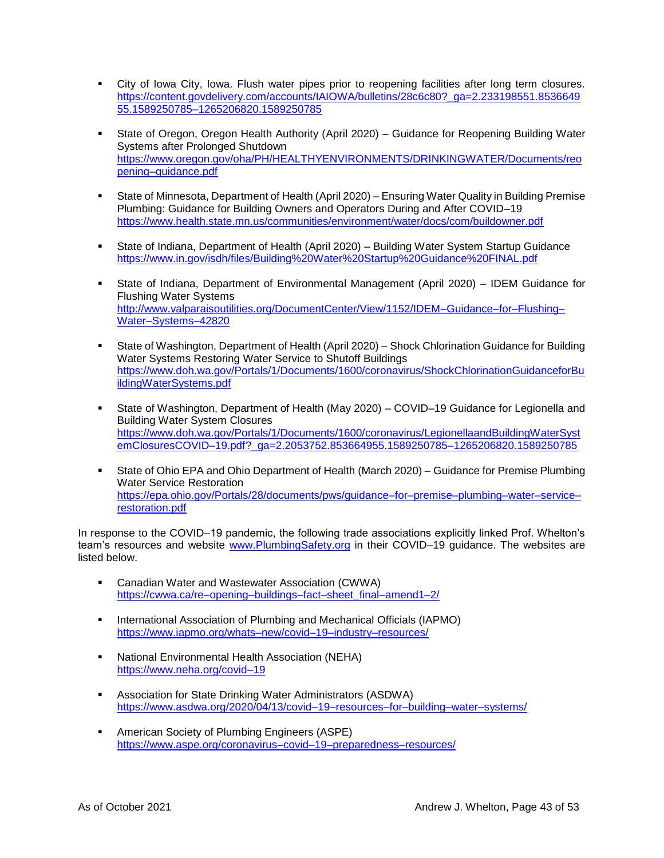- City of Iowa City, Iowa. Flush water pipes prior to reopening facilities after long term closures. [https://content.govdelivery.com/accounts/IAIOWA/bulletins/28c6c80?\\_ga=2.233198551.8536649](https://content.govdelivery.com/accounts/IAIOWA/bulletins/28c6c80?_ga=2.233198551.853664955.1589250785-1265206820.1589250785) [55.1589250785–1265206820.1589250785](https://content.govdelivery.com/accounts/IAIOWA/bulletins/28c6c80?_ga=2.233198551.853664955.1589250785-1265206820.1589250785)
- State of Oregon, Oregon Health Authority (April 2020) Guidance for Reopening Building Water Systems after Prolonged Shutdown [https://www.oregon.gov/oha/PH/HEALTHYENVIRONMENTS/DRINKINGWATER/Documents/reo](https://www.oregon.gov/oha/PH/HEALTHYENVIRONMENTS/DRINKINGWATER/Documents/reopening-guidance.pdf) [pening–guidance.pdf](https://www.oregon.gov/oha/PH/HEALTHYENVIRONMENTS/DRINKINGWATER/Documents/reopening-guidance.pdf)
- State of Minnesota, Department of Health (April 2020) Ensuring Water Quality in Building Premise Plumbing: Guidance for Building Owners and Operators During and After COVID–19 <https://www.health.state.mn.us/communities/environment/water/docs/com/buildowner.pdf>
- State of Indiana, Department of Health (April 2020) Building Water System Startup Guidance <https://www.in.gov/isdh/files/Building%20Water%20Startup%20Guidance%20FINAL.pdf>
- State of Indiana, Department of Environmental Management (April 2020) IDEM Guidance for Flushing Water Systems [http://www.valparaisoutilities.org/DocumentCenter/View/1152/IDEM–Guidance–for–Flushing–](http://www.valparaisoutilities.org/DocumentCenter/View/1152/IDEM-Guidance-for-Flushing-Water-Systems-42820) [Water–Systems–42820](http://www.valparaisoutilities.org/DocumentCenter/View/1152/IDEM-Guidance-for-Flushing-Water-Systems-42820)
- State of Washington, Department of Health (April 2020) Shock Chlorination Guidance for Building Water Systems Restoring Water Service to Shutoff Buildings [https://www.doh.wa.gov/Portals/1/Documents/1600/coronavirus/ShockChlorinationGuidanceforBu](https://www.doh.wa.gov/Portals/1/Documents/1600/coronavirus/ShockChlorinationGuidanceforBuildingWaterSystems.pdf) [ildingWaterSystems.pdf](https://www.doh.wa.gov/Portals/1/Documents/1600/coronavirus/ShockChlorinationGuidanceforBuildingWaterSystems.pdf)
- State of Washington, Department of Health (May 2020) COVID–19 Guidance for Legionella and Building Water System Closures [https://www.doh.wa.gov/Portals/1/Documents/1600/coronavirus/LegionellaandBuildingWaterSyst](https://www.doh.wa.gov/Portals/1/Documents/1600/coronavirus/LegionellaandBuildingWaterSystemClosuresCOVID-19.pdf?_ga=2.2053752.853664955.1589250785-1265206820.1589250785) [emClosuresCOVID–19.pdf?\\_ga=2.2053752.853664955.1589250785–1265206820.1589250785](https://www.doh.wa.gov/Portals/1/Documents/1600/coronavirus/LegionellaandBuildingWaterSystemClosuresCOVID-19.pdf?_ga=2.2053752.853664955.1589250785-1265206820.1589250785)
- State of Ohio EPA and Ohio Department of Health (March 2020) Guidance for Premise Plumbing Water Service Restoration [https://epa.ohio.gov/Portals/28/documents/pws/guidance–for–premise–plumbing–water–service–](https://epa.ohio.gov/Portals/28/documents/pws/guidance-for-premise-plumbing-water-service-restoration.pdf) [restoration.pdf](https://epa.ohio.gov/Portals/28/documents/pws/guidance-for-premise-plumbing-water-service-restoration.pdf)

In response to the COVID–19 pandemic, the following trade associations explicitly linked Prof. Whelton's team's resources and website [www.PlumbingSafety.org](http://www.plumbingsafety.org/) in their COVID–19 guidance. The websites are listed below.

- Canadian Water and Wastewater Association (CWWA) [https://cwwa.ca/re–opening–buildings–fact–sheet\\_final–amend1–2/](https://cwwa.ca/re-opening-buildings-fact-sheet_final-amend1-2/)
- **International Association of Plumbing and Mechanical Officials (IAPMO)** [https://www.iapmo.org/whats–new/covid–19–industry–resources/](https://www.iapmo.org/whats-new/covid-19-industry-resources/)
- National Environmental Health Association (NEHA) [https://www.neha.org/covid–19](https://www.neha.org/covid-19)
- Association for State Drinking Water Administrators (ASDWA) [https://www.asdwa.org/2020/04/13/covid–19–resources–for–building–water–systems/](https://www.asdwa.org/2020/04/13/covid-19-resources-for-building-water-systems/)
- American Society of Plumbing Engineers (ASPE) [https://www.aspe.org/coronavirus–covid–19–preparedness–resources/](https://www.aspe.org/coronavirus-covid-19-preparedness-resources/)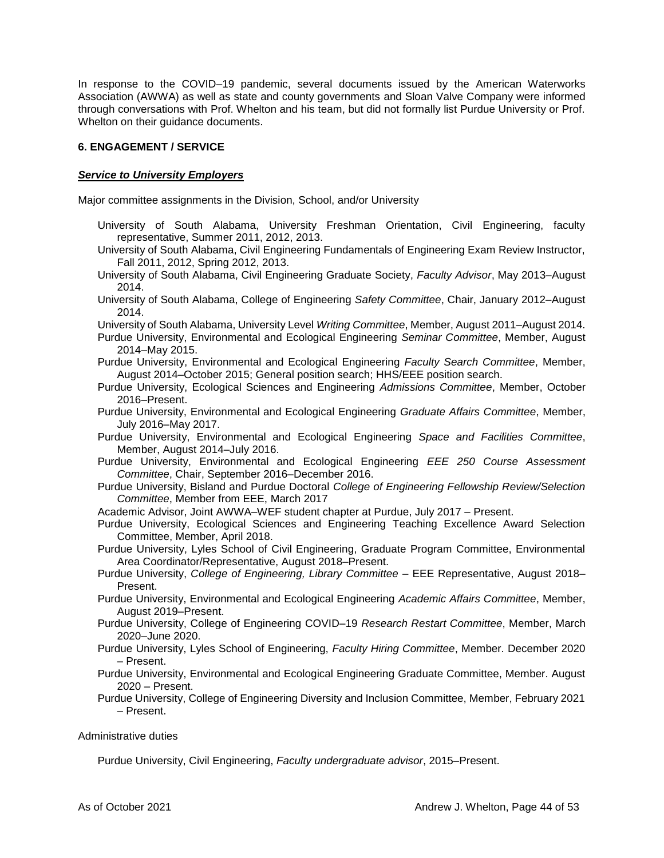In response to the COVID–19 pandemic, several documents issued by the American Waterworks Association (AWWA) as well as state and county governments and Sloan Valve Company were informed through conversations with Prof. Whelton and his team, but did not formally list Purdue University or Prof. Whelton on their guidance documents.

# <span id="page-43-0"></span>**6. ENGAGEMENT / SERVICE**

# *Service to University Employers*

Major committee assignments in the Division, School, and/or University

- University of South Alabama, University Freshman Orientation, Civil Engineering, faculty representative, Summer 2011, 2012, 2013.
- University of South Alabama, Civil Engineering Fundamentals of Engineering Exam Review Instructor, Fall 2011, 2012, Spring 2012, 2013.
- University of South Alabama, Civil Engineering Graduate Society, *Faculty Advisor*, May 2013–August 2014.
- University of South Alabama, College of Engineering *Safety Committee*, Chair, January 2012–August 2014.
- University of South Alabama, University Level *Writing Committee*, Member, August 2011–August 2014.
- Purdue University, Environmental and Ecological Engineering *Seminar Committee*, Member, August 2014–May 2015.
- Purdue University, Environmental and Ecological Engineering *Faculty Search Committee*, Member, August 2014–October 2015; General position search; HHS/EEE position search.
- Purdue University, Ecological Sciences and Engineering *Admissions Committee*, Member, October 2016–Present.
- Purdue University, Environmental and Ecological Engineering *Graduate Affairs Committee*, Member, July 2016–May 2017.
- Purdue University, Environmental and Ecological Engineering *Space and Facilities Committee*, Member, August 2014–July 2016.
- Purdue University, Environmental and Ecological Engineering *EEE 250 Course Assessment Committee*, Chair, September 2016–December 2016.
- Purdue University, Bisland and Purdue Doctoral *College of Engineering Fellowship Review/Selection Committee*, Member from EEE, March 2017
- Academic Advisor, Joint AWWA–WEF student chapter at Purdue, July 2017 Present.
- Purdue University, Ecological Sciences and Engineering Teaching Excellence Award Selection Committee, Member, April 2018.
- Purdue University, Lyles School of Civil Engineering, Graduate Program Committee, Environmental Area Coordinator/Representative, August 2018–Present.
- Purdue University, *College of Engineering, Library Committee* EEE Representative, August 2018– Present.
- Purdue University, Environmental and Ecological Engineering *Academic Affairs Committee*, Member, August 2019–Present.
- Purdue University, College of Engineering COVID–19 *Research Restart Committee*, Member, March 2020–June 2020.
- Purdue University, Lyles School of Engineering, *Faculty Hiring Committee*, Member. December 2020 – Present.
- Purdue University, Environmental and Ecological Engineering Graduate Committee, Member. August 2020 – Present.

Purdue University, College of Engineering Diversity and Inclusion Committee, Member, February 2021 – Present.

#### Administrative duties

Purdue University, Civil Engineering, *Faculty undergraduate advisor*, 2015–Present.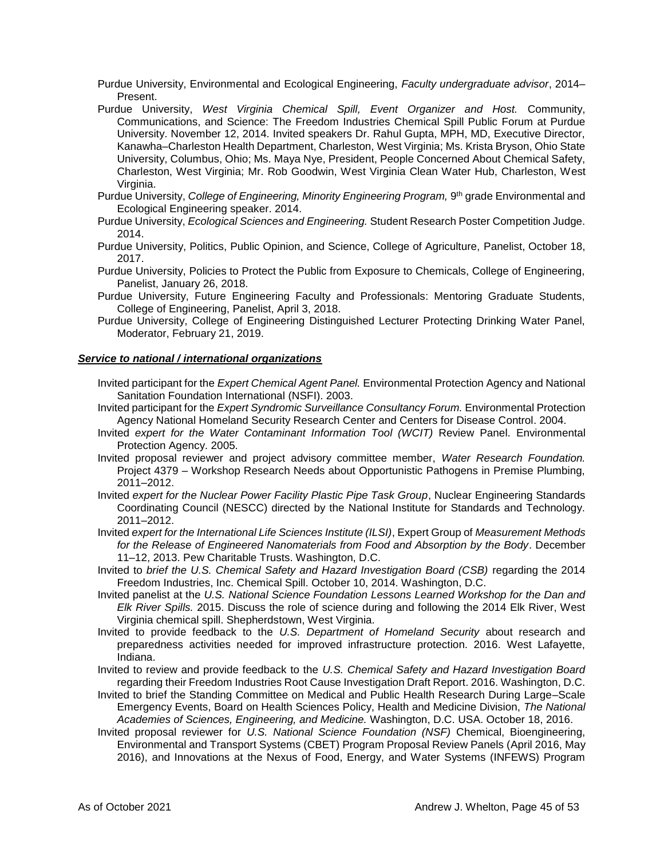Purdue University, Environmental and Ecological Engineering, *Faculty undergraduate advisor*, 2014– Present.

- Purdue University, *West Virginia Chemical Spill, Event Organizer and Host.* Community, Communications, and Science: The Freedom Industries Chemical Spill Public Forum at Purdue University. November 12, 2014. Invited speakers Dr. Rahul Gupta, MPH, MD, Executive Director, Kanawha–Charleston Health Department, Charleston, West Virginia; Ms. Krista Bryson, Ohio State University, Columbus, Ohio; Ms. Maya Nye, President, People Concerned About Chemical Safety, Charleston, West Virginia; Mr. Rob Goodwin, West Virginia Clean Water Hub, Charleston, West Virginia.
- Purdue University, *College of Engineering, Minority Engineering Program,* 9<sup>th</sup> grade Environmental and Ecological Engineering speaker. 2014.
- Purdue University, *Ecological Sciences and Engineering.* Student Research Poster Competition Judge. 2014.
- Purdue University, Politics, Public Opinion, and Science, College of Agriculture, Panelist, October 18, 2017.
- Purdue University, Policies to Protect the Public from Exposure to Chemicals, College of Engineering, Panelist, January 26, 2018.
- Purdue University, Future Engineering Faculty and Professionals: Mentoring Graduate Students, College of Engineering, Panelist, April 3, 2018.
- Purdue University, College of Engineering Distinguished Lecturer Protecting Drinking Water Panel, Moderator, February 21, 2019.

#### *Service to national / international organizations*

- Invited participant for the *Expert Chemical Agent Panel.* [Environmental Protection Agency](http://www.epa.gov/) an[d National](http://www.nsf.org/)  [Sanitation Foundation International](http://www.nsf.org/) (NSFI). 2003.
- Invited participant for the *Expert Syndromic Surveillance Consultancy Forum.* [Environmental Protection](http://www.epa.gov/nhsrc/)  [Agency National Homeland Security Research Center](http://www.epa.gov/nhsrc/) and [Centers for Disease Control.](http://www.cdc.gov/) 2004.
- Invited *expert for the Water Contaminant Information Tool (WCIT)* Review Panel. [Environmental](http://www.epa.gov/)  [Protection Agency.](http://www.epa.gov/) 2005.
- Invited proposal reviewer and project advisory committee member, *[Water Research Foundation.](http://www.waterrf.org/Pages/WaterRFHome.aspx)*  Project 4379 – Workshop Research Needs about Opportunistic Pathogens in Premise Plumbing, 2011–2012.
- Invited *expert for the Nuclear Power Facility Plastic Pipe Task Group*, Nuclear Engineering Standards Coordinating Council (NESCC) directed by the [National Institute for Standards and Technology.](http://www.nist.gov/) 2011–2012.
- Invited *expert for th[e International Life Sciences Institute \(ILSI\)](http://www.ilsi.org/)*, Expert Group of *Measurement Methods for the Release of Engineered Nanomaterials from Food and Absorption by the Body*. December 11–12, 2013. Pew Charitable Trusts. Washington, D.C.
- Invited to *brief the U.S. Chemical Safety and Hazard Investigation Board (CSB)* regarding the 2014 Freedom Industries, Inc. Chemical Spill. October 10, 2014. Washington, D.C.
- Invited panelist at the *U.S. National Science Foundation Lessons Learned Workshop for the Dan and Elk River Spills.* 2015. Discuss the role of science during and following the 2014 Elk River, West Virginia chemical spill. Shepherdstown, West Virginia.
- Invited to provide feedback to the *U.S. Department of Homeland Security* about research and preparedness activities needed for improved infrastructure protection. 2016. West Lafayette, Indiana.
- Invited to review and provide feedback to the *U.S. Chemical Safety and Hazard Investigation Board* regarding their Freedom Industries Root Cause Investigation Draft Report. 2016. Washington, D.C.
- Invited to brief the Standing Committee on Medical and Public Health Research During Large–Scale Emergency Events, Board on Health Sciences Policy, Health and Medicine Division, *The National Academies of Sciences, Engineering, and Medicine.* Washington, D.C. USA. October 18, 2016.
- Invited proposal reviewer for *U.S. National Science Foundation (NSF)* Chemical, Bioengineering, Environmental and Transport Systems (CBET) Program Proposal Review Panels (April 2016, May 2016), and Innovations at the Nexus of Food, Energy, and Water Systems (INFEWS) Program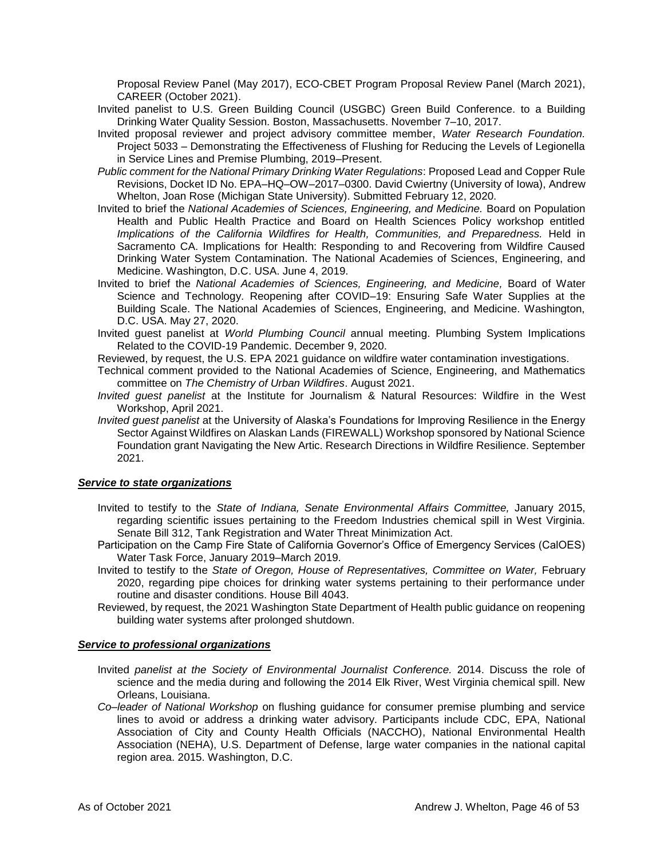Proposal Review Panel (May 2017), ECO-CBET Program Proposal Review Panel (March 2021), CAREER (October 2021).

- Invited panelist to U.S. Green Building Council (USGBC) Green Build Conference. to a Building Drinking Water Quality Session. Boston, Massachusetts. November 7–10, 2017.
- Invited proposal reviewer and project advisory committee member, *[Water Research Foundation.](http://www.waterrf.org/Pages/WaterRFHome.aspx)*  Project 5033 – Demonstrating the Effectiveness of Flushing for Reducing the Levels of Legionella in Service Lines and Premise Plumbing, 2019–Present.
- *Public comment for the National Primary Drinking Water Regulations*: Proposed Lead and Copper Rule Revisions, Docket ID No. EPA–HQ–OW–2017–0300. David Cwiertny (University of Iowa), Andrew Whelton, Joan Rose (Michigan State University). Submitted February 12, 2020.
- Invited to brief the *National Academies of Sciences, Engineering, and Medicine.* Board on Population Health and Public Health Practice and Board on Health Sciences Policy workshop entitled *Implications of the California Wildfires for Health, Communities, and Preparedness.* Held in Sacramento CA. Implications for Health: Responding to and Recovering from Wildfire Caused Drinking Water System Contamination. The National Academies of Sciences, Engineering, and Medicine. Washington, D.C. USA. June 4, 2019.
- Invited to brief the *National Academies of Sciences, Engineering, and Medicine,* Board of Water Science and Technology. Reopening after COVID–19: Ensuring Safe Water Supplies at the Building Scale. The National Academies of Sciences, Engineering, and Medicine. Washington, D.C. USA. May 27, 2020.
- Invited guest panelist at *World Plumbing Council* annual meeting. Plumbing System Implications Related to the COVID-19 Pandemic. December 9, 2020.
- Reviewed, by request, the U.S. EPA 2021 guidance on wildfire water contamination investigations.
- Technical comment provided to the National Academies of Science, Engineering, and Mathematics committee on *The Chemistry of Urban Wildfires*. August 2021.
- *Invited guest panelist* at the Institute for Journalism & Natural Resources: Wildfire in the West Workshop, April 2021.
- *Invited guest panelist* at the University of Alaska's Foundations for Improving Resilience in the Energy Sector Against Wildfires on Alaskan Lands (FIREWALL) Workshop sponsored by National Science Foundation grant Navigating the New Artic. Research Directions in Wildfire Resilience. September 2021.

#### *Service to state organizations*

- Invited to testify to the *State of Indiana, Senate Environmental Affairs Committee,* January 2015, regarding scientific issues pertaining to the Freedom Industries chemical spill in West Virginia. Senate Bill 312, Tank Registration and Water Threat Minimization Act.
- Participation on the Camp Fire State of California Governor's Office of Emergency Services (CalOES) Water Task Force, January 2019–March 2019.
- Invited to testify to the *State of Oregon, House of Representatives, Committee on Water,* February 2020, regarding pipe choices for drinking water systems pertaining to their performance under routine and disaster conditions. House Bill 4043.
- Reviewed, by request, the 2021 Washington State Department of Health public guidance on reopening building water systems after prolonged shutdown.

#### *Service to professional organizations*

- Invited *panelist at the Society of Environmental Journalist Conference.* 2014. Discuss the role of science and the media during and following the 2014 Elk River, West Virginia chemical spill. New Orleans, Louisiana.
- *Co–leader of National Workshop* on flushing guidance for consumer premise plumbing and service lines to avoid or address a drinking water advisory. Participants include CDC, EPA, National Association of City and County Health Officials (NACCHO), National Environmental Health Association (NEHA), U.S. Department of Defense, large water companies in the national capital region area. 2015. Washington, D.C.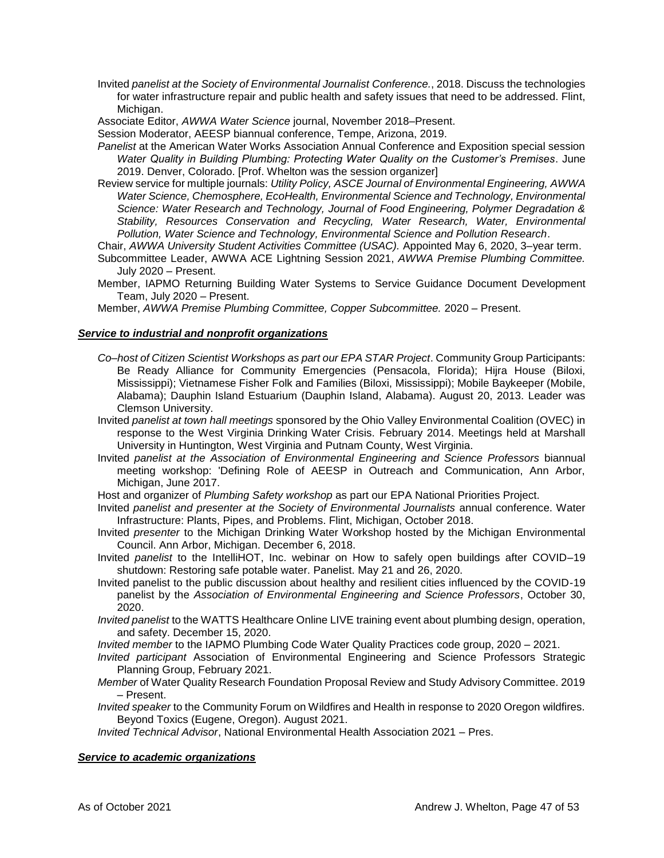Invited *panelist at the Society of Environmental Journalist Conference.*, 2018. Discuss the technologies for water infrastructure repair and public health and safety issues that need to be addressed. Flint, Michigan.

Associate Editor, *AWWA Water Science* journal, November 2018–Present.

Session Moderator, AEESP biannual conference, Tempe, Arizona, 2019.

- *Panelist* at the American Water Works Association Annual Conference and Exposition special session *Water Quality in Building Plumbing: Protecting Water Quality on the Customer's Premises*. June 2019. Denver, Colorado. [Prof. Whelton was the session organizer]
- Review service for multiple journals: *Utility Policy, ASCE Journal of Environmental Engineering, AWWA Water Science, Chemosphere, EcoHealth, Environmental Science and Technology, Environmental Science: Water Research and Technology, Journal of Food Engineering, Polymer Degradation & Stability, Resources Conservation and Recycling, Water Research, Water, Environmental Pollution, Water Science and Technology, Environmental Science and Pollution Research*.
- Chair, *AWWA University Student Activities Committee (USAC).* Appointed May 6, 2020, 3–year term.
- Subcommittee Leader, AWWA ACE Lightning Session 2021, *AWWA Premise Plumbing Committee.* July 2020 – Present.
- Member, IAPMO Returning Building Water Systems to Service Guidance Document Development Team, July 2020 – Present.

Member, *AWWA Premise Plumbing Committee, Copper Subcommittee.* 2020 – Present.

# *Service to industrial and nonprofit organizations*

- *Co–host of Citizen Scientist Workshops as part our EPA STAR Project*. Community Group Participants: Be Ready Alliance for Community Emergencies (Pensacola, Florida); Hijra House (Biloxi, Mississippi); Vietnamese Fisher Folk and Families (Biloxi, Mississippi); Mobile Baykeeper (Mobile, Alabama); Dauphin Island Estuarium (Dauphin Island, Alabama). August 20, 2013. Leader was Clemson University.
- Invited *panelist at town hall meetings* sponsored by the Ohio Valley Environmental Coalition (OVEC) in response to the West Virginia Drinking Water Crisis. February 2014. Meetings held at Marshall University in Huntington, West Virginia and Putnam County, West Virginia.
- Invited *panelist at the Association of Environmental Engineering and Science Professors* biannual meeting workshop: 'Defining Role of AEESP in Outreach and Communication, Ann Arbor, Michigan, June 2017.
- Host and organizer of *Plumbing Safety workshop* as part our EPA National Priorities Project.
- Invited *panelist and presenter at the Society of Environmental Journalists* annual conference. Water Infrastructure: Plants, Pipes, and Problems. Flint, Michigan, October 2018.
- Invited *presenter* to the Michigan Drinking Water Workshop hosted by the Michigan Environmental Council. Ann Arbor, Michigan. December 6, 2018.
- Invited *panelist* to the IntelliHOT, Inc. webinar on How to safely open buildings after COVID–19 shutdown: Restoring safe potable water. Panelist. May 21 and 26, 2020.
- Invited panelist to the public discussion about healthy and resilient cities influenced by the COVID-19 panelist by the *Association of Environmental Engineering and Science Professors*, October 30, 2020.
- *Invited panelist* to the WATTS Healthcare Online LIVE training event about plumbing design, operation, and safety. December 15, 2020.
- *Invited member* to the IAPMO Plumbing Code Water Quality Practices code group, 2020 2021.
- *Invited participant* Association of Environmental Engineering and Science Professors Strategic Planning Group, February 2021.
- *Member* of Water Quality Research Foundation Proposal Review and Study Advisory Committee. 2019 – Present.
- *Invited speaker* to the Community Forum on Wildfires and Health in response to 2020 Oregon wildfires. Beyond Toxics (Eugene, Oregon). August 2021.

*Invited Technical Advisor*, National Environmental Health Association 2021 – Pres.

#### *Service to academic organizations*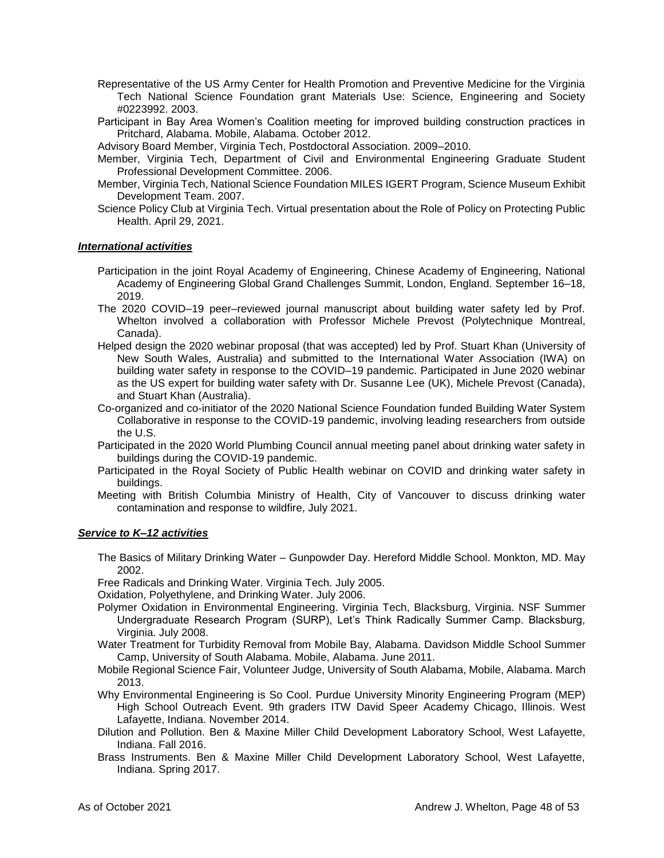- Representative of the US Army Center for Health Promotion and Preventive Medicine for the Virginia Tech National Science Foundation grant Materials Use: Science, Engineering and Society #0223992. 2003.
- Participant in Bay Area Women's Coalition meeting for improved building construction practices in Pritchard, Alabama. Mobile, Alabama. October 2012.
- Advisory Board Member, Virginia Tech, Postdoctoral Association. 2009–2010.
- Member, Virginia Tech, Department of Civil and Environmental Engineering Graduate Student Professional Development Committee. 2006.
- Member, Virginia Tech, National Science Foundation MILES IGERT Program, Science Museum Exhibit Development Team. 2007.
- Science Policy Club at Virginia Tech. Virtual presentation about the Role of Policy on Protecting Public Health. April 29, 2021.

#### *International activities*

- Participation in the joint Royal Academy of Engineering, Chinese Academy of Engineering, National Academy of Engineering Global Grand Challenges Summit, London, England. September 16–18, 2019.
- The 2020 COVID–19 peer–reviewed journal manuscript about building water safety led by Prof. Whelton involved a collaboration with Professor Michele Prevost (Polytechnique Montreal, Canada).
- Helped design the 2020 webinar proposal (that was accepted) led by Prof. Stuart Khan (University of New South Wales, Australia) and submitted to the International Water Association (IWA) on building water safety in response to the COVID–19 pandemic. Participated in June 2020 webinar as the US expert for building water safety with Dr. Susanne Lee (UK), Michele Prevost (Canada), and Stuart Khan (Australia).
- Co-organized and co-initiator of the 2020 National Science Foundation funded Building Water System Collaborative in response to the COVID-19 pandemic, involving leading researchers from outside the U.S.
- Participated in the 2020 World Plumbing Council annual meeting panel about drinking water safety in buildings during the COVID-19 pandemic.
- Participated in the Royal Society of Public Health webinar on COVID and drinking water safety in buildings.
- Meeting with British Columbia Ministry of Health, City of Vancouver to discuss drinking water contamination and response to wildfire, July 2021.

#### *Service to K–12 activities*

The Basics of Military Drinking Water – Gunpowder Day. Hereford Middle School. Monkton, MD. May 2002.

Free Radicals and Drinking Water. Virginia Tech. July 2005.

Oxidation, Polyethylene, and Drinking Water. July 2006.

- Polymer Oxidation in Environmental Engineering. Virginia Tech, Blacksburg, Virginia. NSF Summer Undergraduate Research Program (SURP), Let's Think Radically Summer Camp. Blacksburg, Virginia. July 2008.
- Water Treatment for Turbidity Removal from Mobile Bay, Alabama. Davidson Middle School Summer Camp, University of South Alabama. Mobile, Alabama. June 2011.
- Mobile Regional Science Fair, Volunteer Judge, University of South Alabama, Mobile, Alabama. March 2013.
- Why Environmental Engineering is So Cool. Purdue University Minority Engineering Program (MEP) High School Outreach Event. 9th graders ITW David Speer Academy Chicago, Illinois. West Lafayette, Indiana. November 2014.
- Dilution and Pollution. Ben & Maxine Miller Child Development Laboratory School, West Lafayette, Indiana. Fall 2016.
- Brass Instruments. Ben & Maxine Miller Child Development Laboratory School, West Lafayette, Indiana. Spring 2017.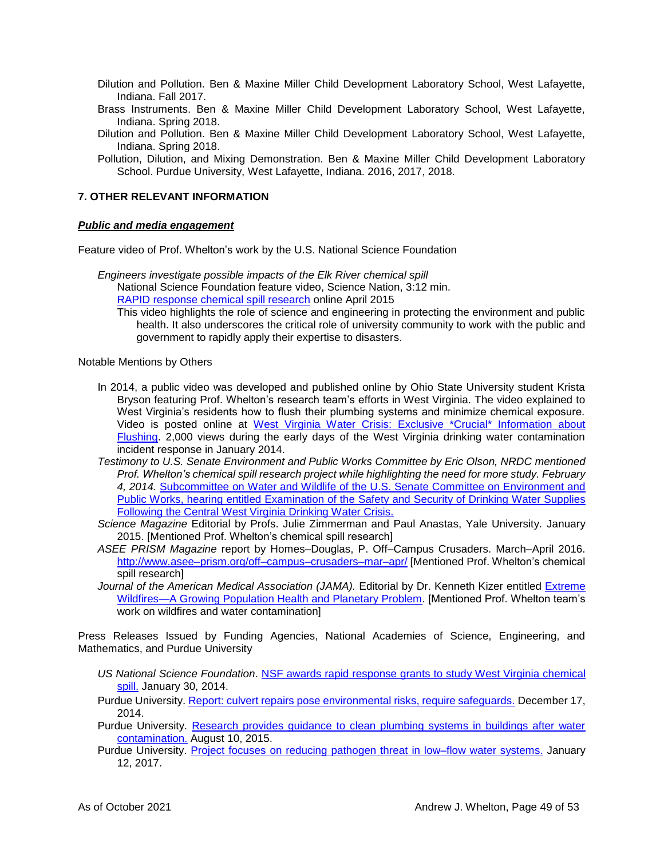- Dilution and Pollution. Ben & Maxine Miller Child Development Laboratory School, West Lafayette, Indiana. Fall 2017.
- Brass Instruments. Ben & Maxine Miller Child Development Laboratory School, West Lafayette, Indiana. Spring 2018.
- Dilution and Pollution. Ben & Maxine Miller Child Development Laboratory School, West Lafayette, Indiana. Spring 2018.
- Pollution, Dilution, and Mixing Demonstration. Ben & Maxine Miller Child Development Laboratory School. Purdue University, West Lafayette, Indiana. 2016, 2017, 2018.

# <span id="page-48-0"></span>**7. OTHER RELEVANT INFORMATION**

#### *Public and media engagement*

Feature video of Prof. Whelton's work by the U.S. National Science Foundation

- *Engineers investigate possible impacts of the Elk River chemical spill* National Science Foundation feature video, Science Nation, 3:12 min. [RAPID response chemical spill research](http://www.nsf.gov/news/special_reports/science_nation/chemicalspill.jsp) online April 2015
	- This video highlights the role of science and engineering in protecting the environment and public health. It also underscores the critical role of university community to work with the public and government to rapidly apply their expertise to disasters.

Notable Mentions by Others

- In 2014, a public video was developed and published online by Ohio State University student Krista Bryson featuring Prof. Whelton's research team's efforts in West Virginia. The video explained to West Virginia's residents how to flush their plumbing systems and minimize chemical exposure. Video is posted online at [West Virginia Water Crisis: Exclusive \\*Crucial\\* Information about](http://www.youtube.com/watch?v=Rz3Y7rjnqEs)  [Flushing.](http://www.youtube.com/watch?v=Rz3Y7rjnqEs) 2,000 views during the early days of the West Virginia drinking water contamination incident response in January 2014.
- *Testimony to U.S. Senate Environment and Public Works Committee by Eric Olson, NRDC mentioned Prof. Whelton's chemical spill research project while highlighting the need for more study. February 4, 2014.* [Subcommittee](http://www.epw.senate.gov/public/index.cfm?FuseAction=Files.View&FileStore_id=239bd0fc-6cec-4d9d-a6a2-b06296a9da0f) on Water and Wildlife of the U.S. Senate Committee on Environment and Public Works, hearing entitled [Examination](http://www.epw.senate.gov/public/index.cfm?FuseAction=Files.View&FileStore_id=239bd0fc-6cec-4d9d-a6a2-b06296a9da0f) of the Safety and Security of Drinking Water Supplies [Following](http://www.epw.senate.gov/public/index.cfm?FuseAction=Files.View&FileStore_id=239bd0fc-6cec-4d9d-a6a2-b06296a9da0f) the Central West Virginia Drinking Water Crisis.
- *Science Magazine* Editorial by Profs. Julie Zimmerman and Paul Anastas, Yale University. January 2015. [Mentioned Prof. Whelton's chemical spill research]
- *ASEE PRISM Magazine* report by Homes–Douglas, P. Off–Campus Crusaders. March–April 2016. [http://www.asee–prism.org/off–campus–crusaders–mar–apr/](http://www.asee-prism.org/off-campus-crusaders-mar-apr/) [Mentioned Prof. Whelton's chemical spill research]
- *Journal of the American Medical Association (JAMA).* Editorial by Dr. Kenneth Kizer entitled [Extreme](https://jamanetwork.com/journals/jama/fullarticle/2770988)  [Wildfires—A Growing Population Health and Planetary Problem.](https://jamanetwork.com/journals/jama/fullarticle/2770988) [Mentioned Prof. Whelton team's work on wildfires and water contamination]

Press Releases Issued by Funding Agencies, National Academies of Science, Engineering, and Mathematics, and Purdue University

- *US National Science Foundation*. NSF awards rapid [response](http://www.nsf.gov/news/news_summ.jsp?cntn_id=130304&org=NSF&from=news) grants to study West Virginia chemical [spill.](http://www.nsf.gov/news/news_summ.jsp?cntn_id=130304&org=NSF&from=news) January 30, 2014.
- Purdue University. [Report: culvert repairs pose environmental risks, require safeguards.](http://www.purdue.edu/newsroom/releases/2014/Q4/report-culvert-repairs-pose-environmental-risks,-require-safeguards.html) December 17, 2014.
- Purdue University. [Research provides guidance to clean plumbing systems in buildings after water](http://www.purdue.edu/newsroom/releases/2015/Q3/research-provides-guidance-to-clean-plumbing-systems-in-buildings-after-water-contamination.html)  [contamination.](http://www.purdue.edu/newsroom/releases/2015/Q3/research-provides-guidance-to-clean-plumbing-systems-in-buildings-after-water-contamination.html) August 10, 2015.
- Purdue University. Project focuses [on reducing pathogen threat in low–flow water systems.](https://www.purdue.edu/newsroom/releases/2017/Q1/project-focuses-on-reducing-pathogen-threat-in-low-flow-water-systems.html) January 12, 2017.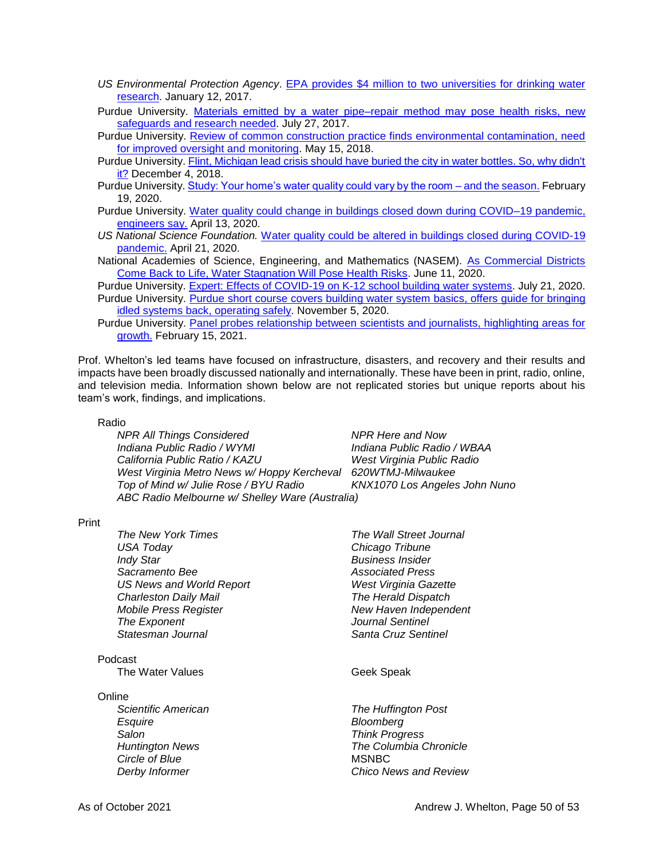- *US Environmental Protection Agency*. [EPA provides \\$4 million to two universities for drinking water](https://www.epa.gov/newsreleases/epa-provides-two-universities-4-million-drinking-water-quality-research)  [research.](https://www.epa.gov/newsreleases/epa-provides-two-universities-4-million-drinking-water-quality-research) January 12, 2017.
- Purdue University. [Materials emitted by a water pipe–repair method may pose health risks, new](https://www.purdue.edu/newsroom/releases/2017/Q3/materials-emitted-by-a-water-pipe-repair-method-may-pose-health-risks,-new-safeguards-and-research-needed.html)  [safeguards and research needed.](https://www.purdue.edu/newsroom/releases/2017/Q3/materials-emitted-by-a-water-pipe-repair-method-may-pose-health-risks,-new-safeguards-and-research-needed.html) July 27, 2017.
- Purdue University. [Review of common construction practice finds environmental contamination, need](https://phys.org/news/2018-05-common-environmental-contamination-oversight.html)  [for improved oversight and monitoring.](https://phys.org/news/2018-05-common-environmental-contamination-oversight.html) May 15, 2018.
- Purdue University. Flint, Michigan lead crisis should have buried the city in water bottles. So, why didn't [it?](https://www.purdue.edu/newsroom/releases/2018/Q4/flint,-michigan-lead-crisis-should-have-buried-the-city-in-water-bottles.-so,-why-didnt-it.html) December 4, 2018.
- Purdue University. [Study: Your home's water quality could vary by the room –](https://www.purdue.edu/newsroom/releases/2020/Q1/study-your-homes-water-quality-could-vary-by-the-room-and-the-season.html) and the season. February 19, 2020.
- Purdue University. [Water quality could change in buildings closed down during COVID–19 pandemic,](https://www.purdue.edu/newsroom/releases/2020/Q2/water-quality-could-change-in-buildings-closed-down-during-covid-19-pandemic,-engineers-say.html)  [engineers say.](https://www.purdue.edu/newsroom/releases/2020/Q2/water-quality-could-change-in-buildings-closed-down-during-covid-19-pandemic,-engineers-say.html) April 13, 2020.
- *US National Science Foundation.* [Water quality could be altered in buildings closed during COVID-19](https://www.nsf.gov/discoveries/disc_summ.jsp?cntn_id=300435)  [pandemic.](https://www.nsf.gov/discoveries/disc_summ.jsp?cntn_id=300435) April 21, 2020.
- National Academies of Science, Engineering, and Mathematics (NASEM). As Commercial Districts [Come Back to Life, Water Stagnation Will Pose Health Risks.](https://www.nationalacademies.org/news/2020/06/as-commercial-districts-come-back-to-life-water-stagnation-will-pose-health-risks) June 11, 2020.
- Purdue University. [Expert: Effects of COVID-19 on K-12 school building water systems.](https://www.purdue.edu/newsroom/releases/2020/Q3/expert-effects-of-covid-19-on-k-12-school-building-water-systems.html) July 21, 2020. Purdue University. Purdue short course covers building water system basics, offers guide for bringing [idled systems back, operating safely.](https://www.purdue.edu/newsroom/releases/2020/Q4/purdue-short-course-covers-building-water-system-basics,-offers-guide-for-bringing-idled-systems-back,-operating-safely.html) November 5, 2020.
- Purdue University. [Panel probes relationship between scientists and journalists, highlighting areas for](https://ag.purdue.edu/stories/panel-probes-relationship-between-scientists-and-journalists-highlighting-areas-for-growth/)  [growth.](https://ag.purdue.edu/stories/panel-probes-relationship-between-scientists-and-journalists-highlighting-areas-for-growth/) February 15, 2021.

Prof. Whelton's led teams have focused on infrastructure, disasters, and recovery and their results and impacts have been broadly discussed nationally and internationally. These have been in print, radio, online, and television media. Information shown below are not replicated stories but unique reports about his team's work, findings, and implications.

#### Radio

*NPR All Things Considered* NPR Here and Now *Indiana Public Radio / WYMI Indiana Public Radio / WBAA California Public Ratio / KAZU West Virginia Public Radio West Virginia Metro News w/ Hoppy Kercheval 620WTMJ-Milwaukee Top of Mind w/ Julie Rose / BYU Radio KNX1070 Los Angeles John Nuno ABC Radio Melbourne w/ Shelley Ware (Australia)*

#### Print

*The New York Times The Wall Street Journal USA Today Chicago Tribune Indy Star Business Insider Sacramento Bee Associated Press* US News and World Report West Virginia Gazette *Charleston Daily Mail The Herald Dispatch Mobile Press Register New Haven Independent The Exponent Journal Sentinel Statesman Journal Santa Cruz Sentinel*

Podcast

The Water Values **Geek Speak** 

**Online** 

*Scientific American The Huffington Post Esquire Bloomberg Salon Think Progress Circle of Blue* MSNBC

*Huntington News The Columbia Chronicle Derby Informer Chico News and Review*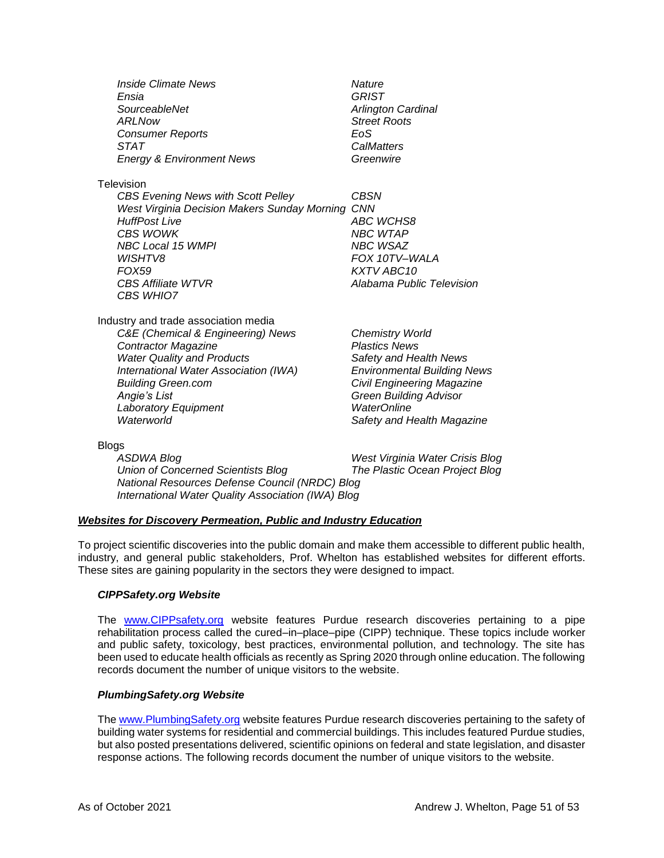|              | <b>Inside Climate News</b><br>Ensia<br>SourceableNet<br>ARLNow<br><b>Consumer Reports</b><br>STAT<br><b>Energy &amp; Environment News</b>                                                                                                                                       | Nature<br><b>GRIST</b><br>Arlington Cardinal<br><b>Street Roots</b><br>EoS<br>CalMatters<br>Greenwire                                                                                                                             |
|--------------|---------------------------------------------------------------------------------------------------------------------------------------------------------------------------------------------------------------------------------------------------------------------------------|-----------------------------------------------------------------------------------------------------------------------------------------------------------------------------------------------------------------------------------|
|              | Television<br><b>CBS Evening News with Scott Pelley</b><br>West Virginia Decision Makers Sunday Morning<br><b>HuffPost Live</b><br><b>CBS WOWK</b><br>NBC Local 15 WMPI<br>WISHTV8<br>FOX59<br><b>CBS Affiliate WTVR</b><br><b>CBS WHIO7</b>                                    | <b>CBSN</b><br><b>CNN</b><br><b>ABC WCHS8</b><br><b>NBC WTAP</b><br><b>NBC WSAZ</b><br>FOX 10TV-WALA<br><b>KXTV ABC10</b><br>Alabama Public Television                                                                            |
|              | Industry and trade association media<br>C&E (Chemical & Engineering) News<br><b>Contractor Magazine</b><br><b>Water Quality and Products</b><br>International Water Association (IWA)<br><b>Building Green.com</b><br>Angie's List<br><b>Laboratory Equipment</b><br>Waterworld | <b>Chemistry World</b><br><b>Plastics News</b><br>Safety and Health News<br><b>Environmental Building News</b><br>Civil Engineering Magazine<br><b>Green Building Advisor</b><br><b>WaterOnline</b><br>Safety and Health Magazine |
| <b>Blogs</b> | <b>ASDWA Blog</b><br><b>Union of Concerned Scientists Blog</b><br>National Resources Defense Council (NRDC) Blog<br>International Water Quality Association (IWA) Blog                                                                                                          | West Virginia Water Crisis Blog<br>The Plastic Ocean Project Blog                                                                                                                                                                 |

# *Websites for Discovery Permeation, Public and Industry Education*

To project scientific discoveries into the public domain and make them accessible to different public health, industry, and general public stakeholders, Prof. Whelton has established websites for different efforts. These sites are gaining popularity in the sectors they were designed to impact.

#### *CIPPSafety.org Website*

The [www.CIPPsafety.org](http://www.cippsafety.org/) website features Purdue research discoveries pertaining to a pipe rehabilitation process called the cured–in–place–pipe (CIPP) technique. These topics include worker and public safety, toxicology, best practices, environmental pollution, and technology. The site has been used to educate health officials as recently as Spring 2020 through online education. The following records document the number of unique visitors to the website.

#### *PlumbingSafety.org Website*

The [www.PlumbingSafety.org](http://www.plumbingsafety.org/) website features Purdue research discoveries pertaining to the safety of building water systems for residential and commercial buildings. This includes featured Purdue studies, but also posted presentations delivered, scientific opinions on federal and state legislation, and disaster response actions. The following records document the number of unique visitors to the website.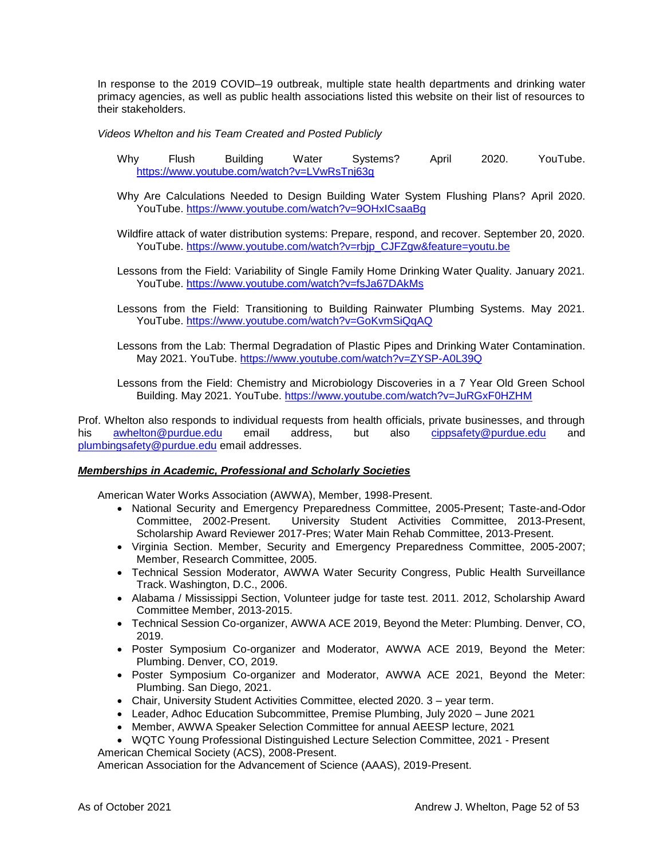In response to the 2019 COVID–19 outbreak, multiple state health departments and drinking water primacy agencies, as well as public health associations listed this website on their list of resources to their stakeholders.

*Videos Whelton and his Team Created and Posted Publicly*

- Why Flush Building Water Systems? April 2020. YouTube. <https://www.youtube.com/watch?v=LVwRsTnj63g>
- Why Are Calculations Needed to Design Building Water System Flushing Plans? April 2020. YouTube.<https://www.youtube.com/watch?v=9OHxICsaaBg>
- Wildfire attack of water distribution systems: Prepare, respond, and recover. September 20, 2020. YouTube. [https://www.youtube.com/watch?v=rbjp\\_CJFZgw&feature=youtu.be](https://www.youtube.com/watch?v=rbjp_CJFZgw&feature=youtu.be)
- Lessons from the Field: Variability of Single Family Home Drinking Water Quality. January 2021. YouTube.<https://www.youtube.com/watch?v=fsJa67DAkMs>
- Lessons from the Field: Transitioning to Building Rainwater Plumbing Systems. May 2021. YouTube.<https://www.youtube.com/watch?v=GoKvmSiQqAQ>
- Lessons from the Lab: Thermal Degradation of Plastic Pipes and Drinking Water Contamination. May 2021. YouTube.<https://www.youtube.com/watch?v=ZYSP-A0L39Q>
- Lessons from the Field: Chemistry and Microbiology Discoveries in a 7 Year Old Green School Building. May 2021. YouTube.<https://www.youtube.com/watch?v=JuRGxF0HZHM>

Prof. Whelton also responds to individual requests from health officials, private businesses, and through his [awhelton@purdue.edu](mailto:awhelton@purdue.edu) email address, but also [cippsafety@purdue.edu](mailto:cippsafety@purdue.edu) and [plumbingsafety@purdue.edu](mailto:plumbingsafety@purdue.edu) email addresses.

#### *Memberships in Academic, Professional and Scholarly Societies*

American Water Works Association (AWWA), Member, 1998-Present.

- National Security and Emergency Preparedness Committee, 2005-Present; Taste-and-Odor Committee, 2002-Present. University Student Activities Committee, 2013-Present, University Student Activities Committee, 2013-Present, Scholarship Award Reviewer 2017-Pres; Water Main Rehab Committee, 2013-Present.
- Virginia Section. Member, Security and Emergency Preparedness Committee, 2005-2007; Member, Research Committee, 2005.
- Technical Session Moderator, AWWA Water Security Congress, Public Health Surveillance Track. Washington, D.C., 2006.
- Alabama / Mississippi Section, Volunteer judge for taste test. 2011. 2012, Scholarship Award Committee Member, 2013-2015.
- Technical Session Co-organizer, AWWA ACE 2019, Beyond the Meter: Plumbing. Denver, CO, 2019.
- Poster Symposium Co-organizer and Moderator, AWWA ACE 2019, Beyond the Meter: Plumbing. Denver, CO, 2019.
- Poster Symposium Co-organizer and Moderator, AWWA ACE 2021, Beyond the Meter: Plumbing. San Diego, 2021.
- Chair, University Student Activities Committee, elected 2020. 3 year term.
- Leader, Adhoc Education Subcommittee, Premise Plumbing, July 2020 June 2021
- Member, AWWA Speaker Selection Committee for annual AEESP lecture, 2021
- WQTC Young Professional Distinguished Lecture Selection Committee, 2021 Present American Chemical Society (ACS), 2008-Present.

American Association for the Advancement of Science (AAAS), 2019-Present.